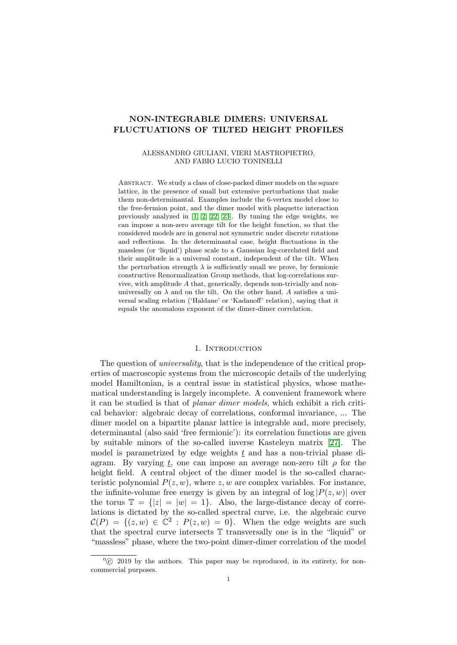# <span id="page-0-0"></span>NON-INTEGRABLE DIMERS: UNIVERSAL FLUCTUATIONS OF TILTED HEIGHT PROFILES

# ALESSANDRO GIULIANI, VIERI MASTROPIETRO, AND FABIO LUCIO TONINELLI

ABSTRACT. We study a class of close-packed dimer models on the square lattice, in the presence of small but extensive perturbations that make them non-determinantal. Examples include the 6-vertex model close to the free-fermion point, and the dimer model with plaquette interaction previously analyzed in [\[1,](#page-70-0) [2,](#page-70-1) [22,](#page-71-0) [23\]](#page-71-1). By tuning the edge weights, we can impose a non-zero average tilt for the height function, so that the considered models are in general not symmetric under discrete rotations and reflections. In the determinantal case, height fluctuations in the massless (or 'liquid') phase scale to a Gaussian log-correlated field and their amplitude is a universal constant, independent of the tilt. When the perturbation strength  $\lambda$  is sufficiently small we prove, by fermionic constructive Renormalization Group methods, that log-correlations survive, with amplitude  $A$  that, generically, depends non-trivially and nonuniversally on  $\lambda$  and on the tilt. On the other hand, A satisfies a universal scaling relation ('Haldane' or 'Kadanoff' relation), saying that it equals the anomalous exponent of the dimer-dimer correlation.

# 1. Introduction

The question of *universality*, that is the independence of the critical properties of macroscopic systems from the microscopic details of the underlying model Hamiltonian, is a central issue in statistical physics, whose mathematical understanding is largely incomplete. A convenient framework where it can be studied is that of planar dimer models, which exhibit a rich critical behavior: algebraic decay of correlations, conformal invariance, ... The dimer model on a bipartite planar lattice is integrable and, more precisely, determinantal (also said 'free fermionic'): its correlation functions are given by suitable minors of the so-called inverse Kasteleyn matrix [\[27\]](#page-71-2). The model is parametrized by edge weights  $t$  and has a non-trivial phase diagram. By varying t, one can impose an average non-zero tilt  $\rho$  for the height field. A central object of the dimer model is the so-called characteristic polynomial  $P(z, w)$ , where z, w are complex variables. For instance, the infinite-volume free energy is given by an integral of  $log |P(z, w)|$  over the torus  $\mathbb{T} = \{|z| = |w| = 1\}$ . Also, the large-distance decay of correlations is dictated by the so-called spectral curve, i.e. the algebraic curve  $\mathcal{C}(P) = \{(z,w) \in \mathbb{C}^2 : P(z,w) = 0\}.$  When the edge weights are such that the spectral curve intersects T transversally one is in the "liquid" or "massless" phase, where the two-point dimer-dimer correlation of the model

 $\degree$  (c) 2019 by the authors. This paper may be reproduced, in its entirety, for noncommercial purposes.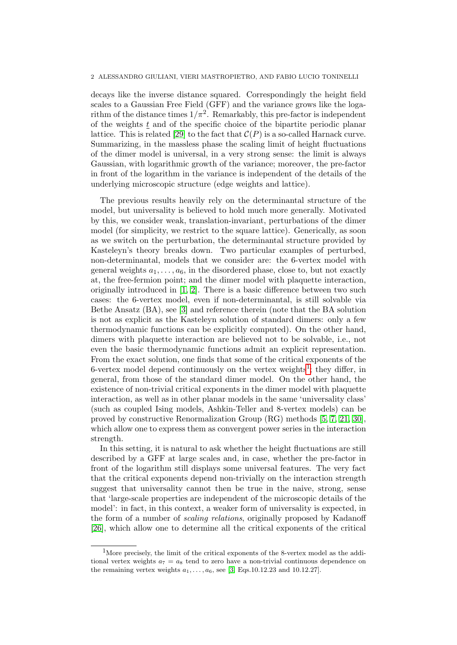#### 2 ALESSANDRO GIULIANI, VIERI MASTROPIETRO, AND FABIO LUCIO TONINELLI

decays like the inverse distance squared. Correspondingly the height field scales to a Gaussian Free Field (GFF) and the variance grows like the logarithm of the distance times  $1/\pi^2$ . Remarkably, this pre-factor is independent of the weights  $t$  and of the specific choice of the bipartite periodic planar lattice. This is related [\[29\]](#page-71-3) to the fact that  $\mathcal{C}(P)$  is a so-called Harnack curve. Summarizing, in the massless phase the scaling limit of height fluctuations of the dimer model is universal, in a very strong sense: the limit is always Gaussian, with logarithmic growth of the variance; moreover, the pre-factor in front of the logarithm in the variance is independent of the details of the underlying microscopic structure (edge weights and lattice).

The previous results heavily rely on the determinantal structure of the model, but universality is believed to hold much more generally. Motivated by this, we consider weak, translation-invariant, perturbations of the dimer model (for simplicity, we restrict to the square lattice). Generically, as soon as we switch on the perturbation, the determinantal structure provided by Kasteleyn's theory breaks down. Two particular examples of perturbed, non-determinantal, models that we consider are: the 6-vertex model with general weights  $a_1, \ldots, a_6$ , in the disordered phase, close to, but not exactly at, the free-fermion point; and the dimer model with plaquette interaction, originally introduced in [\[1,](#page-70-0) [2\]](#page-70-1). There is a basic difference between two such cases: the 6-vertex model, even if non-determinantal, is still solvable via Bethe Ansatz (BA), see [\[3\]](#page-70-2) and reference therein (note that the BA solution is not as explicit as the Kasteleyn solution of standard dimers: only a few thermodynamic functions can be explicitly computed). On the other hand, dimers with plaquette interaction are believed not to be solvable, i.e., not even the basic thermodynamic functions admit an explicit representation. From the exact solution, one finds that some of the critical exponents of the 6-vertex model depend continuously on the vertex weights<sup>[1](#page-0-0)</sup>; they differ, in general, from those of the standard dimer model. On the other hand, the existence of non-trivial critical exponents in the dimer model with plaquette interaction, as well as in other planar models in the same 'universality class' (such as coupled Ising models, Ashkin-Teller and 8-vertex models) can be proved by constructive Renormalization Group (RG) methods [\[5,](#page-70-3) [7,](#page-70-4) [21,](#page-71-4) [30\]](#page-71-5), which allow one to express them as convergent power series in the interaction strength.

In this setting, it is natural to ask whether the height fluctuations are still described by a GFF at large scales and, in case, whether the pre-factor in front of the logarithm still displays some universal features. The very fact that the critical exponents depend non-trivially on the interaction strength suggest that universality cannot then be true in the naive, strong, sense that 'large-scale properties are independent of the microscopic details of the model': in fact, in this context, a weaker form of universality is expected, in the form of a number of *scaling relations*, originally proposed by Kadanoff [\[26\]](#page-71-6), which allow one to determine all the critical exponents of the critical

<sup>&</sup>lt;sup>1</sup>More precisely, the limit of the critical exponents of the 8-vertex model as the additional vertex weights  $a_7 = a_8$  tend to zero have a non-trivial continuous dependence on the remaining vertex weights  $a_1, \ldots, a_6$ , see [\[3,](#page-70-2) Eqs.10.12.23 and 10.12.27].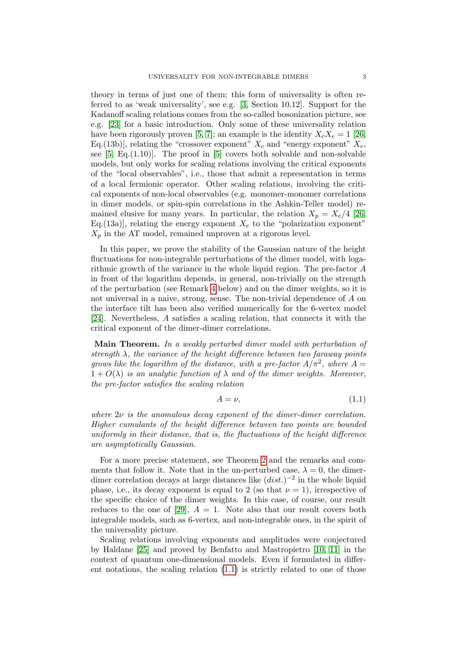theory in terms of just one of them; this form of universality is often referred to as 'weak universality', see e.g. [\[3,](#page-70-2) Section 10.12]. Support for the Kadanoff scaling relations comes from the so-called bosonization picture, see e.g. [\[23\]](#page-71-1) for a basic introduction. Only some of these universality relation have been rigorously proven [\[5,](#page-70-3) [7\]](#page-70-4); an example is the identity  $X_cX_e = 1$  [\[26,](#page-71-6) Eq.(13b)], relating the "crossover exponent"  $X_c$  and "energy exponent"  $X_e$ , see  $[5, Eq. (1.10)]$ . The proof in  $[5]$  covers both solvable and non-solvable models, but only works for scaling relations involving the critical exponents of the "local observables", i.e., those that admit a representation in terms of a local fermionic operator. Other scaling relations, involving the critical exponents of non-local observables (e.g. monomer-monomer correlations in dimer models, or spin-spin correlations in the Ashkin-Teller model) remained elusive for many years. In particular, the relation  $X_p = X_e/4$  [\[26,](#page-71-6) Eq.(13a)], relating the energy exponent  $X_e$  to the "polarization exponent"  $X_p$  in the AT model, remained unproven at a rigorous level.

In this paper, we prove the stability of the Gaussian nature of the height fluctuations for non-integrable perturbations of the dimer model, with logarithmic growth of the variance in the whole liquid region. The pre-factor A in front of the logarithm depends, in general, non-trivially on the strength of the perturbation (see Remark [4](#page-13-0) below) and on the dimer weights, so it is not universal in a naive, strong, sense. The non-trivial dependence of A on the interface tilt has been also verified numerically for the 6-vertex model [\[24\]](#page-71-7). Nevertheless, A satisfies a scaling relation, that connects it with the critical exponent of the dimer-dimer correlations.

Main Theorem. In a weakly perturbed dimer model with perturbation of strength  $\lambda$ , the variance of the height difference between two faraway points grows like the logarithm of the distance, with a pre-factor  $A/\pi^2$ , where  $A =$  $1 + O(\lambda)$  is an analytic function of  $\lambda$  and of the dimer weights. Moreover, the pre-factor satisfies the scaling relation

<span id="page-2-0"></span>
$$
A = \nu,\tag{1.1}
$$

where  $2\nu$  is the anomalous decay exponent of the dimer-dimer correlation. Higher cumulants of the height difference between two points are bounded uniformly in their distance, that is, the fluctuations of the height difference are asymptotically Gaussian.

For a more precise statement, see Theorem [2](#page-13-1) and the remarks and comments that follow it. Note that in the un-perturbed case,  $\lambda = 0$ , the dimerdimer correlation decays at large distances like  $(dist.)^{-2}$  in the whole liquid phase, i.e., its decay exponent is equal to 2 (so that  $\nu = 1$ ), irrespective of the specific choice of the dimer weights. In this case, of course, our result reduces to the one of [\[29\]](#page-71-3),  $A = 1$ . Note also that our result covers both integrable models, such as 6-vertex, and non-integrable ones, in the spirit of the universality picture.

Scaling relations involving exponents and amplitudes were conjectured by Haldane [\[25\]](#page-71-8) and proved by Benfatto and Mastropietro [\[10,](#page-70-5) [11\]](#page-70-6) in the context of quantum one-dimensional models. Even if formulated in different notations, the scaling relation  $(1.1)$  is strictly related to one of those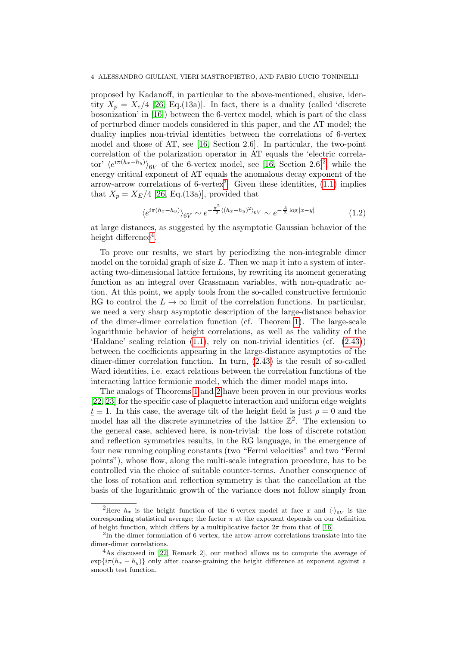proposed by Kadanoff, in particular to the above-mentioned, elusive, identity  $X_p = X_e/4$  [\[26,](#page-71-6) Eq.(13a)]. In fact, there is a duality (called 'discrete bosonization' in [\[16\]](#page-70-7)) between the 6-vertex model, which is part of the class of perturbed dimer models considered in this paper, and the AT model; the duality implies non-trivial identities between the correlations of 6-vertex model and those of AT, see [\[16,](#page-70-7) Section 2.6]. In particular, the two-point correlation of the polarization operator in AT equals the 'electric correlator'  $\langle e^{i\pi(h_x-h_y)} \rangle_{6V}$  of the 6-vertex model, see [\[16,](#page-70-7) Section [2](#page-0-0).6]<sup>2</sup>, while the energy critical exponent of AT equals the anomalous decay exponent of the arrow-arrow correlations of  $6$ -vertex<sup>[3](#page-0-0)</sup>. Given these identities,  $(1.1)$  implies that  $X_p = X_E/4$  [\[26,](#page-71-6) Eq.(13a)], provided that

$$
\langle e^{i\pi(h_x - h_y)} \rangle_{6V} \sim e^{-\frac{\pi^2}{2} \langle (h_x - h_y)^2 \rangle_{6V}} \sim e^{-\frac{A}{2} \log|x - y|}
$$
 (1.2)

at large distances, as suggested by the asymptotic Gaussian behavior of the height difference<sup>[4](#page-0-0)</sup>.

To prove our results, we start by periodizing the non-integrable dimer model on the toroidal graph of size  $L$ . Then we map it into a system of interacting two-dimensional lattice fermions, by rewriting its moment generating function as an integral over Grassmann variables, with non-quadratic action. At this point, we apply tools from the so-called constructive fermionic RG to control the  $L \to \infty$  limit of the correlation functions. In particular, we need a very sharp asymptotic description of the large-distance behavior of the dimer-dimer correlation function (cf. Theorem [1\)](#page-12-0). The large-scale logarithmic behavior of height correlations, as well as the validity of the 'Haldane' scaling relation [\(1.1\)](#page-2-0), rely on non-trivial identities (cf. [\(2.43\)](#page-13-2)) between the coefficients appearing in the large-distance asymptotics of the dimer-dimer correlation function. In turn, [\(2.43\)](#page-13-2) is the result of so-called Ward identities, i.e. exact relations between the correlation functions of the interacting lattice fermionic model, which the dimer model maps into.

The analogs of Theorems [1](#page-12-0) and [2](#page-13-1) have been proven in our previous works [\[22,](#page-71-0) [23\]](#page-71-1) for the specific case of plaquette interaction and uniform edge weights  $t \equiv 1$ . In this case, the average tilt of the height field is just  $\rho = 0$  and the model has all the discrete symmetries of the lattice  $\mathbb{Z}^2$ . The extension to the general case, achieved here, is non-trivial: the loss of discrete rotation and reflection symmetries results, in the RG language, in the emergence of four new running coupling constants (two "Fermi velocities" and two "Fermi points"), whose flow, along the multi-scale integration procedure, has to be controlled via the choice of suitable counter-terms. Another consequence of the loss of rotation and reflection symmetry is that the cancellation at the basis of the logarithmic growth of the variance does not follow simply from

<sup>&</sup>lt;sup>2</sup>Here  $h_x$  is the height function of the 6-vertex model at face x and  $\langle \cdot \rangle_{6V}$  is the corresponding statistical average; the factor  $\pi$  at the exponent depends on our definition of height function, which differs by a multiplicative factor  $2\pi$  from that of [\[16\]](#page-70-7).

<sup>&</sup>lt;sup>3</sup>In the dimer formulation of 6-vertex, the arrow-arrow correlations translate into the dimer-dimer correlations.

<sup>&</sup>lt;sup>4</sup>As discussed in [\[22,](#page-71-0) Remark 2], our method allows us to compute the average of  $\exp{i\pi(h_x - h_y)}$  only after coarse-graining the height difference at exponent against a smooth test function.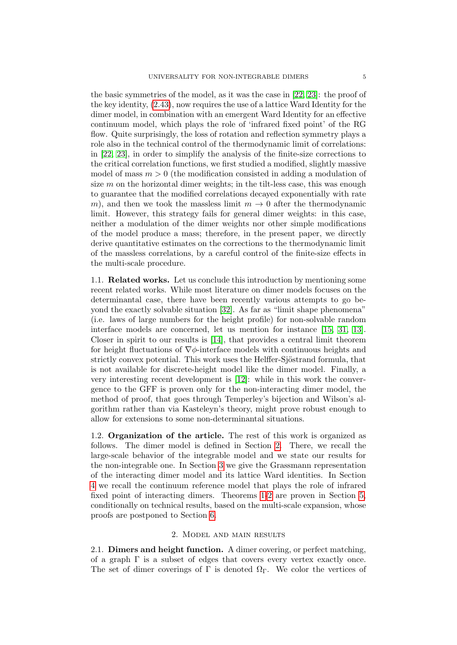the basic symmetries of the model, as it was the case in [\[22,](#page-71-0) [23\]](#page-71-1): the proof of the key identity, [\(2.43\)](#page-13-2), now requires the use of a lattice Ward Identity for the dimer model, in combination with an emergent Ward Identity for an effective continuum model, which plays the role of 'infrared fixed point' of the RG flow. Quite surprisingly, the loss of rotation and reflection symmetry plays a role also in the technical control of the thermodynamic limit of correlations: in [\[22,](#page-71-0) [23\]](#page-71-1), in order to simplify the analysis of the finite-size corrections to the critical correlation functions, we first studied a modified, slightly massive model of mass  $m > 0$  (the modification consisted in adding a modulation of size  $m$  on the horizontal dimer weights; in the tilt-less case, this was enough to guarantee that the modified correlations decayed exponentially with rate m), and then we took the massless limit  $m \to 0$  after the thermodynamic limit. However, this strategy fails for general dimer weights: in this case, neither a modulation of the dimer weights nor other simple modifications of the model produce a mass; therefore, in the present paper, we directly derive quantitative estimates on the corrections to the thermodynamic limit of the massless correlations, by a careful control of the finite-size effects in the multi-scale procedure.

1.1. Related works. Let us conclude this introduction by mentioning some recent related works. While most literature on dimer models focuses on the determinantal case, there have been recently various attempts to go beyond the exactly solvable situation [\[32\]](#page-71-9). As far as "limit shape phenomena" (i.e. laws of large numbers for the height profile) for non-solvable random interface models are concerned, let us mention for instance [\[15,](#page-70-8) [31,](#page-71-10) [13\]](#page-70-9). Closer in spirit to our results is [\[14\]](#page-70-10), that provides a central limit theorem for height fluctuations of  $\nabla \phi$ -interface models with continuous heights and strictly convex potential. This work uses the Helffer-Sjöstrand formula, that is not available for discrete-height model like the dimer model. Finally, a very interesting recent development is [\[12\]](#page-70-11): while in this work the convergence to the GFF is proven only for the non-interacting dimer model, the method of proof, that goes through Temperley's bijection and Wilson's algorithm rather than via Kasteleyn's theory, might prove robust enough to allow for extensions to some non-determinantal situations.

1.2. Organization of the article. The rest of this work is organized as follows. The dimer model is defined in Section [2.](#page-4-0) There, we recall the large-scale behavior of the integrable model and we state our results for the non-integrable one. In Section [3](#page-14-0) we give the Grassmann representation of the interacting dimer model and its lattice Ward identities. In Section [4](#page-21-0) we recall the continuum reference model that plays the role of infrared fixed point of interacting dimers. Theorems [1-](#page-12-0)[2](#page-13-1) are proven in Section [5,](#page-25-0) conditionally on technical results, based on the multi-scale expansion, whose proofs are postponed to Section [6.](#page-29-0)

#### 2. Model and main results

<span id="page-4-0"></span>2.1. Dimers and height function. A dimer covering, or perfect matching, of a graph  $\Gamma$  is a subset of edges that covers every vertex exactly once. The set of dimer coverings of Γ is denoted  $\Omega_{\Gamma}$ . We color the vertices of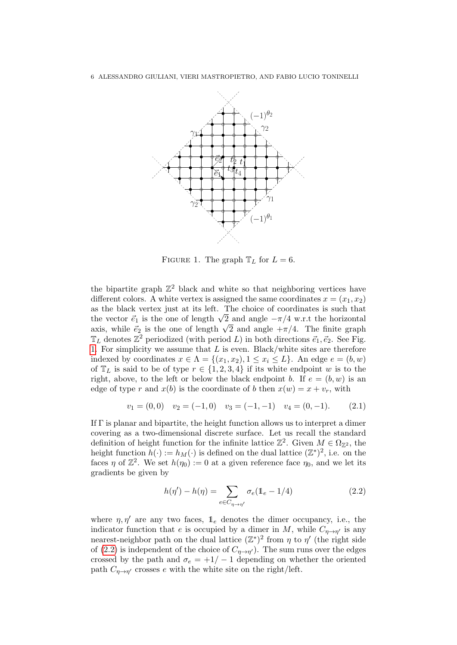

<span id="page-5-0"></span>FIGURE 1. The graph  $T_L$  for  $L = 6$ .

the bipartite graph  $\mathbb{Z}^2$  black and white so that neighboring vertices have different colors. A white vertex is assigned the same coordinates  $x = (x_1, x_2)$ as the black vertex just at its left. The choice of coordinates is such that as the black vertex just at its left. The choice of coordinates is such that the vector  $\vec{e}_1$  is the one of length  $\sqrt{2}$  and angle  $-\pi/4$  w.r.t the horizontal the vector  $e_1$  is the one of length  $\sqrt{2}$  and angle  $-\pi/4$  w.r.t the norizontal axis, while  $\vec{e}_2$  is the one of length  $\sqrt{2}$  and angle  $+\pi/4$ . The finite graph  $\mathbb{T}_L$  denotes  $\mathbb{Z}^2$  periodized (with period L) in both directions  $\vec{e}_1, \vec{e}_2$ . See Fig. [1.](#page-5-0) For simplicity we assume that  $L$  is even. Black/white sites are therefore indexed by coordinates  $x \in \Lambda = \{(x_1, x_2), 1 \le x_i \le L\}$ . An edge  $e = (b, w)$ of  $\mathbb{T}_L$  is said to be of type  $r \in \{1, 2, 3, 4\}$  if its white endpoint w is to the right, above, to the left or below the black endpoint b. If  $e = (b, w)$  is an edge of type r and  $x(b)$  is the coordinate of b then  $x(w) = x + v_r$ , with

<span id="page-5-2"></span>
$$
v_1 = (0,0) \quad v_2 = (-1,0) \quad v_3 = (-1,-1) \quad v_4 = (0,-1). \tag{2.1}
$$

If  $\Gamma$  is planar and bipartite, the height function allows us to interpret a dimer covering as a two-dimensional discrete surface. Let us recall the standard definition of height function for the infinite lattice  $\mathbb{Z}^2$ . Given  $M \in \Omega_{\mathbb{Z}^2}$ , the height function  $h(\cdot) := h_M(\cdot)$  is defined on the dual lattice  $(\mathbb{Z}^*)^2$ , i.e. on the faces  $\eta$  of  $\mathbb{Z}^2$ . We set  $h(\eta_0) := 0$  at a given reference face  $\eta_0$ , and we let its gradients be given by

<span id="page-5-1"></span>
$$
h(\eta') - h(\eta) = \sum_{e \in C_{\eta \to \eta'}} \sigma_e(\mathbb{1}_e - 1/4)
$$
 (2.2)

where  $\eta$ ,  $\eta'$  are any two faces,  $\mathbb{1}_e$  denotes the dimer occupancy, i.e., the indicator function that e is occupied by a dimer in M, while  $C_{\eta \to \eta'}$  is any nearest-neighbor path on the dual lattice  $(\mathbb{Z}^*)^2$  from  $\eta$  to  $\eta'$  (the right side of [\(2.2\)](#page-5-1) is independent of the choice of  $C_{\eta \to \eta'}$ . The sum runs over the edges crossed by the path and  $\sigma_e = +1/-1$  depending on whether the oriented path  $C_{\eta \to \eta'}$  crosses e with the white site on the right/left.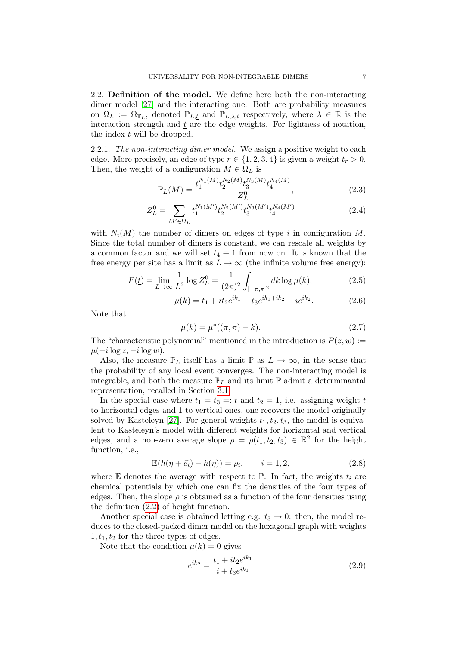2.2. Definition of the model. We define here both the non-interacting dimer model [\[27\]](#page-71-2) and the interacting one. Both are probability measures on  $\Omega_L := \Omega_{\mathbb{T}_L}$ , denoted  $\mathbb{P}_{L,\underline{t}}$  and  $\mathbb{P}_{L,\lambda,\underline{t}}$  respectively, where  $\lambda \in \mathbb{R}$  is the interaction strength and  $\underline{t}$  are the edge weights. For lightness of notation, the index  $t$  will be dropped.

2.2.1. The non-interacting dimer model. We assign a positive weight to each edge. More precisely, an edge of type  $r \in \{1, 2, 3, 4\}$  is given a weight  $t_r > 0$ . Then, the weight of a configuration  $M \in \Omega_L$  is

<span id="page-6-1"></span>
$$
\mathbb{P}_L(M) = \frac{t_1^{N_1(M)} t_2^{N_2(M)} t_3^{N_3(M)} t_4^{N_4(M)}}{Z_L^0},\tag{2.3}
$$

$$
Z_L^0 = \sum_{M' \in \Omega_L} t_1^{N_1(M')} t_2^{N_2(M')} \overline{t_3^{N_3(M')}} t_4^{N_4(M')} \tag{2.4}
$$

with  $N_i(M)$  the number of dimers on edges of type i in configuration M. Since the total number of dimers is constant, we can rescale all weights by a common factor and we will set  $t_4 \equiv 1$  from now on. It is known that the free energy per site has a limit as  $L \to \infty$  (the infinite volume free energy):

<span id="page-6-2"></span>
$$
F(\underline{t}) = \lim_{L \to \infty} \frac{1}{L^2} \log Z_L^0 = \frac{1}{(2\pi)^2} \int_{[-\pi,\pi]^2} dk \log \mu(k), \tag{2.5}
$$

$$
\mu(k) = t_1 + it_2 e^{ik_1} - t_3 e^{ik_1 + ik_2} - i e^{ik_2}.
$$
 (2.6)

Note that

<span id="page-6-0"></span>
$$
\mu(k) = \mu^*((\pi, \pi) - k). \tag{2.7}
$$

The "characteristic polynomial" mentioned in the introduction is  $P(z, w) :=$  $\mu(-i\log z, -i\log w).$ 

Also, the measure  $\mathbb{P}_L$  itself has a limit  $\mathbb{P}$  as  $L \to \infty$ , in the sense that the probability of any local event converges. The non-interacting model is integrable, and both the measure  $\mathbb{P}_L$  and its limit  $\mathbb P$  admit a determinantal representation, recalled in Section [3.1.](#page-14-1)

In the special case where  $t_1 = t_3 =: t$  and  $t_2 = 1$ , i.e. assigning weight t to horizontal edges and 1 to vertical ones, one recovers the model originally solved by Kasteleyn [\[27\]](#page-71-2). For general weights  $t_1, t_2, t_3$ , the model is equivalent to Kasteleyn's model with different weights for horizontal and vertical edges, and a non-zero average slope  $\rho = \rho(t_1, t_2, t_3) \in \mathbb{R}^2$  for the height function, i.e.,

$$
\mathbb{E}(h(\eta + \vec{e}_i) - h(\eta)) = \rho_i, \qquad i = 1, 2,
$$
\n(2.8)

where  $E$  denotes the average with respect to  $\mathbb{P}$ . In fact, the weights  $t_i$  are chemical potentials by which one can fix the densities of the four types of edges. Then, the slope  $\rho$  is obtained as a function of the four densities using the definition [\(2.2\)](#page-5-1) of height function.

Another special case is obtained letting e.g.  $t_3 \rightarrow 0$ : then, the model reduces to the closed-packed dimer model on the hexagonal graph with weights  $1, t_1, t_2$  for the three types of edges.

Note that the condition  $\mu(k) = 0$  gives

$$
e^{ik_2} = \frac{t_1 + it_2 e^{ik_1}}{i + t_3 e^{ik_1}}
$$
\n(2.9)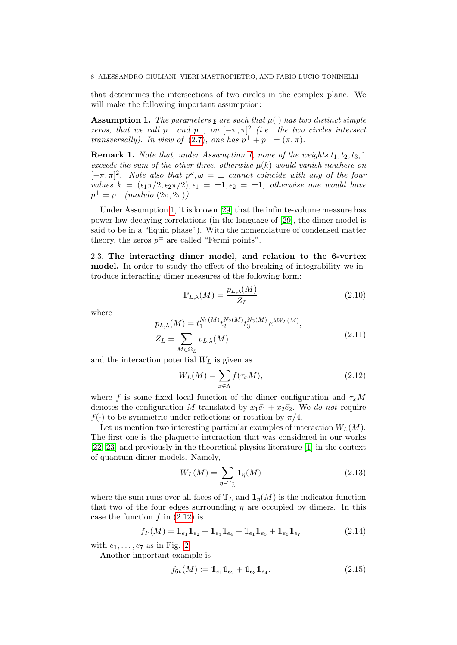that determines the intersections of two circles in the complex plane. We will make the following important assumption:

<span id="page-7-0"></span>**Assumption 1.** The parameters t are such that  $\mu(\cdot)$  has two distinct simple zeros, that we call  $p^+$  and  $p^-$ , on  $[-\pi, \pi]^2$  (i.e. the two circles intersect transversally). In view of [\(2.7\)](#page-6-0), one has  $p^+ + p^- = (\pi, \pi)$ .

**Remark 1.** Note that, under Assumption [1,](#page-7-0) none of the weights  $t_1, t_2, t_3, 1$ exceeds the sum of the other three, otherwise  $\mu(k)$  would vanish nowhere on  $[-\pi, \pi]^2$ . Note also that  $p^{\omega}, \omega = \pm$  cannot coincide with any of the four values  $k = (\epsilon_1 \pi/2, \epsilon_2 \pi/2), \epsilon_1 = \pm 1, \epsilon_2 = \pm 1$ , otherwise one would have  $p^+ = p^- \pmod{2\pi, 2\pi}.$ 

Under Assumption [1,](#page-7-0) it is known [\[29\]](#page-71-3) that the infinite-volume measure has power-law decaying correlations (in the language of [\[29\]](#page-71-3), the dimer model is said to be in a "liquid phase"). With the nomenclature of condensed matter theory, the zeros  $p^{\pm}$  are called "Fermi points".

2.3. The interacting dimer model, and relation to the 6-vertex model. In order to study the effect of the breaking of integrability we introduce interacting dimer measures of the following form:

$$
\mathbb{P}_{L,\lambda}(M) = \frac{p_{L,\lambda}(M)}{Z_L} \tag{2.10}
$$

where

<span id="page-7-5"></span>
$$
p_{L,\lambda}(M) = t_1^{N_1(M)} t_2^{N_2(M)} t_3^{N_3(M)} e^{\lambda W_L(M)},
$$
  
\n
$$
Z_L = \sum_{M \in \Omega_L} p_{L,\lambda}(M)
$$
\n(2.11)

and the interaction potential  $W_L$  is given as

<span id="page-7-1"></span>
$$
W_L(M) = \sum_{x \in \Lambda} f(\tau_x M), \qquad (2.12)
$$

where f is some fixed local function of the dimer configuration and  $\tau_x M$ denotes the configuration M translated by  $x_1\vec{e}_1 + x_2\vec{e}_2$ . We do not require  $f(\cdot)$  to be symmetric under reflections or rotation by  $\pi/4$ .

Let us mention two interesting particular examples of interaction  $W_L(M)$ . The first one is the plaquette interaction that was considered in our works [\[22,](#page-71-0) [23\]](#page-71-1) and previously in the theoretical physics literature [\[1\]](#page-70-0) in the context of quantum dimer models. Namely,

<span id="page-7-3"></span>
$$
W_L(M) = \sum_{\eta \in \mathbb{T}_L^*} \mathbf{1}_{\eta}(M) \tag{2.13}
$$

where the sum runs over all faces of  $\mathbb{T}_L$  and  $\mathbf{1}_n(M)$  is the indicator function that two of the four edges surrounding  $\eta$  are occupied by dimers. In this case the function  $f$  in  $(2.12)$  is

<span id="page-7-2"></span>
$$
f_P(M) = 1_{e_1} 1_{e_2} + 1_{e_3} 1_{e_4} + 1_{e_1} 1_{e_5} + 1_{e_6} 1_{e_7}
$$
 (2.14)

with  $e_1, \ldots, e_7$  as in Fig. [2.](#page-8-0)

Another important example is

<span id="page-7-4"></span>
$$
f_{6v}(M) := \mathbb{1}_{e_1} \mathbb{1}_{e_2} + \mathbb{1}_{e_3} \mathbb{1}_{e_4}.
$$
 (2.15)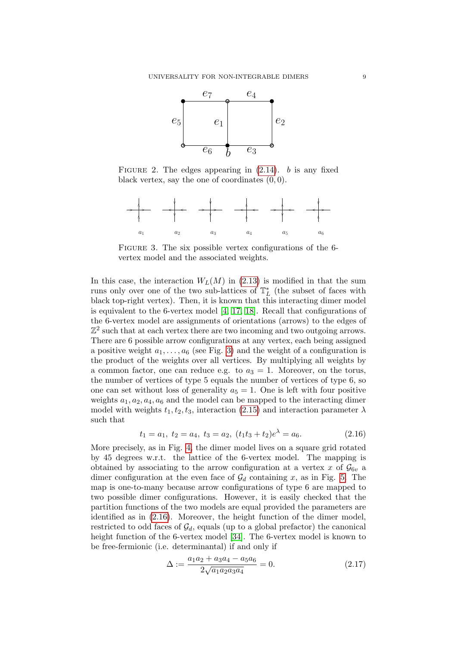

<span id="page-8-0"></span>FIGURE 2. The edges appearing in  $(2.14)$ . b is any fixed black vertex, say the one of coordinates  $(0, 0)$ .



<span id="page-8-1"></span>FIGURE 3. The six possible vertex configurations of the 6vertex model and the associated weights.

In this case, the interaction  $W_L(M)$  in [\(2.13\)](#page-7-3) is modified in that the sum runs only over one of the two sub-lattices of  $\mathbb{T}_{L}^{*}$  (the subset of faces with black top-right vertex). Then, it is known that this interacting dimer model is equivalent to the 6-vertex model  $[4, 17, 18]$  $[4, 17, 18]$  $[4, 17, 18]$ . Recall that configurations of the 6-vertex model are assignments of orientations (arrows) to the edges of  $\mathbb{Z}^2$  such that at each vertex there are two incoming and two outgoing arrows. There are 6 possible arrow configurations at any vertex, each being assigned a positive weight  $a_1, \ldots, a_6$  (see Fig. [3\)](#page-8-1) and the weight of a configuration is the product of the weights over all vertices. By multiplying all weights by a common factor, one can reduce e.g. to  $a_3 = 1$ . Moreover, on the torus, the number of vertices of type 5 equals the number of vertices of type 6, so one can set without loss of generality  $a_5 = 1$ . One is left with four positive weights  $a_1, a_2, a_4, a_6$  and the model can be mapped to the interacting dimer model with weights  $t_1, t_2, t_3$ , interaction [\(2.15\)](#page-7-4) and interaction parameter  $\lambda$ such that

<span id="page-8-2"></span>
$$
t_1 = a_1, t_2 = a_4, t_3 = a_2, (t_1t_3 + t_2)e^{\lambda} = a_6.
$$
 (2.16)

More precisely, as in Fig. [4,](#page-9-0) the dimer model lives on a square grid rotated by 45 degrees w.r.t. the lattice of the 6-vertex model. The mapping is obtained by associating to the arrow configuration at a vertex x of  $\mathcal{G}_{6v}$  a dimer configuration at the even face of  $\mathcal{G}_d$  containing x, as in Fig. [5.](#page-9-1) The map is one-to-many because arrow configurations of type 6 are mapped to two possible dimer configurations. However, it is easily checked that the partition functions of the two models are equal provided the parameters are identified as in [\(2.16\)](#page-8-2). Moreover, the height function of the dimer model, restricted to odd faces of  $\mathcal{G}_d$ , equals (up to a global prefactor) the canonical height function of the 6-vertex model [\[34\]](#page-71-11). The 6-vertex model is known to be free-fermionic (i.e. determinantal) if and only if

$$
\Delta := \frac{a_1 a_2 + a_3 a_4 - a_5 a_6}{2 \sqrt{a_1 a_2 a_3 a_4}} = 0.
$$
\n(2.17)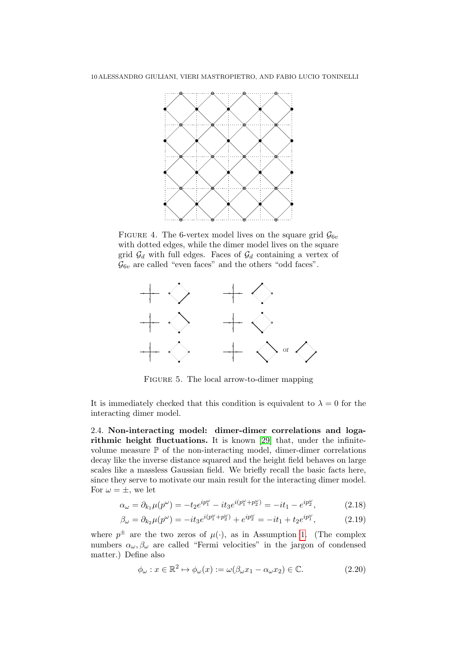

<span id="page-9-0"></span>FIGURE 4. The 6-vertex model lives on the square grid  $\mathcal{G}_{6v}$ with dotted edges, while the dimer model lives on the square grid  $\mathcal{G}_d$  with full edges. Faces of  $\mathcal{G}_d$  containing a vertex of  $\mathcal{G}_{6v}$  are called "even faces" and the others "odd faces".



<span id="page-9-1"></span>FIGURE 5. The local arrow-to-dimer mapping

It is immediately checked that this condition is equivalent to  $\lambda = 0$  for the interacting dimer model.

2.4. Non-interacting model: dimer-dimer correlations and logarithmic height fluctuations. It is known [\[29\]](#page-71-3) that, under the infinitevolume measure  $\mathbb P$  of the non-interacting model, dimer-dimer correlations decay like the inverse distance squared and the height field behaves on large scales like a massless Gaussian field. We briefly recall the basic facts here, since they serve to motivate our main result for the interacting dimer model. For  $\omega = \pm$ , we let

$$
\alpha_{\omega} = \partial_{k_1} \mu(p^{\omega}) = -t_2 e^{ip_1^{\omega}} - it_3 e^{i(p_1^{\omega} + p_2^{\omega})} = -it_1 - e^{ip_2^{\omega}},\tag{2.18}
$$

$$
\beta_{\omega} = \partial_{k_2} \mu(p^{\omega}) = -it_3 e^{i(p_1^{\omega} + p_2^{\omega})} + e^{ip_2^{\omega}} = -it_1 + t_2 e^{ip_1^{\omega}}, \tag{2.19}
$$

where  $p^{\pm}$  are the two zeros of  $\mu(\cdot)$ , as in Assumption [1.](#page-7-0) (The complex numbers  $\alpha_{\omega}, \beta_{\omega}$  are called "Fermi velocities" in the jargon of condensed matter.) Define also

<span id="page-9-2"></span>
$$
\phi_{\omega} : x \in \mathbb{R}^2 \mapsto \phi_{\omega}(x) := \omega(\beta_{\omega}x_1 - \alpha_{\omega}x_2) \in \mathbb{C}.
$$
 (2.20)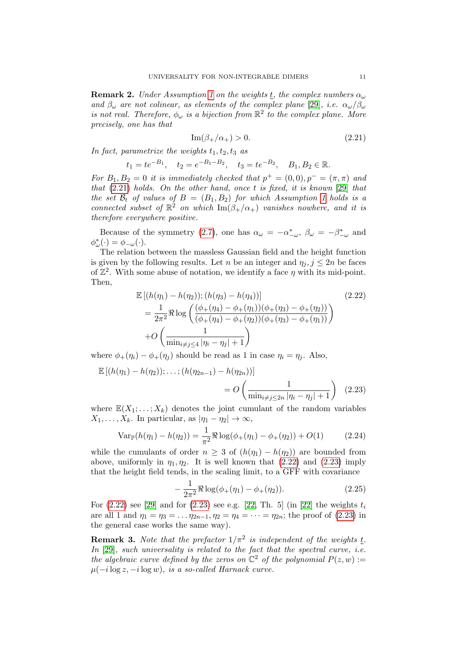**Remark 2.** Under Assumption [1](#page-7-0) on the weights t, the complex numbers  $\alpha_{\omega}$ and  $\beta_{\omega}$  are not colinear, as elements of the complex plane [\[29\]](#page-71-3), i.e.  $\alpha_{\omega}/\beta_{\omega}$ is not real. Therefore,  $\phi_{\omega}$  is a bijection from  $\mathbb{R}^2$  to the complex plane. More precisely, one has that

<span id="page-10-0"></span>
$$
\operatorname{Im}(\beta_+/\alpha_+) > 0. \tag{2.21}
$$

In fact, parametrize the weights  $t_1, t_2, t_3$  as

$$
t_1 = te^{-B_1}
$$
,  $t_2 = e^{-B_1 - B_2}$ ,  $t_3 = te^{-B_2}$ ,  $B_1, B_2 \in \mathbb{R}$ .

For  $B_1, B_2 = 0$  it is immediately checked that  $p^+ = (0, 0), p^- = (\pi, \pi)$  and that  $(2.21)$  holds. On the other hand, once t is fixed, it is known [\[29\]](#page-71-3) that the set  $\mathcal{B}_t$  of values of  $B = (B_1, B_2)$  for which Assumption [1](#page-7-0) holds is a connected subset of  $\mathbb{R}^2$  on which  $\text{Im}(\beta_+/\alpha_+)$  vanishes nowhere, and it is therefore everywhere positive.

Because of the symmetry [\(2.7\)](#page-6-0), one has  $\alpha_{\omega} = -\alpha_{-\omega}^*$ ,  $\beta_{\omega} = -\beta_{-\omega}^*$  and  $\phi_{\omega}^*(\cdot) = \phi_{-\omega}(\cdot).$ 

The relation between the massless Gaussian field and the height function is given by the following results. Let n be an integer and  $\eta_i, j \leq 2n$  be faces of  $\mathbb{Z}^2$ . With some abuse of notation, we identify a face  $\eta$  with its mid-point. Then,

<span id="page-10-1"></span>
$$
\mathbb{E}\left[(h(\eta_1) - h(\eta_2)); (h(\eta_3) - h(\eta_4))\right]
$$
\n
$$
= \frac{1}{2\pi^2} \Re \log \left(\frac{(\phi_+(\eta_4) - \phi_+(\eta_1))(\phi_+(\eta_3) - \phi_+(\eta_2))}{(\phi_+(\eta_4) - \phi_+(\eta_2))(\phi_+(\eta_3) - \phi_+(\eta_1))}\right)
$$
\n
$$
+ O\left(\frac{1}{\min_{i \neq j \le 4} |\eta_i - \eta_j| + 1}\right)
$$
\n(2.22)

where  $\phi_+(\eta_i) - \phi_+(\eta_j)$  should be read as 1 in case  $\eta_i = \eta_i$ . Also,

$$
\mathbb{E} [(h(\eta_1) - h(\eta_2)); \dots; (h(\eta_{2n-1}) - h(\eta_{2n}))]
$$
  
=  $O\left(\frac{1}{\min_{i \neq j \leq 2n} |\eta_i - \eta_j| + 1}\right)$  (2.23)

where  $\mathbb{E}(X_1;\ldots;X_k)$  denotes the joint cumulant of the random variables  $X_1, \ldots, X_k$ . In particular, as  $|\eta_1 - \eta_2| \to \infty$ ,

$$
\text{Var}_{\mathbb{P}}(h(\eta_1) - h(\eta_2)) = \frac{1}{\pi^2} \Re \log(\phi_+(\eta_1) - \phi_+(\eta_2)) + O(1) \tag{2.24}
$$

while the cumulants of order  $n \geq 3$  of  $(h(\eta_1) - h(\eta_2))$  are bounded from above, uniformly in  $\eta_1, \eta_2$ . It is well known that [\(2.22\)](#page-10-1) and [\(2.23\)](#page-10-2) imply that the height field tends, in the scaling limit, to a GFF with covariance

<span id="page-10-2"></span>
$$
-\frac{1}{2\pi^2} \Re \log(\phi_+(\eta_1) - \phi_+(\eta_2)).\tag{2.25}
$$

For  $(2.22)$  see [\[29\]](#page-71-3) and for  $(2.23)$  see e.g. [\[22,](#page-71-0) Th. 5] (in [\[22\]](#page-71-0) the weights  $t_i$ are all 1 and  $\eta_1 = \eta_3 = \dots \eta_{2n-1}, \eta_2 = \eta_4 = \dots = \eta_{2n}$ ; the proof of [\(2.23\)](#page-10-2) in the general case works the same way).

**Remark 3.** Note that the prefactor  $1/\pi^2$  is independent of the weights t. In [\[29\]](#page-71-3), such universality is related to the fact that the spectral curve, i.e. the algebraic curve defined by the zeros on  $\mathbb{C}^2$  of the polynomial  $P(z, w) :=$  $\mu(-i\log z, -i\log w)$ , is a so-called Harnack curve.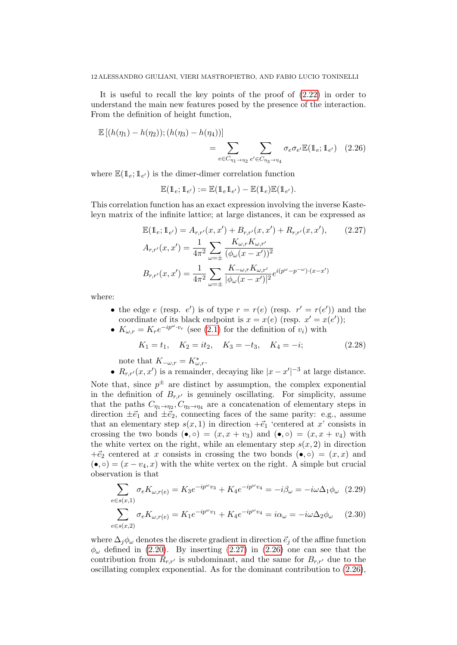It is useful to recall the key points of the proof of [\(2.22\)](#page-10-1) in order to understand the main new features posed by the presence of the interaction. From the definition of height function,

$$
\mathbb{E} [(h(\eta_1) - h(\eta_2)); (h(\eta_3) - h(\eta_4))]
$$
  
= 
$$
\sum_{e \in C_{\eta_1 \to \eta_2}} \sum_{e' \in C_{\eta_3 \to \eta_4}} \sigma_e \sigma_{e'} \mathbb{E} (\mathbb{1}_e; \mathbb{1}_{e'}) \quad (2.26)
$$

where  $\mathbb{E}(\mathbb{1}_e; \mathbb{1}_{e'})$  is the dimer-dimer correlation function

<span id="page-11-1"></span>
$$
\mathbb{E}(\mathbb{1}_e; \mathbb{1}_{e'}) := \mathbb{E}(\mathbb{1}_e \mathbb{1}_{e'}) - \mathbb{E}(\mathbb{1}_e) \mathbb{E}(\mathbb{1}_{e'}).
$$

This correlation function has an exact expression involving the inverse Kasteleyn matrix of the infinite lattice; at large distances, it can be expressed as

<span id="page-11-0"></span>
$$
\mathbb{E}(\mathbb{1}_{e}; \mathbb{1}_{e'}) = A_{r,r'}(x, x') + B_{r,r'}(x, x') + R_{r,r'}(x, x'), \qquad (2.27)
$$

$$
A_{r,r'}(x, x') = \frac{1}{4\pi^2} \sum_{\omega = \pm} \frac{K_{\omega,r} K_{\omega,r'}}{(\phi_{\omega}(x - x'))^2}
$$

$$
B_{r,r'}(x, x') = \frac{1}{4\pi^2} \sum_{\omega = \pm} \frac{K_{-\omega,r} K_{\omega,r'}}{|\phi_{\omega}(x - x')|^2} e^{i(p^{\omega} - p^{-\omega}) \cdot (x - x')}
$$

where:

- the edge e (resp. e') is of type  $r = r(e)$  (resp.  $r' = r(e')$ ) and the coordinate of its black endpoint is  $x = x(e)$  (resp.  $x' = x(e')$ );
- $K_{\omega,r} = K_r e^{-ip^{\omega} \cdot v_r}$  (see [\(2.1\)](#page-5-2) for the definition of  $v_i$ ) with

<span id="page-11-3"></span>
$$
K_1 = t_1
$$
,  $K_2 = it_2$ ,  $K_3 = -t_3$ ,  $K_4 = -i$ ;\t\t(2.28)

note that  $K_{-\omega,r} = K_{\omega,r}^*$ .

•  $R_{r,r'}(x, x')$  is a remainder, decaying like  $|x-x'|^{-3}$  at large distance. Note that, since  $p^{\pm}$  are distinct by assumption, the complex exponential in the definition of  $B_{r,r'}$  is genuinely oscillating. For simplicity, assume that the paths  $C_{\eta_1 \to \eta_2}$ ,  $C_{\eta_3 \to \eta_4}$  are a concatenation of elementary steps in direction  $\pm \vec{e}_1$  and  $\pm \vec{e}_2$ , connecting faces of the same parity: e.g., assume that an elementary step  $s(x, 1)$  in direction  $+ \vec{e}_1$  'centered at x' consists in crossing the two bonds  $(\bullet, \circ) = (x, x + v_3)$  and  $(\bullet, \circ) = (x, x + v_4)$  with the white vertex on the right, while an elementary step  $s(x, 2)$  in direction  $+\vec{e}_2$  centered at x consists in crossing the two bonds  $(\bullet, \circ) = (x, x)$  and  $(\bullet, \circ) = (x - v_4, x)$  with the white vertex on the right. A simple but crucial observation is that

<span id="page-11-2"></span>
$$
\sum_{e \in s(x,1)} \sigma_e K_{\omega, r(e)} = K_3 e^{-ip^{\omega} v_3} + K_4 e^{-ip^{\omega} v_4} = -i\beta_{\omega} = -i\omega \Delta_1 \phi_{\omega} \quad (2.29)
$$

$$
\sum_{e \in s(x,2)} \sigma_e K_{\omega, r(e)} = K_1 e^{-ip^{\omega} v_1} + K_4 e^{-ip^{\omega} v_4} = i\alpha_{\omega} = -i\omega \Delta_2 \phi_{\omega} \qquad (2.30)
$$

where  $\Delta_i \phi_\omega$  denotes the discrete gradient in direction  $\vec{e}_i$  of the affine function  $\phi_{\omega}$  defined in [\(2.20\)](#page-9-2). By inserting [\(2.27\)](#page-11-0) in [\(2.26\)](#page-11-1) one can see that the contribution from  $R_{r,r'}$  is subdominant, and the same for  $B_{r,r'}$  due to the oscillating complex exponential. As for the dominant contribution to [\(2.26\)](#page-11-1),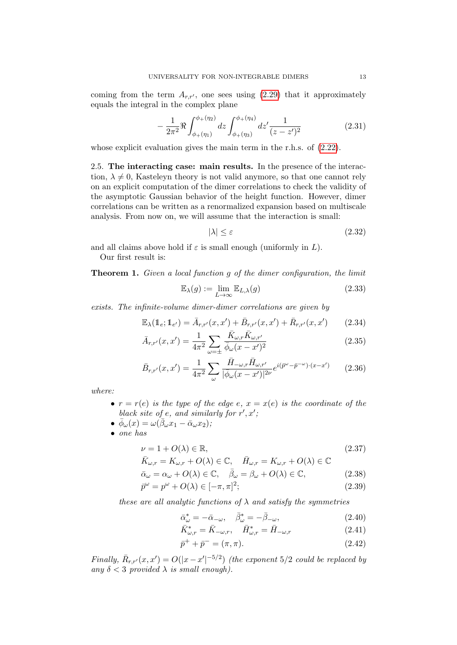coming from the term  $A_{r,r'}$ , one sees using [\(2.29\)](#page-11-2) that it approximately equals the integral in the complex plane

<span id="page-12-4"></span>
$$
-\frac{1}{2\pi^2} \Re \int_{\phi_+(\eta_1)}^{\phi_+(\eta_2)} dz \int_{\phi_+(\eta_3)}^{\phi_+(\eta_4)} dz' \frac{1}{(z-z')^2} \tag{2.31}
$$

whose explicit evaluation gives the main term in the r.h.s. of  $(2.22)$ .

2.5. The interacting case: main results. In the presence of the interaction,  $\lambda \neq 0$ , Kasteleyn theory is not valid anymore, so that one cannot rely on an explicit computation of the dimer correlations to check the validity of the asymptotic Gaussian behavior of the height function. However, dimer correlations can be written as a renormalized expansion based on multiscale analysis. From now on, we will assume that the interaction is small:

$$
|\lambda| \le \varepsilon \tag{2.32}
$$

and all claims above hold if  $\varepsilon$  is small enough (uniformly in L).

Our first result is:

<span id="page-12-0"></span>**Theorem 1.** Given a local function g of the dimer configuration, the limit

$$
\mathbb{E}_{\lambda}(g) := \lim_{L \to \infty} \mathbb{E}_{L,\lambda}(g)
$$
\n(2.33)

exists. The infinite-volume dimer-dimer correlations are given by

<span id="page-12-2"></span>
$$
\mathbb{E}_{\lambda}(\mathbb{1}_{e}; \mathbb{1}_{e'}) = \bar{A}_{r,r'}(x, x') + \bar{B}_{r,r'}(x, x') + \bar{R}_{r,r'}(x, x') \qquad (2.34)
$$

$$
\bar{A}_{r,r'}(x,x') = \frac{1}{4\pi^2} \sum_{\omega=\pm} \frac{\bar{K}_{\omega,r} \bar{K}_{\omega,r'}}{\bar{\phi}_{\omega}(x-x')^2}
$$
(2.35)

$$
\bar{B}_{r,r'}(x,x') = \frac{1}{4\pi^2} \sum_{\omega} \frac{\bar{H}_{-\omega,r} \bar{H}_{\omega,r'}}{|\bar{\phi}_{\omega}(x-x')|^{2\nu}} e^{i(\bar{p}^{\omega} - \bar{p}^{-\omega}) \cdot (x-x')} \tag{2.36}
$$

where:

- $r = r(e)$  is the type of the edge e,  $x = x(e)$  is the coordinate of the black site of e, and similarly for  $r', x'$ ;
- $\bullet\ \bar{\phi}_\omega(x)=\omega(\bar{\beta}_\omega x_1-\bar{\alpha}_\omega x_2);$
- one has

<span id="page-12-1"></span>
$$
\nu = 1 + O(\lambda) \in \mathbb{R},\tag{2.37}
$$

$$
\bar{K}_{\omega,r} = K_{\omega,r} + O(\lambda) \in \mathbb{C}, \quad \bar{H}_{\omega,r} = K_{\omega,r} + O(\lambda) \in \mathbb{C}
$$

$$
\bar{\alpha}_{\omega} = \alpha_{\omega} + O(\lambda) \in \mathbb{C}, \quad \bar{\beta}_{\omega} = \beta_{\omega} + O(\lambda) \in \mathbb{C}, \tag{2.38}
$$

$$
\bar{p}^{\omega} = p^{\omega} + O(\lambda) \in [-\pi, \pi]^2; \tag{2.39}
$$

these are all analytic functions of  $\lambda$  and satisfy the symmetries

<span id="page-12-3"></span>
$$
\bar{\alpha}^*_{\omega} = -\bar{\alpha}_{-\omega}, \quad \bar{\beta}^*_{\omega} = -\bar{\beta}_{-\omega}, \tag{2.40}
$$

$$
\bar{K}^*_{\omega,r} = \bar{K}_{-\omega,r}, \quad \bar{H}^*_{\omega,r} = \bar{H}_{-\omega,r}
$$
\n(2.41)

$$
\bar{p}^+ + \bar{p}^- = (\pi, \pi). \tag{2.42}
$$

Finally,  $\bar{R}_{r,r'}(x,x') = O(|x-x'|^{-5/2})$  (the exponent 5/2 could be replaced by any  $\delta < 3$  provided  $\lambda$  is small enough).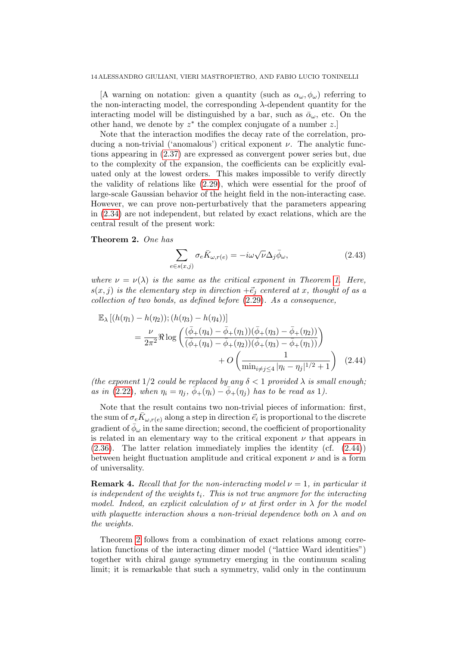[A warning on notation: given a quantity (such as  $\alpha_{\omega}, \phi_{\omega}$ ) referring to the non-interacting model, the corresponding  $\lambda$ -dependent quantity for the interacting model will be distinguished by a bar, such as  $\bar{\alpha}_{\omega}$ , etc. On the other hand, we denote by  $z^*$  the complex conjugate of a number  $z$ .

Note that the interaction modifies the decay rate of the correlation, producing a non-trivial ('anomalous') critical exponent  $\nu$ . The analytic functions appearing in [\(2.37\)](#page-12-1) are expressed as convergent power series but, due to the complexity of the expansion, the coefficients can be explicitly evaluated only at the lowest orders. This makes impossible to verify directly the validity of relations like [\(2.29\)](#page-11-2), which were essential for the proof of large-scale Gaussian behavior of the height field in the non-interacting case. However, we can prove non-perturbatively that the parameters appearing in [\(2.34\)](#page-12-2) are not independent, but related by exact relations, which are the central result of the present work:

<span id="page-13-1"></span>Theorem 2. One has

<span id="page-13-3"></span><span id="page-13-2"></span>
$$
\sum_{e \in s(x,j)} \sigma_e \bar{K}_{\omega, r(e)} = -i\omega \sqrt{\nu} \Delta_j \bar{\phi}_{\omega}, \qquad (2.43)
$$

where  $\nu = \nu(\lambda)$  is the same as the critical exponent in Theorem [1.](#page-12-0) Here,  $s(x, j)$  is the elementary step in direction  $+ \vec{e}_i$  centered at x, thought of as a collection of two bonds, as defined before [\(2.29\)](#page-11-2). As a consequence,

$$
\mathbb{E}_{\lambda} [(h(\eta_1) - h(\eta_2)); (h(\eta_3) - h(\eta_4))]
$$
\n
$$
= \frac{\nu}{2\pi^2} \Re \log \left( \frac{(\bar{\phi}_+(\eta_4) - \bar{\phi}_+(\eta_1))(\bar{\phi}_+(\eta_3) - \bar{\phi}_+(\eta_2))}{(\bar{\phi}_+(\eta_4) - \bar{\phi}_+(\eta_2))(\bar{\phi}_+(\eta_3) - \bar{\phi}_+(\eta_1))} \right) + O \left( \frac{1}{\min_{i \neq j \le 4} |\eta_i - \eta_j|^{1/2} + 1} \right) (2.44)
$$

(the exponent  $1/2$  could be replaced by any  $\delta < 1$  provided  $\lambda$  is small enough; as in [\(2.22\)](#page-10-1), when  $\eta_i = \eta_i$ ,  $\bar{\phi}_+(\eta_i) - \bar{\phi}_+(\eta_i)$  has to be read as 1).

Note that the result contains two non-trivial pieces of information: first, the sum of  $\sigma_e \bar{K}_{\omega, r(e)}$  along a step in direction  $\vec{e_i}$  is proportional to the discrete gradient of  $\bar{\phi}_{\omega}$  in the same direction; second, the coefficient of proportionality is related in an elementary way to the critical exponent  $\nu$  that appears in  $(2.36)$ . The latter relation immediately implies the identity (cf.  $(2.44)$ ) between height fluctuation amplitude and critical exponent  $\nu$  and is a form of universality.

<span id="page-13-0"></span>**Remark 4.** Recall that for the non-interacting model  $\nu = 1$ , in particular it is independent of the weights  $t_i$ . This is not true anymore for the interacting model. Indeed, an explicit calculation of  $\nu$  at first order in  $\lambda$  for the model with plaquette interaction shows a non-trivial dependence both on  $\lambda$  and on the weights.

Theorem [2](#page-13-1) follows from a combination of exact relations among correlation functions of the interacting dimer model ("lattice Ward identities") together with chiral gauge symmetry emerging in the continuum scaling limit; it is remarkable that such a symmetry, valid only in the continuum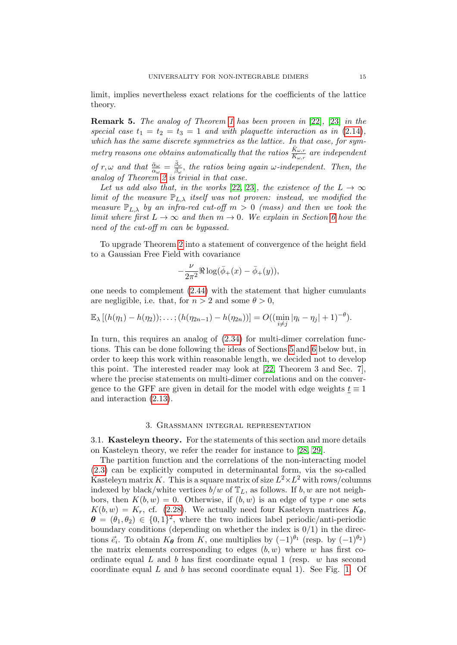limit, implies nevertheless exact relations for the coefficients of the lattice theory.

Remark 5. The analog of Theorem [1](#page-12-0) has been proven in [\[22\]](#page-71-0), [\[23\]](#page-71-1) in the special case  $t_1 = t_2 = t_3 = 1$  and with plaquette interaction as in [\(2.14\)](#page-7-2), which has the same discrete symmetries as the lattice. In that case, for symmetry reasons one obtains automatically that the ratios  $\frac{\bar{K}_{\omega,r}}{K_{\omega,r}}$  are independent

of  $r, \omega$  and that  $\frac{\bar{\alpha}_{\omega}}{\alpha_{\omega}} = \frac{\bar{\beta}_{\omega}}{\beta_{\omega}}$  $\frac{\beta_{\omega}}{\beta_{\omega}},$  the ratios being again  $\omega$ -independent. Then, the analog of Theorem [2](#page-13-1) is trivial in that case.

Let us add also that, in the works [\[22,](#page-71-0) [23\]](#page-71-1), the existence of the  $L \rightarrow \infty$ limit of the measure  $\mathbb{P}_{L,\lambda}$  itself was not proven: instead, we modified the measure  $\mathbb{P}_{L,\lambda}$  by an infra-red cut-off  $m > 0$  (mass) and then we took the limit where first  $L \to \infty$  and then  $m \to 0$ . We explain in Section [6](#page-29-0) how the need of the cut-off m can be bypassed.

To upgrade Theorem [2](#page-13-1) into a statement of convergence of the height field to a Gaussian Free Field with covariance

$$
-\frac{\nu}{2\pi^2}\Re\log(\bar\phi_+(x)-\bar\phi_+(y)),
$$

one needs to complement [\(2.44\)](#page-13-3) with the statement that higher cumulants are negligible, i.e. that, for  $n > 2$  and some  $\theta > 0$ ,

$$
\mathbb{E}_{\lambda} [(h(\eta_1) - h(\eta_2)); \ldots; (h(\eta_{2n-1}) - h(\eta_{2n}))] = O((\min_{i \neq j} |\eta_i - \eta_j| + 1)^{-\theta}).
$$

In turn, this requires an analog of  $(2.34)$  for multi-dimer correlation functions. This can be done following the ideas of Sections [5](#page-25-0) and [6](#page-29-0) below but, in order to keep this work within reasonable length, we decided not to develop this point. The interested reader may look at [\[22,](#page-71-0) Theorem 3 and Sec. 7], where the precise statements on multi-dimer correlations and on the convergence to the GFF are given in detail for the model with edge weights  $\underline{t} \equiv 1$ and interaction [\(2.13\)](#page-7-3).

### 3. Grassmann integral representation

<span id="page-14-1"></span><span id="page-14-0"></span>3.1. Kasteleyn theory. For the statements of this section and more details on Kasteleyn theory, we refer the reader for instance to [\[28,](#page-71-12) [29\]](#page-71-3).

The partition function and the correlations of the non-interacting model [\(2.3\)](#page-6-1) can be explicitly computed in determinantal form, via the so-called Kasteleyn matrix K. This is a square matrix of size  $L^2 \times L^2$  with rows/columns indexed by black/white vertices  $b/w$  of  $\mathbb{T}_L$ , as follows. If  $b, w$  are not neighbors, then  $K(b, w) = 0$ . Otherwise, if  $(b, w)$  is an edge of type r one sets  $K(b, w) = K_r$ , cf. [\(2.28\)](#page-11-3). We actually need four Kasteleyn matrices  $K_{\theta}$ ,  $\boldsymbol{\theta} = (\theta_1, \theta_2) \in \{0, 1\}^2$ , where the two indices label periodic/anti-periodic boundary conditions (depending on whether the index is  $0/1$ ) in the directions  $\vec{e}_i$ . To obtain  $K_{\theta}$  from K, one multiplies by  $(-1)^{\theta_1}$  (resp. by  $(-1)^{\theta_2}$ ) the matrix elements corresponding to edges  $(b, w)$  where w has first coordinate equal  $L$  and  $b$  has first coordinate equal 1 (resp.  $w$  has second coordinate equal  $L$  and  $b$  has second coordinate equal 1). See Fig. [1.](#page-5-0) Of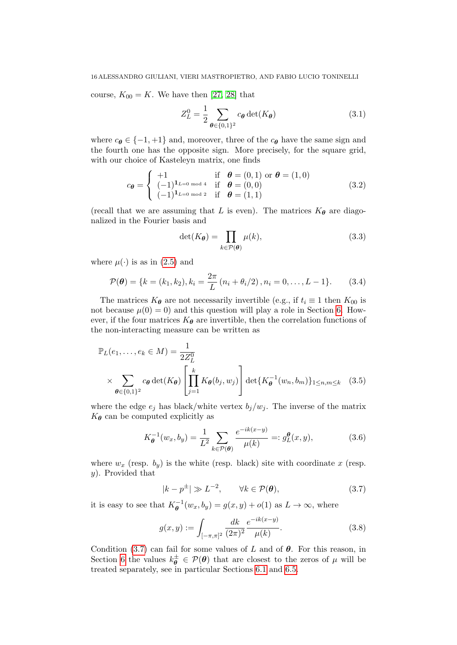course,  $K_{00} = K$ . We have then [\[27,](#page-71-2) [28\]](#page-71-12) that

<span id="page-15-1"></span>
$$
Z_L^0 = \frac{1}{2} \sum_{\theta \in \{0,1\}^2} c_{\theta} \det(K_{\theta}) \tag{3.1}
$$

where  $c_{\theta} \in \{-1, +1\}$  and, moreover, three of the  $c_{\theta}$  have the same sign and the fourth one has the opposite sign. More precisely, for the square grid, with our choice of Kasteleyn matrix, one finds

$$
c_{\theta} = \begin{cases} +1 & \text{if } \theta = (0,1) \text{ or } \theta = (1,0) \\ (-1)^{1_{L=0 \text{ mod } 4}} & \text{if } \theta = (0,0) \\ (-1)^{1_{L=0 \text{ mod } 2}} & \text{if } \theta = (1,1) \end{cases}
$$
(3.2)

(recall that we are assuming that L is even). The matrices  $K_{\theta}$  are diagonalized in the Fourier basis and

$$
\det(K_{\theta}) = \prod_{k \in \mathcal{P}(\theta)} \mu(k),\tag{3.3}
$$

where  $\mu(\cdot)$  is as in [\(2.5\)](#page-6-2) and

$$
\mathcal{P}(\boldsymbol{\theta}) = \{k = (k_1, k_2), k_i = \frac{2\pi}{L} (n_i + \theta_i/2), n_i = 0, \dots, L - 1\}.
$$
 (3.4)

The matrices  $K_{\theta}$  are not necessarily invertible (e.g., if  $t_i \equiv 1$  then  $K_{00}$  is not because  $\mu(0) = 0$  and this question will play a role in Section [6.](#page-29-0) However, if the four matrices  $K_{\theta}$  are invertible, then the correlation functions of the non-interacting measure can be written as

$$
\mathbb{P}_L(e_1, \dots, e_k \in M) = \frac{1}{2Z_L^0}
$$
\n
$$
\times \sum_{\theta \in \{0,1\}^2} c_{\theta} \det(K_{\theta}) \left[ \prod_{j=1}^k K_{\theta}(b_j, w_j) \right] \det\{K_{\theta}^{-1}(w_n, b_m)\}_{1 \le n, m \le k} \quad (3.5)
$$

where the edge  $e_j$  has black/white vertex  $b_j/w_j$ . The inverse of the matrix  $K_{\theta}$  can be computed explicitly as

$$
K_{\theta}^{-1}(w_x, b_y) = \frac{1}{L^2} \sum_{k \in \mathcal{P}(\theta)} \frac{e^{-ik(x-y)}}{\mu(k)} =: g_L^{\theta}(x, y), \tag{3.6}
$$

where  $w_x$  (resp.  $b_y$ ) is the white (resp. black) site with coordinate x (resp. y). Provided that

<span id="page-15-0"></span>
$$
|k - p^{\pm}| \gg L^{-2}, \qquad \forall k \in \mathcal{P}(\boldsymbol{\theta}), \tag{3.7}
$$

it is easy to see that  $K_{\theta}^{-1}(w_x, b_y) = g(x, y) + o(1)$  as  $L \to \infty$ , where

$$
g(x,y) := \int_{[-\pi,\pi]^2} \frac{dk}{(2\pi)^2} \frac{e^{-ik(x-y)}}{\mu(k)}.
$$
 (3.8)

Condition [\(3.7\)](#page-15-0) can fail for some values of L and of  $\theta$ . For this reason, in Section [6](#page-29-0) the values  $k_{\theta}^{\pm} \in \mathcal{P}(\theta)$  that are closest to the zeros of  $\mu$  will be treated separately, see in particular Sections [6.1](#page-29-1) and [6.5.](#page-55-0)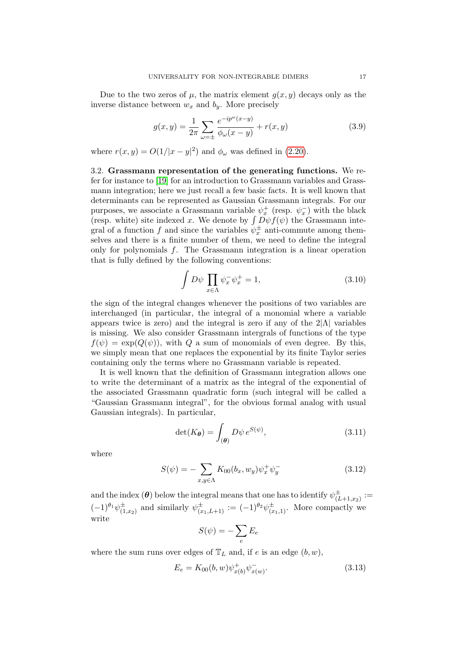Due to the two zeros of  $\mu$ , the matrix element  $g(x, y)$  decays only as the inverse distance between  $w_x$  and  $b_y$ . More precisely

$$
g(x,y) = \frac{1}{2\pi} \sum_{\omega = \pm} \frac{e^{-ip^{\omega}(x-y)}}{\phi_{\omega}(x-y)} + r(x,y)
$$
 (3.9)

where  $r(x, y) = O(1/|x - y|^2)$  and  $\phi_\omega$  was defined in [\(2.20\)](#page-9-2).

3.2. Grassmann representation of the generating functions. We refer for instance to [\[19\]](#page-71-13) for an introduction to Grassmann variables and Grassmann integration; here we just recall a few basic facts. It is well known that determinants can be represented as Gaussian Grassmann integrals. For our purposes, we associate a Grassmann variable  $\psi_x^+$  (resp.  $\psi_x^-$ ) with the black (resp. white) site indexed x. We denote by  $\int D\psi f(\psi)$  the Grassmann integral of a function f and since the variables  $\psi_x^{\pm}$  anti-commute among themselves and there is a finite number of them, we need to define the integral only for polynomials  $f$ . The Grassmann integration is a linear operation that is fully defined by the following conventions:

<span id="page-16-2"></span>
$$
\int D\psi \prod_{x \in \Lambda} \psi_x^- \psi_x^+ = 1, \tag{3.10}
$$

the sign of the integral changes whenever the positions of two variables are interchanged (in particular, the integral of a monomial where a variable appears twice is zero) and the integral is zero if any of the  $2|\Lambda|$  variables is missing. We also consider Grassmann intergrals of functions of the type  $f(\psi) = \exp(Q(\psi))$ , with Q a sum of monomials of even degree. By this, we simply mean that one replaces the exponential by its finite Taylor series containing only the terms where no Grassmann variable is repeated.

It is well known that the definition of Grassmann integration allows one to write the determinant of a matrix as the integral of the exponential of the associated Grassmann quadratic form (such integral will be called a "Gaussian Grassmann integral", for the obvious formal analog with usual Gaussian integrals). In particular,

<span id="page-16-1"></span>
$$
\det(K_{\theta}) = \int_{(\theta)} D\psi \, e^{S(\psi)},\tag{3.11}
$$

where

$$
S(\psi) = -\sum_{x,y \in \Lambda} K_{00}(b_x, w_y) \psi_x^+ \psi_y^-
$$
 (3.12)

and the index  $(\theta)$  below the integral means that one has to identify  $\psi_{\alpha}^{\pm}$  $\overline{\overset{\pm}{(L+1,x_2)}}:=$  $(-1)^{\theta_1}\psi_{0}^{\pm}$  $\psi^{\pm}_{(1,x_2)}$  and similarly  $\psi^{\pm}_{(x_1,L+1)} := (-1)^{\theta_2} \psi^{\pm}_{(x_1,1)}$ . More compactly we write

$$
S(\psi) = -\sum_{e} E_e
$$

where the sum runs over edges of  $\mathbb{T}_L$  and, if e is an edge  $(b, w)$ ,

<span id="page-16-0"></span>
$$
E_e = K_{00}(b, w)\psi_{x(b)}^+ \psi_{x(w)}^-.
$$
\n(3.13)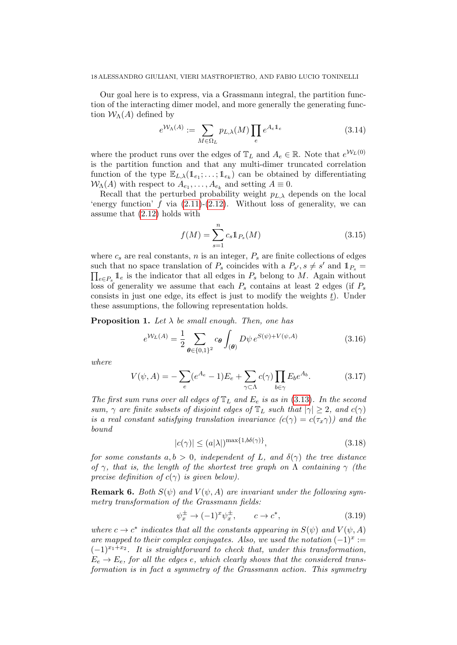Our goal here is to express, via a Grassmann integral, the partition function of the interacting dimer model, and more generally the generating function  $W_{\Lambda}(A)$  defined by

$$
e^{\mathcal{W}_{\Lambda}(A)} := \sum_{M \in \Omega_L} p_{L,\lambda}(M) \prod_e e^{A_e \mathbb{1}_e} \tag{3.14}
$$

where the product runs over the edges of  $\mathbb{T}_L$  and  $A_e \in \mathbb{R}$ . Note that  $e^{W_L(0)}$ is the partition function and that any multi-dimer truncated correlation function of the type  $\mathbb{E}_{L,\lambda}(\mathbb{1}_{e_1};\ldots;\mathbb{1}_{e_k})$  can be obtained by differentiating  $W_{\Lambda}(A)$  with respect to  $A_{e_1}, \ldots, A_{e_k}$  and setting  $A \equiv 0$ .

Recall that the perturbed probability weight  $p_{L,\lambda}$  depends on the local 'energy function'  $f$  via  $(2.11)-(2.12)$  $(2.11)-(2.12)$ . Without loss of generality, we can assume that [\(2.12\)](#page-7-1) holds with

$$
f(M) = \sum_{s=1}^{n} c_s \mathbb{1}_{P_s}(M)
$$
\n(3.15)

where  $c_s$  are real constants, n is an integer,  $P_s$  are finite collections of edges such that no space translation of  $P_s$  coincides with a  $P_{s'}$ ,  $s \neq s'$  and  $\mathbb{1}_{P_s}$  =  $\prod_{e \in P_s} \mathbb{1}_e$  is the indicator that all edges in  $P_s$  belong to M. Again without loss of generality we assume that each  $P_s$  contains at least 2 edges (if  $P_s$ consists in just one edge, its effect is just to modify the weights  $t$ ). Under these assumptions, the following representation holds.

<span id="page-17-0"></span>**Proposition 1.** Let  $\lambda$  be small enough. Then, one has

$$
e^{\mathcal{W}_L(A)} = \frac{1}{2} \sum_{\theta \in \{0,1\}^2} c_{\theta} \int_{(\theta)} D\psi \, e^{S(\psi) + V(\psi, A)} \tag{3.16}
$$

where

<span id="page-17-1"></span>
$$
V(\psi, A) = -\sum_{e} (e^{A_e} - 1) E_e + \sum_{\gamma \subset \Lambda} c(\gamma) \prod_{b \in \gamma} E_b e^{A_b}.
$$
 (3.17)

The first sum runs over all edges of  $\mathbb{T}_L$  and  $E_e$  is as in [\(3.13\)](#page-16-0). In the second sum,  $\gamma$  are finite subsets of disjoint edges of  $\mathbb{T}_L$  such that  $|\gamma| \geq 2$ , and  $c(\gamma)$ is a real constant satisfying translation invariance  $(c(\gamma) = c(\tau_x \gamma))$  and the bound

<span id="page-17-2"></span>
$$
|c(\gamma)| \le (a|\lambda|)^{\max\{1, b\delta(\gamma)\}},\tag{3.18}
$$

for some constants  $a, b > 0$ , independent of L, and  $\delta(\gamma)$  the tree distance of  $\gamma$ , that is, the length of the shortest tree graph on  $\Lambda$  containing  $\gamma$  (the precise definition of  $c(\gamma)$  is given below).

**Remark 6.** Both  $S(\psi)$  and  $V(\psi, A)$  are invariant under the following symmetry transformation of the Grassmann fields:

$$
\psi_x^{\pm} \to (-1)^x \psi_x^{\pm}, \qquad c \to c^*, \tag{3.19}
$$

where  $c \to c^*$  indicates that all the constants appearing in  $S(\psi)$  and  $V(\psi, A)$ are mapped to their complex conjugates. Also, we used the notation  $(-1)^x :=$  $(-1)^{x_1+x_2}$ . It is straightforward to check that, under this transformation,  $E_e \rightarrow E_e$ , for all the edges e, which clearly shows that the considered transformation is in fact a symmetry of the Grassmann action. This symmetry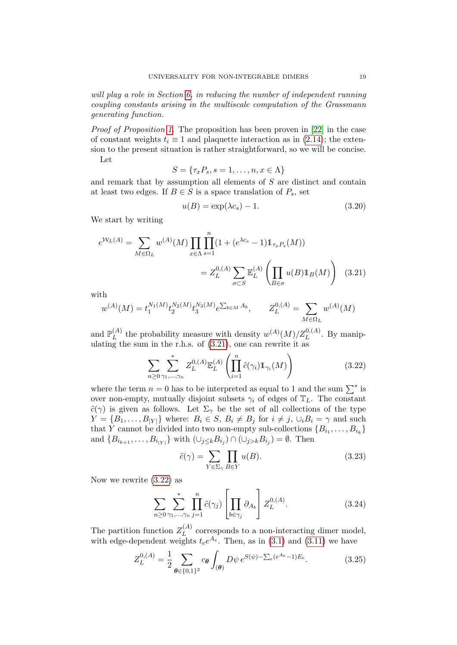will play a role in Section [6,](#page-29-0) in reducing the number of independent running coupling constants arising in the multiscale computation of the Grassmann generating function.

Proof of Proposition [1.](#page-17-0) The proposition has been proven in [\[22\]](#page-71-0) in the case of constant weights  $t_i \equiv 1$  and plaquette interaction as in [\(2.14\)](#page-7-2); the extension to the present situation is rather straightforward, so we will be concise. Let

$$
S = \{\tau_x P_s, s = 1, \dots, n, x \in \Lambda\}
$$

and remark that by assumption all elements of S are distinct and contain at least two edges. If  $B \in S$  is a space translation of  $P_s$ , set

<span id="page-18-0"></span>
$$
u(B) = \exp(\lambda c_s) - 1. \tag{3.20}
$$

We start by writing

$$
e^{\mathcal{W}_L(A)} = \sum_{M \in \Omega_L} w^{(A)}(M) \prod_{x \in \Lambda} \prod_{s=1}^n (1 + (e^{\lambda c_s} - 1) \mathbb{1}_{\tau_x P_s}(M))
$$

$$
= Z_L^{0,(A)} \sum_{\sigma \subset S} \mathbb{E}_L^{(A)} \left( \prod_{B \in \sigma} u(B) \mathbb{1}_B(M) \right) (3.21)
$$

with

$$
w^{(A)}(M) = t_1^{N_1(M)} t_2^{N_2(M)} t_3^{N_3(M)} e^{\sum_{b \in M} A_b}, \qquad Z_L^{0,(A)} = \sum_{M \in \Omega_L} w^{(A)}(M)
$$

and  $\mathbb{P}_{L}^{(A)}$  $L^{(A)}$  the probability measure with density  $w^{(A)}(M)/Z_L^{0,(A)}$ . By manipulating the sum in the r.h.s. of  $(3.21)$ , one can rewrite it as

<span id="page-18-1"></span>
$$
\sum_{n\geq 0} \sum_{\gamma_1,\dots,\gamma_n}^* Z_L^{0,(A)} \mathbb{E}_L^{(A)} \left( \prod_{i=1}^n \tilde{c}(\gamma_i) \mathbb{1}_{\gamma_i}(M) \right) \tag{3.22}
$$

where the term  $n = 0$  has to be interpreted as equal to 1 and the sum  $\sum^*$  is over non-empty, mutually disjoint subsets  $\gamma_i$  of edges of  $\mathbb{T}_L$ . The constant  $\tilde{c}(\gamma)$  is given as follows. Let  $\Sigma_{\gamma}$  be the set of all collections of the type  $Y = \{B_1, \ldots, B_{|Y|}\}\$  where:  $B_i \in S, B_i \neq B_j \text{ for } i \neq j, \cup_i B_i = \gamma \text{ and such}$ that Y cannot be divided into two non-empty sub-collections  $\{B_{i_1}, \ldots, B_{i_k}\}\$ and  $\{B_{i_{k+1}},\ldots,B_{i_{|Y|}}\}\$  with  $(\cup_{j\leq k}B_{i_j})\cap(\cup_{j>k}B_{i_j})=\emptyset$ . Then

$$
\tilde{c}(\gamma) = \sum_{Y \in \Sigma_{\gamma}} \prod_{B \in Y} u(B). \tag{3.23}
$$

Now we rewrite [\(3.22\)](#page-18-1) as

<span id="page-18-3"></span>
$$
\sum_{n\geq 0} \sum_{\gamma_1,\dots,\gamma_n}^* \prod_{j=1}^n \tilde{c}(\gamma_j) \left[ \prod_{b \in \gamma_j} \partial_{A_b} \right] Z_L^{0,(A)}.
$$
 (3.24)

The partition function  $Z_L^{(A)}$  $L^{(A)}$  corresponds to a non-interacting dimer model, with edge-dependent weights  $t_e e^{A_e}$ . Then, as in [\(3.1\)](#page-15-1) and [\(3.11\)](#page-16-1) we have

<span id="page-18-2"></span>
$$
Z_L^{0,(A)} = \frac{1}{2} \sum_{\theta \in \{0,1\}^2} c_{\theta} \int_{(\theta)} D\psi \, e^{S(\psi) - \sum_e (e^{A_e} - 1) E_e}.
$$
 (3.25)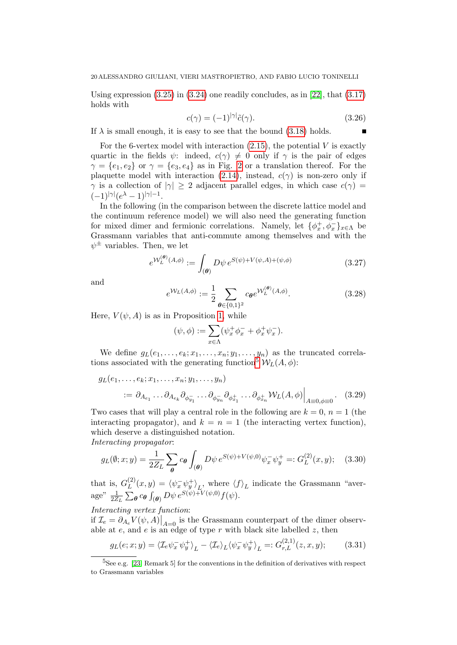Using expression  $(3.25)$  in  $(3.24)$  one readily concludes, as in [\[22\]](#page-71-0), that  $(3.17)$ holds with

$$
c(\gamma) = (-1)^{|\gamma|} \tilde{c}(\gamma). \tag{3.26}
$$

 $\blacksquare$ 

If  $\lambda$  is small enough, it is easy to see that the bound [\(3.18\)](#page-17-2) holds.

For the 6-vertex model with interaction  $(2.15)$ , the potential V is exactly quartic in the fields  $\psi$ : indeed,  $c(\gamma) \neq 0$  only if  $\gamma$  is the pair of edges  $\gamma = \{e_1, e_2\}$  or  $\gamma = \{e_3, e_4\}$  as in Fig. [2](#page-8-0) or a translation thereof. For the plaquette model with interaction [\(2.14\)](#page-7-2), instead,  $c(\gamma)$  is non-zero only if  $\gamma$  is a collection of  $|\gamma| \geq 2$  adjacent parallel edges, in which case  $c(\gamma)$  $(-1)^{|\gamma|} (e^{\lambda} - 1)^{|\gamma|-1}.$ 

In the following (in the comparison between the discrete lattice model and the continuum reference model) we will also need the generating function for mixed dimer and fermionic correlations. Namely, let  $\{\phi_x^+, \phi_x^-\}_{x \in \Lambda}$  be Grassmann variables that anti-commute among themselves and with the  $\psi^{\pm}$  variables. Then, we let

<span id="page-19-0"></span>
$$
e^{\mathcal{W}_L^{(\theta)}(A,\phi)} := \int_{(\theta)} D\psi \, e^{S(\psi) + V(\psi,A) + (\psi,\phi)} \tag{3.27}
$$

and

<span id="page-19-1"></span>
$$
e^{\mathcal{W}_L(A,\phi)} := \frac{1}{2} \sum_{\theta \in \{0,1\}^2} c_{\theta} e^{\mathcal{W}_L^{(\theta)}(A,\phi)}.
$$
 (3.28)

Here,  $V(\psi, A)$  is as in Proposition [1,](#page-17-0) while

$$
(\psi, \phi) := \sum_{x \in \Lambda} (\psi_x^+ \phi_x^- + \phi_x^+ \psi_x^-).
$$

We define  $g_L(e_1,\ldots,e_k;x_1,\ldots,x_n;y_1,\ldots,y_n)$  as the truncated correla-tions associated with the generating function<sup>[5](#page-0-0)</sup>  $W_L(A, \phi)$ :

$$
g_L(e_1, ..., e_k; x_1, ..., x_n; y_1, ..., y_n)
$$
  
 :=  $\partial_{A_{e_1}} ... \partial_{A_{e_k}} \partial_{\phi_{y_1}} ... \partial_{\phi_{y_n}} \partial_{\phi_{x_1}} ... \partial_{\phi_{x_n}} W_L(A, \phi)|_{A=0, \phi=0}$ . (3.29)

Two cases that will play a central role in the following are  $k = 0$ ,  $n = 1$  (the interacting propagator), and  $k = n = 1$  (the interacting vertex function), which deserve a distinguished notation. Interacting propagator:

$$
g_L(\emptyset; x; y) = \frac{1}{2Z_L} \sum_{\theta} c_{\theta} \int_{(\theta)} D\psi \, e^{S(\psi) + V(\psi, 0)} \psi_x^- \psi_y^+ =: G_L^{(2)}(x, y); \quad (3.30)
$$

that is,  $G_L^{(2)}$  $L^{(2)}(x,y) = \langle \psi_x^-\psi_y^+ \rangle_L$ , where  $\langle f \rangle_L$  indicate the Grassmann "average"  $\frac{1}{2Z_L} \sum_{\boldsymbol{\theta}} c_{\boldsymbol{\theta}} \int_{(\boldsymbol{\theta})} D\psi \, e^{S(\psi) + V(\psi,0)} f(\psi).$ 

Interacting vertex function:

if  $\mathcal{I}_e = \partial_{A_e} V(\psi, A) \big|_{A=0}$  is the Grassmann counterpart of the dimer observable at  $e$ , and  $e$  is an edge of type  $r$  with black site labelled  $z$ , then

$$
g_L(e;x;y) = \langle \mathcal{I}_e \psi_x^- \psi_y^+ \rangle_L - \langle \mathcal{I}_e \rangle_L \langle \psi_x^- \psi_y^+ \rangle_L =: G_{r,L}^{(2,1)}(z,x,y); \tag{3.31}
$$

<sup>5</sup>See e.g. [\[23,](#page-71-1) Remark 5] for the conventions in the definition of derivatives with respect to Grassmann variables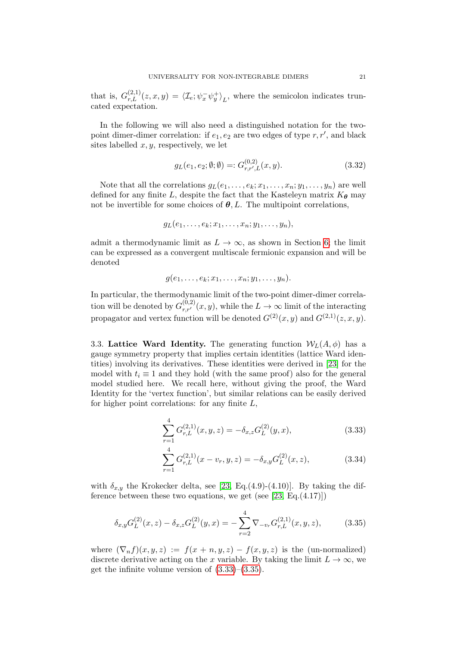that is,  $G_{r,L}^{(2,1)}(z,x,y) = \langle \mathcal{I}_e; \psi_x^- \psi_y^+ \rangle_L$ , where the semicolon indicates truncated expectation.

In the following we will also need a distinguished notation for the twopoint dimer-dimer correlation: if  $e_1, e_2$  are two edges of type  $r, r'$ , and black sites labelled  $x, y$ , respectively, we let

$$
g_L(e_1, e_2; \emptyset; \emptyset) =: G_{r,r',L}^{(0,2)}(x, y). \tag{3.32}
$$

Note that all the correlations  $g_L(e_1, \ldots, e_k; x_1, \ldots, x_n; y_1, \ldots, y_n)$  are well defined for any finite L, despite the fact that the Kasteleyn matrix  $K_{\theta}$  may not be invertible for some choices of  $\theta$ , L. The multipoint correlations,

$$
g_L(e_1,\ldots,e_k;x_1,\ldots,x_n;y_1,\ldots,y_n),
$$

admit a thermodynamic limit as  $L \to \infty$ , as shown in Section [6;](#page-29-0) the limit can be expressed as a convergent multiscale fermionic expansion and will be denoted

$$
g(e_1,\ldots,e_k;x_1,\ldots,x_n;y_1,\ldots,y_n).
$$

In particular, the thermodynamic limit of the two-point dimer-dimer correlation will be denoted by  $G_{r,r'}^{(0,2)}(x,y)$ , while the  $L \to \infty$  limit of the interacting propagator and vertex function will be denoted  $G^{(2)}(x, y)$  and  $G^{(2,1)}(z, x, y)$ .

3.3. Lattice Ward Identity. The generating function  $W_L(A, \phi)$  has a gauge symmetry property that implies certain identities (lattice Ward identities) involving its derivatives. These identities were derived in [\[23\]](#page-71-1) for the model with  $t_i \equiv 1$  and they hold (with the same proof) also for the general model studied here. We recall here, without giving the proof, the Ward Identity for the 'vertex function', but similar relations can be easily derived for higher point correlations: for any finite  $L$ ,

<span id="page-20-0"></span>
$$
\sum_{r=1}^{4} G_{r,L}^{(2,1)}(x,y,z) = -\delta_{x,z} G_L^{(2)}(y,x),
$$
\n(3.33)

$$
\sum_{r=1}^{4} G_{r,L}^{(2,1)}(x - v_r, y, z) = -\delta_{x,y} G_L^{(2)}(x, z),
$$
\n(3.34)

with  $\delta_{x,y}$  the Krokecker delta, see [\[23,](#page-71-1) Eq.(4.9)-(4.10)]. By taking the difference between these two equations, we get (see  $[23, Eq. (4.17)]$ )

<span id="page-20-1"></span>
$$
\delta_{x,y} G_L^{(2)}(x,z) - \delta_{x,z} G_L^{(2)}(y,x) = -\sum_{r=2}^4 \nabla_{-v_r} G_{r,L}^{(2,1)}(x,y,z),\tag{3.35}
$$

where  $(\nabla_n f)(x, y, z) := f(x + n, y, z) - f(x, y, z)$  is the (un-normalized) discrete derivative acting on the x variable. By taking the limit  $L \to \infty$ , we get the infinite volume version of  $(3.33)$ – $(3.35)$ .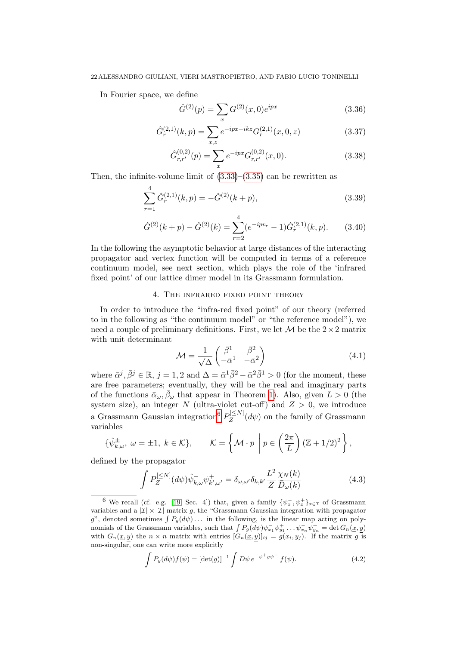In Fourier space, we define

<span id="page-21-3"></span>
$$
\hat{G}^{(2)}(p) = \sum_{x} G^{(2)}(x,0)e^{ipx}
$$
\n(3.36)

$$
\hat{G}_r^{(2,1)}(k,p) = \sum_{x,z} e^{-ipx-ikz} G_r^{(2,1)}(x,0,z)
$$
\n(3.37)

$$
\hat{G}^{(0,2)}_{r,r'}(p) = \sum_{x} e^{-ipx} G^{(0,2)}_{r,r'}(x,0). \tag{3.38}
$$

Then, the infinite-volume limit of  $(3.33)$ – $(3.35)$  can be rewritten as

<span id="page-21-2"></span>
$$
\sum_{r=1}^{4} \hat{G}_r^{(2,1)}(k,p) = -\hat{G}^{(2)}(k+p),
$$
\n(3.39)

$$
\hat{G}^{(2)}(k+p) - \hat{G}^{(2)}(k) = \sum_{r=2}^{4} (e^{-ipv_r} - 1)\hat{G}^{(2,1)}_r(k,p).
$$
 (3.40)

In the following the asymptotic behavior at large distances of the interacting propagator and vertex function will be computed in terms of a reference continuum model, see next section, which plays the role of the 'infrared fixed point' of our lattice dimer model in its Grassmann formulation.

# 4. The infrared fixed point theory

<span id="page-21-0"></span>In order to introduce the "infra-red fixed point" of our theory (referred to in the following as "the continuum model" or "the reference model"), we need a couple of preliminary definitions. First, we let  $\mathcal M$  be the  $2\times 2$  matrix with unit determinant

<span id="page-21-4"></span>
$$
\mathcal{M} = \frac{1}{\sqrt{\Delta}} \begin{pmatrix} \bar{\beta}^1 & \bar{\beta}^2 \\ -\bar{\alpha}^1 & -\bar{\alpha}^2 \end{pmatrix} \tag{4.1}
$$

where  $\bar{\alpha}^j$ ,  $\bar{\beta}^j \in \mathbb{R}$ ,  $j = 1, 2$  and  $\Delta = \bar{\alpha}^1 \bar{\beta}^2 - \bar{\alpha}^2 \bar{\beta}^1 > 0$  (for the moment, these are free parameters; eventually, they will be the real and imaginary parts of the functions  $\bar{\alpha}_{\omega}, \bar{\beta}_{\omega}$  that appear in Theorem [1\)](#page-12-0). Also, given  $L > 0$  (the system size), an integer N (ultra-violet cut-off) and  $Z > 0$ , we introduce a Grassmann Gaussian integration<sup>[6](#page-0-0)</sup>  $P_Z^{[\leq N]}$  $Z_Z^{\left[\sum N\right]}(d\psi)$  on the family of Grassmann variables

$$
\{\hat{\psi}_{k,\omega}^{\pm}, \ \omega = \pm 1, \ k \in \mathcal{K}\}, \qquad \mathcal{K} = \left\{\mathcal{M} \cdot p \middle| p \in \left(\frac{2\pi}{L}\right) (\mathbb{Z} + 1/2)^2 \right\},
$$

defined by the propagator

<span id="page-21-1"></span>
$$
\int P_Z^{[\leq N]} (d\psi) \hat{\psi}_{k,\omega}^- \psi_{k',\omega'}^+ = \delta_{\omega,\omega'} \delta_{k,k'} \frac{L^2}{Z} \frac{\chi_N(k)}{\bar{D}_{\omega}(k)} \tag{4.3}
$$

$$
\int P_g(d\psi) f(\psi) = \left[\det(g)\right]^{-1} \int D\psi \, e^{-\psi^+ g \psi^-} f(\psi). \tag{4.2}
$$

<sup>&</sup>lt;sup>6</sup> We recall (cf. e.g. [\[19,](#page-71-13) Sec. 4]) that, given a family  $\{\psi_x^-, \psi_x^+\}_{x \in \mathcal{I}}$  of Grassmann variables and a  $|\mathcal{I}| \times |\mathcal{I}|$  matrix g, the "Grassmann Gaussian integration with propagator g", denoted sometimes  $\int P_g(d\psi) \dots$  in the following, is the linear map acting on polynomials of the Grassmann variables, such that  $\int P_g(d\psi)\psi_{x_1}^- \psi_{y_1}^+ \dots \psi_{x_n}^- \psi_{y_n}^+ = \det G_n(\underline{x}, \underline{y})$ with  $G_n(\underline{x}, y)$  the  $n \times n$  matrix with entries  $[G_n(\underline{x}, y)]_{ij} = g(x_i, y_j)$ . If the matrix g is non-singular, one can write more explicitly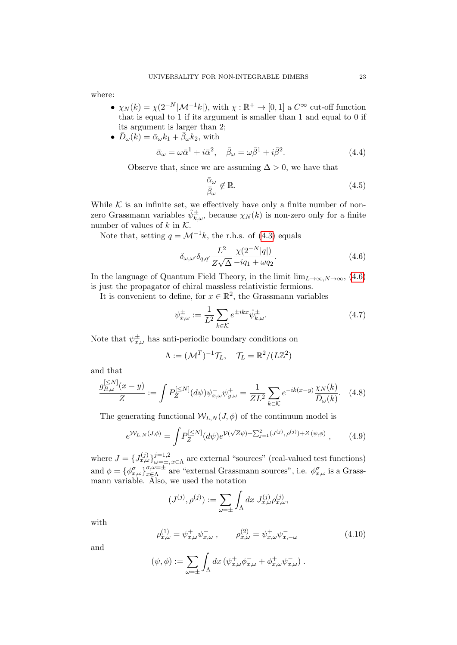where:

- $\chi_N(k) = \chi(2^{-N}|\mathcal{M}^{-1}k|)$ , with  $\chi : \mathbb{R}^+ \to [0,1]$  a  $C^{\infty}$  cut-off function that is equal to 1 if its argument is smaller than 1 and equal to 0 if its argument is larger than 2;
- $\overrightarrow{D}_{\omega}(k) = \overrightarrow{\alpha}_{\omega}k_1 + \overrightarrow{\beta}_{\omega}k_2$ , with

$$
\bar{\alpha}_{\omega} = \omega \bar{\alpha}^1 + i \bar{\alpha}^2, \quad \bar{\beta}_{\omega} = \omega \bar{\beta}^1 + i \bar{\beta}^2. \tag{4.4}
$$

Observe that, since we are assuming  $\Delta > 0$ , we have that

<span id="page-22-2"></span>
$$
\frac{\bar{\alpha}_{\omega}}{\bar{\beta}_{\omega}} \notin \mathbb{R}.\tag{4.5}
$$

While  $K$  is an infinite set, we effectively have only a finite number of nonzero Grassmann variables  $\hat{\psi}_{k,\omega}^{\pm}$ , because  $\chi_N(k)$  is non-zero only for a finite number of values of  $k$  in  $K$ .

Note that, setting  $q = \mathcal{M}^{-1}k$ , the r.h.s. of [\(4.3\)](#page-21-1) equals

<span id="page-22-0"></span>
$$
\delta_{\omega,\omega'}\delta_{q,q'}\frac{L^2}{Z\sqrt{\Delta}}\frac{\chi(2^{-N}|q|)}{-iq_1+\omega q_2}.\tag{4.6}
$$

In the language of Quantum Field Theory, in the limit  $\lim_{L\to\infty}N\to\infty$ , [\(4.6\)](#page-22-0) is just the propagator of chiral massless relativistic fermions.

It is convenient to define, for  $x \in \mathbb{R}^2$ , the Grassmann variables

$$
\psi_{x,\omega}^{\pm} := \frac{1}{L^2} \sum_{k \in \mathcal{K}} e^{\pm ikx} \hat{\psi}_{k,\omega}^{\pm}.
$$
\n(4.7)

Note that  $\psi_{x,\omega}^{\pm}$  has anti-periodic boundary conditions on

$$
\Lambda := (\mathcal{M}^T)^{-1} \mathcal{T}_L, \quad \mathcal{T}_L = \mathbb{R}^2 / (L\mathbb{Z}^2)
$$

and that

$$
\frac{g_{R,\omega}^{[\leq N]}(x-y)}{Z} := \int P_Z^{[\leq N]}(d\psi)\psi_{x,\omega}^- \psi_{y,\omega}^+ = \frac{1}{ZL^2} \sum_{k \in \mathcal{K}} e^{-ik(x-y)} \frac{\chi_N(k)}{\bar{D}_{\omega}(k)}.
$$
 (4.8)

The generating functional  $W_{LN}(J, \phi)$  of the continuum model is

<span id="page-22-1"></span>
$$
e^{\mathcal{W}_{L,N}(J,\phi)} = \int P_Z^{[\leq N]}(d\psi)e^{\mathcal{V}(\sqrt{Z}\psi) + \sum_{j=1}^2 (J^{(j)}, \rho^{(j)}) + Z(\psi,\phi)},\tag{4.9}
$$

where  $J = \{J_{x,\omega}^{(j)}\}_{\omega=+}^{j=1,2}$  $\sum_{\omega=\pm, x \in \Lambda}^{j=1,2}$  are external "sources" (real-valued test functions) and  $\phi = {\phi_{x,\omega}^{\sigma}}_{x \in \Lambda}^{\sigma,\omega = \pm}$  $\sigma,\omega=\pm}$  are "external Grassmann sources", i.e.  $\phi^{\sigma}_{x,\omega}$  is a Grassmann variable. Also, we used the notation

$$
(J^{(j)}, \rho^{(j)}) := \sum_{\omega = \pm} \int_{\Lambda} dx \ J_{x,\omega}^{(j)} \rho_{x,\omega}^{(j)},
$$

with

$$
\rho_{x,\omega}^{(1)} = \psi_{x,\omega}^+ \psi_{x,\omega}^-, \qquad \rho_{x,\omega}^{(2)} = \psi_{x,\omega}^+ \psi_{x,-\omega}^- \tag{4.10}
$$

and

$$
(\psi, \phi) := \sum_{\omega = \pm} \int_{\Lambda} dx \left( \psi_{x, \omega}^{+} \phi_{x, \omega}^{-} + \phi_{x, \omega}^{+} \psi_{x, \omega}^{-} \right).
$$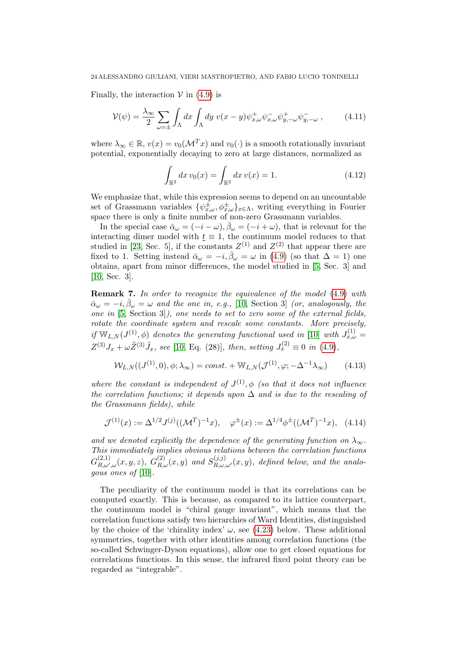Finally, the interaction  $V$  in [\(4.9\)](#page-22-1) is

$$
\mathcal{V}(\psi) = \frac{\lambda_{\infty}}{2} \sum_{\omega = \pm} \int_{\Lambda} dx \int_{\Lambda} dy \ v(x - y) \psi_{x,\omega}^{+} \psi_{x,\omega}^{-} \psi_{y,-\omega}^{+} \psi_{y,-\omega}^{-} , \qquad (4.11)
$$

where  $\lambda_{\infty} \in \mathbb{R}$ ,  $v(x) = v_0(\mathcal{M}^T x)$  and  $v_0(\cdot)$  is a smooth rotationally invariant potential, exponentially decaying to zero at large distances, normalized as

<span id="page-23-0"></span>
$$
\int_{\mathbb{R}^2} dx \, v_0(x) = \int_{\mathbb{R}^2} dx \, v(x) = 1. \tag{4.12}
$$

We emphasize that, while this expression seems to depend on an uncountable set of Grassmann variables  $\{\psi_{x,\omega}^{\pm},\phi_{x,\omega}^{\pm}\}_{{x \in \Lambda}}$ , writing everything in Fourier space there is only a finite number of non-zero Grassmann variables.

In the special case  $\bar{\alpha}_{\omega} = (-i - \omega), \bar{\beta}_{\omega} = (-i + \omega)$ , that is relevant for the interacting dimer model with  $t \equiv 1$ , the continuum model reduces to that studied in [\[23,](#page-71-1) Sec. 5], if the constants  $Z^{(1)}$  and  $Z^{(2)}$  that appear there are fixed to 1. Setting instead  $\bar{\alpha}_{\omega} = -i, \bar{\beta}_{\omega} = \omega$  in [\(4.9\)](#page-22-1) (so that  $\Delta = 1$ ) one obtains, apart from minor differences, the model studied in [\[5,](#page-70-3) Sec. 3] and [\[10,](#page-70-5) Sec. 3].

Remark 7. In order to recognize the equivalence of the model [\(4.9\)](#page-22-1) with  $\bar{\alpha}_{\omega} = -i, \bar{\beta}_{\omega} = \omega$  and the one in, e.g., [\[10,](#page-70-5) Section 3] (or, analogously, the one in [\[5,](#page-70-3) Section 3]), one needs to set to zero some of the external fields, rotate the coordinate system and rescale some constants. More precisely, if  $\mathbb{W}_{L,N}(J^{(1)},\phi)$  denotes the generating functional used in [\[10\]](#page-70-5) with  $J_{x,\omega}^{(1)} =$  $Z^{(3)}J_x + \omega \tilde{Z}^{(3)}\tilde{J}_x$ , see [\[10,](#page-70-5) Eq. (28)], then, setting  $J_x^{(2)} \equiv 0$  in [\(4.9\)](#page-22-1),

$$
\mathcal{W}_{L,N}((J^{(1)},0),\phi;\lambda_{\infty}) = const. + \mathbb{W}_{L,N}(\mathcal{J}^{(1)},\varphi; -\Delta^{-1}\lambda_{\infty})
$$
(4.13)

where the constant is independent of  $J^{(1)}$ ,  $\phi$  (so that it does not influence the correlation functions; it depends upon  $\Delta$  and is due to the rescaling of the Grassmann fields), while

$$
\mathcal{J}^{(1)}(x) := \Delta^{1/2} J^{(j)}((\mathcal{M}^T)^{-1} x), \quad \varphi^{\pm}(x) := \Delta^{1/4} \phi^{\pm}((\mathcal{M}^T)^{-1} x), \quad (4.14)
$$

and we denoted explicitly the dependence of the generating function on  $\lambda_{\infty}$ . This immediately implies obvious relations between the correlation functions  $G_{B}^{(2,1)}$  $\mathcal{L}_{R,\omega',\omega}^{(2,1)}(x,y,z),\ G_{R,\omega}^{(2)}(x,y)\ and\ S_{R,\omega,\omega'}^{(j,j)}(x,y),\ defined\ below,\ and\ the\ analog\ of\ B>0.$ gous ones of [\[10\]](#page-70-5).

The peculiarity of the continuum model is that its correlations can be computed exactly. This is because, as compared to its lattice counterpart, the continuum model is "chiral gauge invariant", which means that the correlation functions satisfy two hierarchies of Ward Identities, distinguished by the choice of the 'chirality index'  $\omega$ , see [\(4.23\)](#page-25-1) below. These additional symmetries, together with other identities among correlation functions (the so-called Schwinger-Dyson equations), allow one to get closed equations for correlations functions. In this sense, the infrared fixed point theory can be regarded as "integrable".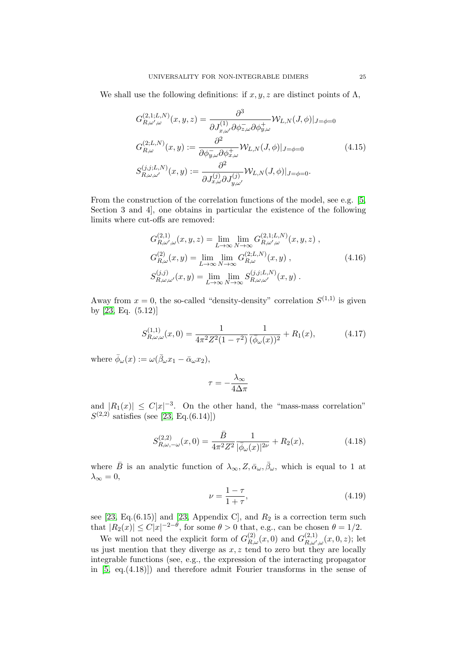We shall use the following definitions: if  $x, y, z$  are distinct points of  $\Lambda$ ,

$$
G_{R,\omega',\omega}^{(2,1;L,N)}(x,y,z) = \frac{\partial^3}{\partial J_{x,\omega'}^{(1)} \partial \phi_{z,\omega}^{-} \partial \phi_{y,\omega}^{+}} \mathcal{W}_{L,N}(J,\phi)|_{J=\phi=0}
$$
  

$$
G_{R,\omega}^{(2;L,N)}(x,y) := \frac{\partial^2}{\partial \phi_{y,\omega}^{-} \partial \phi_{x,\omega}^{+}} \mathcal{W}_{L,N}(J,\phi)|_{J=\phi=0}
$$
  

$$
S_{R,\omega,\omega'}^{(j,j;L,N)}(x,y) := \frac{\partial^2}{\partial J_{x,\omega}^{(j)} \partial J_{y,\omega'}^{(j)}} \mathcal{W}_{L,N}(J,\phi)|_{J=\phi=0}.
$$
  
(4.15)

From the construction of the correlation functions of the model, see e.g. [\[5,](#page-70-3) Section 3 and 4], one obtains in particular the existence of the following limits where cut-offs are removed:

$$
G_{R,\omega',\omega}^{(2,1)}(x,y,z) = \lim_{L \to \infty} \lim_{N \to \infty} G_{R,\omega',\omega}^{(2,1;L,N)}(x,y,z) ,
$$
  
\n
$$
G_{R,\omega}^{(2)}(x,y) = \lim_{L \to \infty} \lim_{N \to \infty} G_{R,\omega}^{(2;L,N)}(x,y) ,
$$
  
\n
$$
S_{R,\omega,\omega'}^{(j,j)}(x,y) = \lim_{L \to \infty} \lim_{N \to \infty} S_{R,\omega,\omega'}^{(j,j;L,N)}(x,y) .
$$
\n(4.16)

Away from  $x = 0$ , the so-called "density-density" correlation  $S^{(1,1)}$  is given by [\[23,](#page-71-1) Eq. (5.12)]

<span id="page-24-0"></span>
$$
S_{R,\omega,\omega}^{(1,1)}(x,0) = \frac{1}{4\pi^2 Z^2 (1-\tau^2)} \frac{1}{(\bar{\phi}_{\omega}(x))^2} + R_1(x),\tag{4.17}
$$

where  $\bar{\phi}_{\omega}(x) := \omega(\bar{\beta}_{\omega}x_1 - \bar{\alpha}_{\omega}x_2),$ 

$$
\tau = -\frac{\lambda_{\infty}}{4\Delta\pi}
$$

and  $|R_1(x)| \leq C|x|^{-3}$ . On the other hand, the "mass-mass correlation"  $S^{(2,2)}$  satisfies (see [\[23,](#page-71-1) Eq.(6.14)])

<span id="page-24-1"></span>
$$
S_{R,\omega,-\omega}^{(2,2)}(x,0) = \frac{\bar{B}}{4\pi^2 Z^2} \frac{1}{|\bar{\phi}_{\omega}(x)|^{2\nu}} + R_2(x),\tag{4.18}
$$

where  $\bar{B}$  is an analytic function of  $\lambda_{\infty}, Z, \bar{\alpha}_{\omega}, \bar{\beta}_{\omega}$ , which is equal to 1 at  $\lambda_{\infty}=0,$ 

<span id="page-24-2"></span>
$$
\nu = \frac{1 - \tau}{1 + \tau},\tag{4.19}
$$

see [\[23,](#page-71-1) Eq.(6.15)] and [23, Appendix C], and  $R_2$  is a correction term such that  $|R_2(x)| \leq C|x|^{-2-\theta}$ , for some  $\theta > 0$  that, e.g., can be chosen  $\theta = 1/2$ .

We will not need the explicit form of  $G_{R,\omega}^{(2)}(x,0)$  and  $G_{R,\omega'}^{(2,1)}$  $R^{(2,1)}_{R,\omega',\omega}(x,0,z);$  let us just mention that they diverge as  $x, z$  tend to zero but they are locally integrable functions (see, e.g., the expression of the interacting propagator in  $[5, eq. (4.18)]$  and therefore admit Fourier transforms in the sense of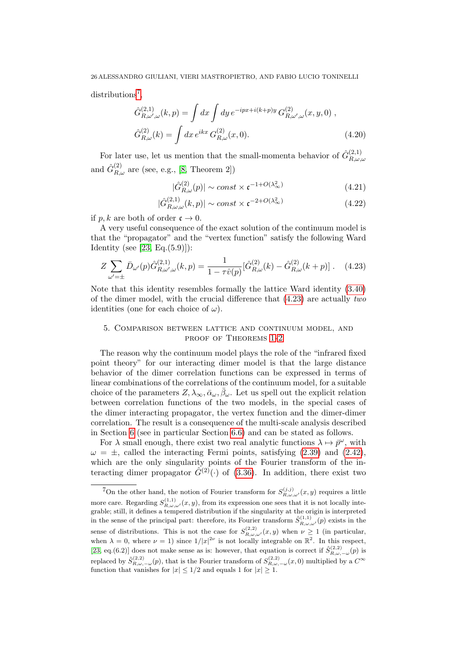distributions<sup>[7](#page-0-0)</sup>,

$$
\hat{G}_{R,\omega',\omega}^{(2,1)}(k,p) = \int dx \int dy \, e^{-ipx+i(k+p)y} \, G_{R,\omega',\omega}^{(2)}(x,y,0) \;,
$$

$$
\hat{G}_{R,\omega}^{(2)}(k) = \int dx \, e^{ikx} \, G_{R,\omega}^{(2)}(x,0). \tag{4.20}
$$

For later use, let us mention that the small-momenta behavior of  $\hat{G}_{R}^{(2,1)}$  $R,\omega,\omega$ and  $\hat{G}_{R,\omega}^{(2)}$  are (see, e.g., [\[8,](#page-70-15) Theorem 2])

<span id="page-25-2"></span>
$$
|\hat{G}_{R,\omega}^{(2)}(p)| \sim const \times \mathfrak{c}^{-1+O(\lambda_{\infty}^2)} \tag{4.21}
$$

$$
|\hat{G}_{R,\omega,\omega}^{(2,1)}(k,p)| \sim const \times \mathfrak{c}^{-2+O(\lambda_{\infty}^2)} \tag{4.22}
$$

if p, k are both of order  $\mathfrak{c} \to 0$ .

A very useful consequence of the exact solution of the continuum model is that the "propagator" and the "vertex function" satisfy the following Ward Identity (see  $[23, Eq.(5.9)]$ ):

<span id="page-25-1"></span>
$$
Z \sum_{\omega'=\pm} \bar{D}_{\omega'}(p) \hat{G}_{R,\omega',\omega}^{(2,1)}(k,p) = \frac{1}{1 - \tau \hat{v}(p)} [\hat{G}_{R,\omega}^{(2)}(k) - \hat{G}_{R,\omega}^{(2)}(k+p)]. \quad (4.23)
$$

Note that this identity resembles formally the lattice Ward identity [\(3.40\)](#page-21-2) of the dimer model, with the crucial difference that  $(4.23)$  are actually two identities (one for each choice of  $\omega$ ).

# <span id="page-25-0"></span>5. Comparison between lattice and continuum model, and PROOF OF THEOREMS  $1-2$  $1-2$

The reason why the continuum model plays the role of the "infrared fixed point theory" for our interacting dimer model is that the large distance behavior of the dimer correlation functions can be expressed in terms of linear combinations of the correlations of the continuum model, for a suitable choice of the parameters  $Z, \lambda_{\infty}, \bar{\alpha}_{\omega}, \bar{\beta}_{\omega}$ . Let us spell out the explicit relation between correlation functions of the two models, in the special cases of the dimer interacting propagator, the vertex function and the dimer-dimer correlation. The result is a consequence of the multi-scale analysis described in Section [6](#page-29-0) (see in particular Section [6.6\)](#page-58-0) and can be stated as follows.

For  $\lambda$  small enough, there exist two real analytic functions  $\lambda \mapsto \bar{p}^{\omega}$ , with  $\omega = \pm$ , called the interacting Fermi points, satisfying [\(2.39\)](#page-12-1) and [\(2.42\)](#page-12-3), which are the only singularity points of the Fourier transform of the interacting dimer propagator  $\hat{G}^{(2)}(\cdot)$  of [\(3.36\)](#page-21-3). In addition, there exist two

<sup>&</sup>lt;sup>7</sup>On the other hand, the notion of Fourier transform for  $S_{R,\omega,\omega'}^{(j,j)}(x,y)$  requires a little more care. Regarding  $S_{R,\omega,\omega'}^{(1,1)}(x,y)$ , from its expression one sees that it is not locally integrable; still, it defines a tempered distribution if the singularity at the origin is interpreted in the sense of the principal part: therefore, its Fourier transform  $\hat{S}_{R,\omega,\omega'}^{(1,1)}(p)$  exists in the sense of distributions. This is not the case for  $S_{R,\omega,\omega'}^{(2,2)}(x,y)$  when  $\nu \geq 1$  (in particular, when  $\lambda = 0$ , where  $\nu = 1$ ) since  $1/|x|^{2\nu}$  is not locally integrable on  $\mathbb{R}^2$ . In this respect, [\[23,](#page-71-1) eq.(6.2)] does not make sense as is: however, that equation is correct if  $\hat{S}_{R,\omega,-\omega}^{(2,2)}(p)$  is replaced by  $\tilde{S}_{R,\omega,-\omega}^{(2,2)}(p)$ , that is the Fourier transform of  $S_{R,\omega,-\omega}^{(2,2)}(x,0)$  multiplied by a  $C^{\infty}$ function that vanishes for  $|x| \leq 1/2$  and equals 1 for  $|x| \geq 1$ .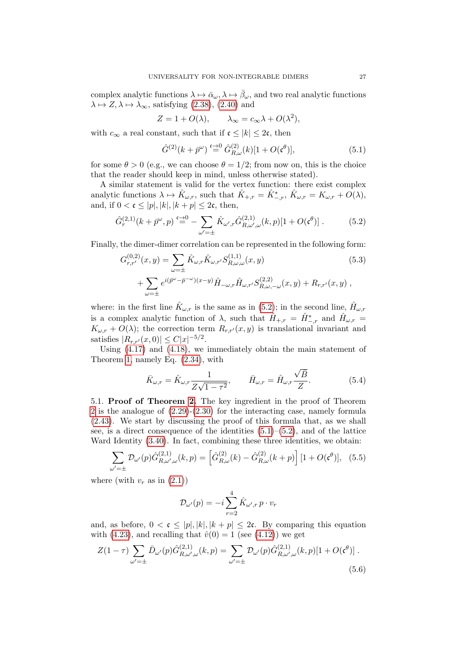complex analytic functions  $\lambda \mapsto \bar{\alpha}_{\omega}, \lambda \mapsto \bar{\beta}_{\omega}$ , and two real analytic functions  $\lambda \mapsto Z, \lambda \mapsto \lambda_{\infty}$ , satisfying [\(2.38\)](#page-12-1), [\(2.40\)](#page-12-3) and

$$
Z = 1 + O(\lambda), \qquad \lambda_{\infty} = c_{\infty} \lambda + O(\lambda^2),
$$

with  $c_{\infty}$  a real constant, such that if  $\mathfrak{c} \leq |k| \leq 2\mathfrak{c}$ , then

<span id="page-26-1"></span>
$$
\hat{G}^{(2)}(k + \bar{p}^{\omega}) \stackrel{\mathfrak{c} \to 0}{=} \hat{G}^{(2)}_{R,\omega}(k)[1 + O(\mathfrak{c}^{\theta})],\tag{5.1}
$$

for some  $\theta > 0$  (e.g., we can choose  $\theta = 1/2$ ; from now on, this is the choice that the reader should keep in mind, unless otherwise stated).

A similar statement is valid for the vertex function: there exist complex analytic functions  $\lambda \mapsto \hat{K}_{\omega,r}$ , such that  $\hat{K}_{+,r} = \hat{K}_{-,r}^*$ ,  $\hat{K}_{\omega,r} = K_{\omega,r} + O(\lambda)$ , and, if  $0 < \mathfrak{c} \leq |p|, |k|, |k + p| \leq 2\mathfrak{c}$ , then,

<span id="page-26-0"></span>
$$
\hat{G}_r^{(2,1)}(k + \bar{p}^{\omega}, p) \stackrel{\epsilon \to 0}{=} -\sum_{\omega' = \pm} \hat{K}_{\omega',r} \hat{G}_{R,\omega',\omega}^{(2,1)}(k, p)[1 + O(\mathfrak{c}^{\theta})]. \tag{5.2}
$$

Finally, the dimer-dimer correlation can be represented in the following form:

<span id="page-26-4"></span>
$$
G_{r,r'}^{(0,2)}(x,y) = \sum_{\omega=\pm} \hat{K}_{\omega,r} \hat{K}_{\omega,r'} S_{R,\omega,\omega}^{(1,1)}(x,y)
$$
(5.3)  
 
$$
+ \sum_{\omega=\pm} e^{i(\bar{p}^{\omega}-\bar{p}^{-\omega})(x-y)} \hat{H}_{-\omega,r} \hat{H}_{\omega,r'} S_{R,\omega,-\omega}^{(2,2)}(x,y) + R_{r,r'}(x,y) ,
$$

where: in the first line  $\hat{K}_{\omega,r}$  is the same as in [\(5.2\)](#page-26-0); in the second line,  $\hat{H}_{\omega,r}$ is a complex analytic function of  $\lambda$ , such that  $\hat{H}_{+,r} = \hat{H}_{-,r}^*$  and  $\hat{H}_{\omega,r} =$  $K_{\omega,r} + O(\lambda)$ ; the correction term  $R_{r,r}(x, y)$  is translational invariant and satisfies  $|R_{r,r'}(x,0)| \leq C |x|^{-5/2}$ .

Using [\(4.17\)](#page-24-0) and [\(4.18\)](#page-24-1), we immediately obtain the main statement of Theorem [1,](#page-12-0) namely Eq. [\(2.34\)](#page-12-2), with

<span id="page-26-3"></span>
$$
\bar{K}_{\omega,r} = \hat{K}_{\omega,r} \frac{1}{Z\sqrt{1-\tau^2}}, \qquad \bar{H}_{\omega,r} = \hat{H}_{\omega,r} \frac{\sqrt{\bar{B}}}{Z}.
$$
\n(5.4)

5.1. Proof of Theorem [2.](#page-13-1) The key ingredient in the proof of Theorem [2](#page-13-1) is the analogue of  $(2.29)-(2.30)$  $(2.29)-(2.30)$  for the interacting case, namely formula [\(2.43\)](#page-13-2). We start by discussing the proof of this formula that, as we shall see, is a direct consequence of the identities  $(5.1)$ – $(5.2)$ , and of the lattice Ward Identity [\(3.40\)](#page-21-2). In fact, combining these three identities, we obtain:

$$
\sum_{\omega'=\pm} \mathcal{D}_{\omega'}(p) \hat{G}_{R,\omega',\omega}^{(2,1)}(k,p) = \left[ \hat{G}_{R,\omega}^{(2)}(k) - \hat{G}_{R,\omega}^{(2)}(k+p) \right] [1 + O(\mathfrak{c}^{\theta})], \quad (5.5)
$$

where (with  $v_r$  as in  $(2.1)$ )

$$
\mathcal{D}_{\omega'}(p) = -i \sum_{r=2}^{4} \hat{K}_{\omega',r} p \cdot v_r
$$

and, as before,  $0 < \mathfrak{c} \leq |p|, |k|, |k + p| \leq 2\mathfrak{c}$ . By comparing this equation with [\(4.23\)](#page-25-1), and recalling that  $\hat{v}(0) = 1$  (see [\(4.12\)](#page-23-0)) we get

<span id="page-26-2"></span>
$$
Z(1-\tau) \sum_{\omega'=\pm} \bar{D}_{\omega'}(p) \hat{G}_{R,\omega',\omega}^{(2,1)}(k,p) = \sum_{\omega'=\pm} \mathcal{D}_{\omega'}(p) \hat{G}_{R,\omega',\omega}^{(2,1)}(k,p)[1+O(\mathfrak{c}^{\theta})].
$$
\n(5.6)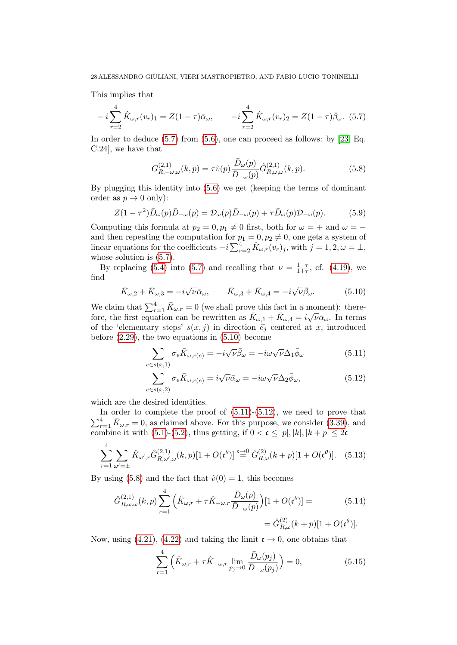This implies that

<span id="page-27-0"></span>
$$
-i\sum_{r=2}^{4} \hat{K}_{\omega,r}(v_r)_1 = Z(1-\tau)\bar{\alpha}_{\omega}, \qquad -i\sum_{r=2}^{4} \hat{K}_{\omega,r}(v_r)_2 = Z(1-\tau)\bar{\beta}_{\omega}.
$$
 (5.7)

In order to deduce  $(5.7)$  from  $(5.6)$ , one can proceed as follows: by [\[23,](#page-71-1) Eq. C.24], we have that

<span id="page-27-3"></span>
$$
G_{R,-\omega,\omega}^{(2,1)}(k,p) = \tau \hat{v}(p) \frac{\bar{D}_{\omega}(p)}{\bar{D}_{-\omega}(p)} \hat{G}_{R,\omega,\omega}^{(2,1)}(k,p). \tag{5.8}
$$

By plugging this identity into [\(5.6\)](#page-26-2) we get (keeping the terms of dominant order as  $p \to 0$  only):

$$
Z(1-\tau^2)\bar{D}_{\omega}(p)\bar{D}_{-\omega}(p) = \mathcal{D}_{\omega}(p)\bar{D}_{-\omega}(p) + \tau\bar{D}_{\omega}(p)\mathcal{D}_{-\omega}(p). \tag{5.9}
$$

Computing this formula at  $p_2 = 0, p_1 \neq 0$  first, both for  $\omega = +$  and  $\omega =$ and then repeating the computation for  $p_1 = 0, p_2 \neq 0$ , one gets a system of linear equations for the coefficients  $-i \sum_{r=2}^{4} \hat{K}_{\omega,r}(v_r)_{j}$ , with  $j = 1, 2, \omega = \pm$ , whose solution is  $(5.7)$ .

By replacing [\(5.4\)](#page-26-3) into [\(5.7\)](#page-27-0) and recalling that  $\nu = \frac{1-\tau}{1+\tau}$  $\frac{1-\tau}{1+\tau}$ , cf. [\(4.19\)](#page-24-2), we find

<span id="page-27-1"></span>
$$
\bar{K}_{\omega,2} + \bar{K}_{\omega,3} = -i\sqrt{\nu}\bar{\alpha}_{\omega}, \qquad \bar{K}_{\omega,3} + \bar{K}_{\omega,4} = -i\sqrt{\nu}\bar{\beta}_{\omega}.
$$
 (5.10)

We claim that  $\sum_{r=1}^{4} \bar{K}_{\omega,r} = 0$  (we shall prove this fact in a moment): therefore, the first equation can be rewritten as  $\bar{K}_{\omega,1} + \bar{K}_{\omega,4} = i\sqrt{\nu}\bar{\alpha}_{\omega}$ . In terms of the 'elementary steps'  $s(x, j)$  in direction  $\vec{e}_j$  centered at x, introduced before [\(2.29\)](#page-11-2), the two equations in [\(5.10\)](#page-27-1) become

<span id="page-27-2"></span>
$$
\sum_{e \in s(x,1)} \sigma_e \bar{K}_{\omega, r(e)} = -i\sqrt{\nu} \bar{\beta}_{\omega} = -i\omega \sqrt{\nu} \Delta_1 \bar{\phi}_{\omega}
$$
(5.11)

$$
\sum_{e \in s(x,2)} \sigma_e \bar{K}_{\omega, r(e)} = i\sqrt{\nu} \bar{\alpha}_{\omega} = -i\omega \sqrt{\nu} \Delta_2 \bar{\phi}_{\omega}, \tag{5.12}
$$

which are the desired identities.

 $\sum_{r=1}^{4} \bar{K}_{\omega,r} = 0$ , as claimed above. For this purpose, we consider [\(3.39\)](#page-21-2), and In order to complete the proof of  $(5.11)-(5.12)$  $(5.11)-(5.12)$ , we need to prove that combine it with [\(5.1\)](#page-26-1)-[\(5.2\)](#page-26-0), thus getting, if  $0 < \mathfrak{c} \leq |p|, |k|, |k + p| \leq 2\mathfrak{c}$ 

$$
\sum_{r=1}^{4} \sum_{\omega'= \pm} \hat{K}_{\omega',r} \hat{G}_{R,\omega',\omega}^{(2,1)}(k,p)[1+O(\mathfrak{c}^{\theta})] \stackrel{\mathfrak{c}\to 0}{=} \hat{G}_{R,\omega}^{(2)}(k+p)[1+O(\mathfrak{c}^{\theta})]. \tag{5.13}
$$

By using [\(5.8\)](#page-27-3) and the fact that  $\hat{v}(0) = 1$ , this becomes

$$
\hat{G}_{R,\omega,\omega}^{(2,1)}(k,p) \sum_{r=1}^{4} \left( \hat{K}_{\omega,r} + \tau \hat{K}_{-\omega,r} \frac{\bar{D}_{\omega}(p)}{\bar{D}_{-\omega}(p)} \right) [1 + O(\mathfrak{c}^{\theta})] =
$$
\n
$$
= \hat{G}_{R,\omega}^{(2)}(k+p)[1 + O(\mathfrak{c}^{\theta})].
$$
\n(5.14)

Now, using [\(4.21\)](#page-25-2), [\(4.22\)](#page-25-2) and taking the limit  $\mathfrak{c} \to 0$ , one obtains that

$$
\sum_{r=1}^{4} \left( \hat{K}_{\omega,r} + \tau \hat{K}_{-\omega,r} \lim_{p_j \to 0} \frac{\bar{D}_{\omega}(p_j)}{\bar{D}_{-\omega}(p_j)} \right) = 0, \tag{5.15}
$$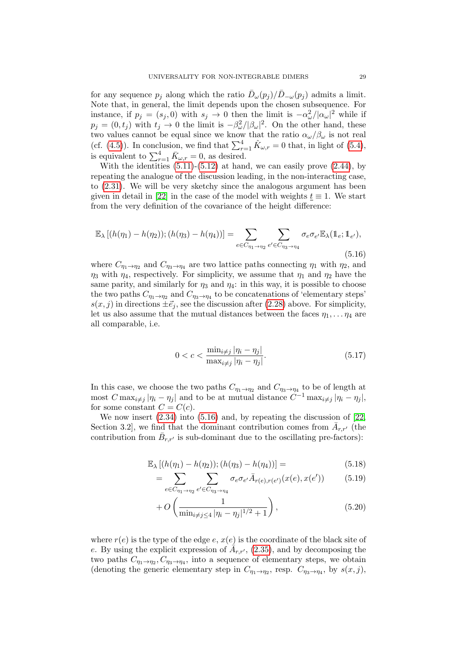for any sequence  $p_j$  along which the ratio  $\bar{D}_{\omega}(p_j)/\bar{D}_{-\omega}(p_j)$  admits a limit. Note that, in general, the limit depends upon the chosen subsequence. For instance, if  $p_j = (s_j, 0)$  with  $s_j \to 0$  then the limit is  $-\alpha_\omega^2/|\alpha_\omega|^2$  while if  $p_j = (0, t_j)$  with  $t_j \to 0$  the limit is  $-\beta_\omega^2/|\beta_\omega|^2$ . On the other hand, these two values cannot be equal since we know that the ratio  $\alpha_{\omega}/\beta_{\omega}$  is not real (cf. [\(4.5\)](#page-22-2)). In conclusion, we find that  $\sum_{r=1}^{4} \hat{K}_{\omega,r} = 0$  that, in light of [\(5.4\)](#page-26-3), is equivalent to  $\sum_{r=1}^{4} \bar{K}_{\omega,r} = 0$ , as desired.

With the identities  $(5.11)-(5.12)$  $(5.11)-(5.12)$  at hand, we can easily prove  $(2.44)$ , by repeating the analogue of the discussion leading, in the non-interacting case, to [\(2.31\)](#page-12-4). We will be very sketchy since the analogous argument has been given in detail in [\[22\]](#page-71-0) in the case of the model with weights  $\underline{t} \equiv 1$ . We start from the very definition of the covariance of the height difference:

<span id="page-28-0"></span>
$$
\mathbb{E}_{\lambda} [(h(\eta_1) - h(\eta_2)); (h(\eta_3) - h(\eta_4))] = \sum_{e \in C_{\eta_1 \to \eta_2}} \sum_{e' \in C_{\eta_3 \to \eta_4}} \sigma_e \sigma_{e'} \mathbb{E}_{\lambda} (\mathbb{1}_e; \mathbb{1}_{e'}),
$$
\n(5.16)

where  $C_{\eta_1 \to \eta_2}$  and  $C_{\eta_3 \to \eta_4}$  are two lattice paths connecting  $\eta_1$  with  $\eta_2$ , and  $\eta_3$  with  $\eta_4$ , respectively. For simplicity, we assume that  $\eta_1$  and  $\eta_2$  have the same parity, and similarly for  $\eta_3$  and  $\eta_4$ : in this way, it is possible to choose the two paths  $C_{\eta_1 \to \eta_2}$  and  $C_{\eta_3 \to \eta_4}$  to be concatenations of 'elementary steps'  $s(x, j)$  in directions  $\pm \vec{e}_j$ , see the discussion after [\(2.28\)](#page-11-3) above. For simplicity, let us also assume that the mutual distances between the faces  $\eta_1, \ldots, \eta_4$  are all comparable, i.e.

<span id="page-28-2"></span>
$$
0 < c < \frac{\min_{i \neq j} |\eta_i - \eta_j|}{\max_{i \neq j} |\eta_i - \eta_j|}.\tag{5.17}
$$

In this case, we choose the two paths  $C_{\eta_1 \to \eta_2}$  and  $C_{\eta_3 \to \eta_4}$  to be of length at most  $C \max_{i \neq j} |\eta_i - \eta_j|$  and to be at mutual distance  $C^{-1} \max_{i \neq j} |\eta_i - \eta_j|$ , for some constant  $C = C(c)$ .

We now insert [\(2.34\)](#page-12-2) into [\(5.16\)](#page-28-0) and, by repeating the discussion of [\[22,](#page-71-0) Section 3.2, we find that the dominant contribution comes from  $\bar{A}_{r,r'}$  (the contribution from  $\bar{B}_{r,r'}$  is sub-dominant due to the oscillating pre-factors):

<span id="page-28-1"></span>
$$
\mathbb{E}_{\lambda} [(h(\eta_1) - h(\eta_2)); (h(\eta_3) - h(\eta_4))] = \tag{5.18}
$$

$$
= \sum_{e \in C_{\eta_1 \to \eta_2}} \sum_{e' \in C_{\eta_3 \to \eta_4}} \sigma_e \sigma_{e'} \bar{A}_{r(e),r(e')} (x(e), x(e')) \tag{5.19}
$$

$$
+ O\left(\frac{1}{\min_{i \neq j \le 4} |\eta_i - \eta_j|^{1/2} + 1}\right),\tag{5.20}
$$

where  $r(e)$  is the type of the edge  $e, x(e)$  is the coordinate of the black site of e. By using the explicit expression of  $\overline{A}_{r,r}$ , [\(2.35\)](#page-12-2), and by decomposing the two paths  $C_{\eta_1 \to \eta_2}$ ,  $C_{\eta_3 \to \eta_4}$ , into a sequence of elementary steps, we obtain (denoting the generic elementary step in  $C_{\eta_1 \to \eta_2}$ , resp.  $C_{\eta_3 \to \eta_4}$ , by  $s(x, j)$ ,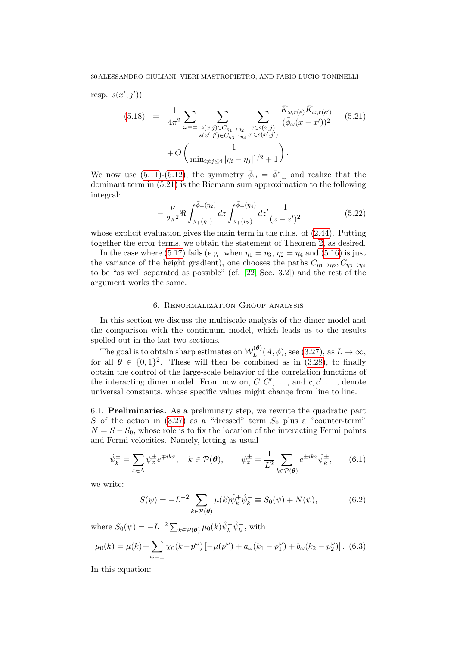resp.  $s(x', j'))$ 

<span id="page-29-2"></span>
$$
(5.18) = \frac{1}{4\pi^2} \sum_{\omega=\pm} \sum_{\substack{s(x,j)\in C_{\eta_1\to\eta_2} \\ s(x',j')\in C_{\eta_3\to\eta_4}}} \sum_{\substack{e \in s(x,j) \\ e' \in s(x',j')}} \frac{\bar{K}_{\omega,r(e)} \bar{K}_{\omega,r(e')}}{(\bar{\phi}_{\omega}(x-x'))^2} \quad (5.21)
$$

$$
+ O\left(\frac{1}{\min_{i \neq j \le 4} |\eta_i - \eta_j|^{1/2} + 1}\right).
$$

We now use [\(5.11\)](#page-27-2)-[\(5.12\)](#page-27-2), the symmetry  $\bar{\phi}_{\omega} = \bar{\phi}^*_{-\omega}$  and realize that the dominant term in [\(5.21\)](#page-29-2) is the Riemann sum approximation to the following integral:

$$
-\frac{\nu}{2\pi^2} \Re \int_{\bar{\phi}_+(\eta_1)}^{\bar{\phi}_+(\eta_2)} dz \int_{\bar{\phi}_+(\eta_3)}^{\bar{\phi}_+(\eta_4)} dz' \frac{1}{(z-z')^2}
$$
(5.22)

whose explicit evaluation gives the main term in the r.h.s. of [\(2.44\)](#page-13-3). Putting together the error terms, we obtain the statement of Theorem [2,](#page-13-1) as desired.

In the case where [\(5.17\)](#page-28-2) fails (e.g. when  $\eta_1 = \eta_3$ ,  $\eta_2 = \eta_4$  and [\(5.16\)](#page-28-0) is just the variance of the height gradient), one chooses the paths  $C_{\eta_1 \to \eta_2}, C_{\eta_3 \to \eta_4}$ to be "as well separated as possible" (cf. [\[22,](#page-71-0) Sec. 3.2]) and the rest of the argument works the same.

# 6. Renormalization Group analysis

<span id="page-29-0"></span>In this section we discuss the multiscale analysis of the dimer model and the comparison with the continuum model, which leads us to the results spelled out in the last two sections.

The goal is to obtain sharp estimates on  $\mathcal{W}_L^{(\theta)}$  $L^{(\mathbf{\Theta})}(A,\phi)$ , see [\(3.27\)](#page-19-0), as  $L \to \infty$ , for all  $\theta \in \{0,1\}^2$ . These will then be combined as in [\(3.28\)](#page-19-1), to finally obtain the control of the large-scale behavior of the correlation functions of the interacting dimer model. From now on,  $C, C', \ldots$ , and  $c, c', \ldots$ , denote universal constants, whose specific values might change from line to line.

<span id="page-29-1"></span>6.1. Preliminaries. As a preliminary step, we rewrite the quadratic part S of the action in  $(3.27)$  as a "dressed" term  $S_0$  plus a "counter-term"  $N = S - S_0$ , whose role is to fix the location of the interacting Fermi points and Fermi velocities. Namely, letting as usual

<span id="page-29-4"></span>
$$
\hat{\psi}_k^{\pm} = \sum_{x \in \Lambda} \psi_x^{\pm} e^{\mp ikx}, \quad k \in \mathcal{P}(\theta), \qquad \psi_x^{\pm} = \frac{1}{L^2} \sum_{k \in \mathcal{P}(\theta)} e^{\pm ikx} \hat{\psi}_k^{\pm}, \qquad (6.1)
$$

we write:

$$
S(\psi) = -L^{-2} \sum_{k \in \mathcal{P}(\theta)} \mu(k) \hat{\psi}_k^+ \hat{\psi}_k^- \equiv S_0(\psi) + N(\psi), \tag{6.2}
$$

where  $S_0(\psi) = -L^{-2} \sum_{k \in \mathcal{P}(\boldsymbol{\theta})} \mu_0(k) \hat{\psi}_k^+ \hat{\psi}_k^-$ , with

<span id="page-29-3"></span>
$$
\mu_0(k) = \mu(k) + \sum_{\omega = \pm} \bar{\chi}_0(k - \bar{p}^{\omega}) \left[ -\mu(\bar{p}^{\omega}) + a_{\omega}(k_1 - \bar{p}_1^{\omega}) + b_{\omega}(k_2 - \bar{p}_2^{\omega}) \right].
$$
 (6.3)

In this equation: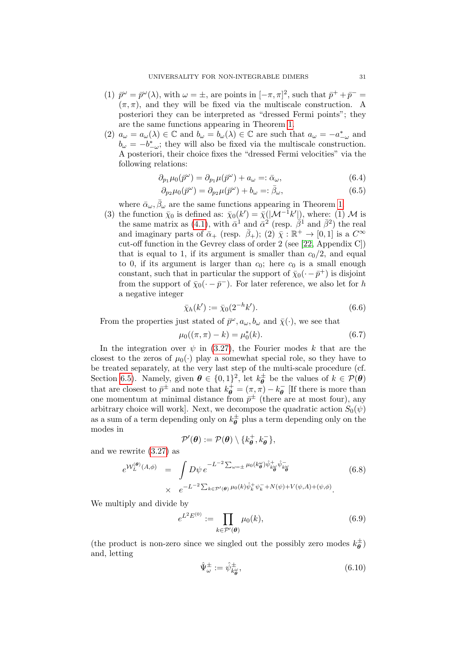- (1)  $\bar{p}^{\omega} = \bar{p}^{\omega}(\lambda)$ , with  $\omega = \pm$ , are points in  $[-\pi, \pi]^2$ , such that  $\bar{p}^+ + \bar{p}^ (\pi, \pi)$ , and they will be fixed via the multiscale construction. A posteriori they can be interpreted as "dressed Fermi points"; they are the same functions appearing in Theorem [1.](#page-12-0)
- (2)  $a_{\omega} = a_{\omega}(\lambda) \in \mathbb{C}$  and  $b_{\omega} = b_{\omega}(\lambda) \in \mathbb{C}$  are such that  $a_{\omega} = -a_{-\omega}^*$  and  $b_{\omega} = -b^*_{-\omega}$ ; they will also be fixed via the multiscale construction. A posteriori, their choice fixes the "dressed Fermi velocities" via the following relations:

$$
\partial_{p_1}\mu_0(\bar{p}^{\omega}) = \partial_{p_1}\mu(\bar{p}^{\omega}) + a_{\omega} =: \bar{\alpha}_{\omega},\tag{6.4}
$$

$$
\partial_{p_2}\mu_0(\bar{p}^{\omega}) = \partial_{p_2}\mu(\bar{p}^{\omega}) + b_{\omega} =: \bar{\beta}_{\omega},\tag{6.5}
$$

where  $\bar{\alpha}_{\omega}, \bar{\beta}_{\omega}$  are the same functions appearing in Theorem [1.](#page-12-0)

(3) the function  $\bar{\chi}_0$  is defined as:  $\bar{\chi}_0(k') = \bar{\chi}(|\mathcal{M}^{-1}k'|)$ , where: (1) M is the same matrix as [\(4.1\)](#page-21-4), with  $\bar{\alpha}^1$  and  $\bar{\alpha}^2$  (resp.  $\bar{\beta}^1$  and  $\bar{\beta}^2$ ) the real and imaginary parts of  $\bar{\alpha}_{+}$  (resp.  $\bar{\beta}_{+}$ ); (2)  $\bar{\chi}: \mathbb{R}^{+} \to [0,1]$  is a  $C^{\infty}$ cut-off function in the Gevrey class of order 2 (see [\[22,](#page-71-0) Appendix C]) that is equal to 1, if its argument is smaller than  $c_0/2$ , and equal to 0, if its argument is larger than  $c_0$ ; here  $c_0$  is a small enough constant, such that in particular the support of  $\bar{\chi}_0(\cdot - \bar{p}^+)$  is disjoint from the support of  $\bar{\chi}_0(\cdot - \bar{p}^-)$ . For later reference, we also let for h a negative integer

<span id="page-30-0"></span>
$$
\bar{\chi}_h(k') := \bar{\chi}_0(2^{-h}k'). \tag{6.6}
$$

From the properties just stated of  $\bar{p}^{\omega}, a_{\omega}, b_{\omega}$  and  $\bar{\chi}(\cdot)$ , we see that

$$
\mu_0((\pi,\pi)-k) = \mu_0^*(k). \tag{6.7}
$$

In the integration over  $\psi$  in [\(3.27\)](#page-19-0), the Fourier modes k that are the closest to the zeros of  $\mu_0(\cdot)$  play a somewhat special role, so they have to be treated separately, at the very last step of the multi-scale procedure (cf. Section [6.5\)](#page-55-0). Namely, given  $\theta \in \{0,1\}^2$ , let  $k_{\theta}^{\pm}$  $\sigma_{\theta}^{\pm}$  be the values of  $k \in \mathcal{P}(\theta)$ that are closest to  $\bar{p}^{\pm}$  and note that  $k_{\theta}^{+} = (\pi, \pi) - k_{\theta}^{-}$  $\overline{\theta}_{\theta}$  [If there is more than one momentum at minimal distance from  $\bar{p}^{\pm}$  (there are at most four), any arbitrary choice will work]. Next, we decompose the quadratic action  $S_0(\psi)$ as a sum of a term depending only on  $k_{\mathbf{a}}^{\pm}$  $\phi_{\theta}^{\pm}$  plus a term depending only on the modes in

$$
\mathcal{P}'(\boldsymbol{\theta}) := \mathcal{P}(\boldsymbol{\theta}) \setminus \{k_{\boldsymbol{\theta}}^+, k_{\boldsymbol{\theta}}^-\},
$$

and we rewrite [\(3.27\)](#page-19-0) as

$$
e^{\mathcal{W}_L^{(\theta)}(A,\phi)} = \int D\psi \, e^{-L^{-2} \sum_{\omega=\pm} \mu_0(k_\theta^{\omega}) \hat{\psi}_{k_\theta^{\omega}}^+ \hat{\psi}_{k_\theta^{\omega}}^-} \times e^{-L^{-2} \sum_{k \in \mathcal{P}'(\theta)} \mu_0(k) \hat{\psi}_k^+ \psi_k^- + N(\psi) + V(\psi, A) + (\psi, \phi)}.
$$
\n(6.8)

We multiply and divide by

$$
e^{L^2 E^{(0)}} := \prod_{k \in \mathcal{P}'(\boldsymbol{\theta})} \mu_0(k),\tag{6.9}
$$

(the product is non-zero since we singled out the possibly zero modes  $k_{\theta}^{\pm}$  $\dot{\bar{\bar{\theta}}}$  ) and, letting

$$
\hat{\Psi}_{\omega}^{\pm} := \hat{\psi}_{k_{\theta}^{\omega}}^{\pm},\tag{6.10}
$$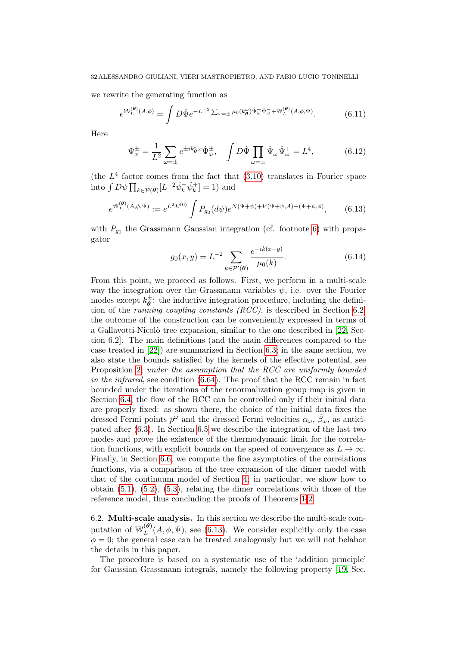we rewrite the generating function as

$$
e^{\mathcal{W}_L^{(\theta)}(A,\phi)} = \int D\hat{\Psi} e^{-L^{-2} \sum_{\omega=\pm} \mu_0(k_{\theta}^{\omega})\hat{\Psi}_{\omega}^+ \hat{\Psi}_{\omega}^- + \mathbb{W}_L^{(\theta)}(A,\phi,\Psi)}.
$$
(6.11)

Here

$$
\Psi_x^{\pm} = \frac{1}{L^2} \sum_{\omega = \pm} e^{\pm ik_{\theta}^{\omega} x} \hat{\Psi}_{\omega}^{\pm}, \quad \int D\hat{\Psi} \prod_{\omega = \pm} \hat{\Psi}_{\omega}^{-} \hat{\Psi}_{\omega}^{+} = L^4, \tag{6.12}
$$

(the  $L^4$  factor comes from the fact that [\(3.10\)](#page-16-2) translates in Fourier space into  $\int D\psi \prod_{k \in \mathcal{P}(\boldsymbol{\theta})} [L^{-2} \hat{\psi}_k^{-} \hat{\psi}_k^{+}] = 1$  and

<span id="page-31-1"></span>
$$
e^{W_L^{(\theta)}(A,\phi,\Psi)} := e^{L^2 E^{(0)}} \int P_{g_0}(d\psi) e^{N(\Psi+\psi)+V(\Psi+\psi,A)+(\Psi+\psi,\phi)}, \quad (6.13)
$$

with  $P_{g_0}$  the Grassmann Gaussian integration (cf. footnote [6\)](#page-21-4) with propagator

$$
g_0(x,y) = L^{-2} \sum_{k \in \mathcal{P}'(\theta)} \frac{e^{-ik(x-y)}}{\mu_0(k)}.
$$
 (6.14)

From this point, we proceed as follows. First, we perform in a multi-scale way the integration over the Grassmann variables  $\psi$ , i.e. over the Fourier modes except  $k_{\mathbf{a}}^{\pm}$  $\frac{1}{\theta}$ : the inductive integration procedure, including the definition of the *running coupling constants (RCC)*, is described in Section [6.2;](#page-31-0) the outcome of the construction can be conveniently expressed in terms of a Gallavotti-Nicolò tree expansion, similar to the one described in [\[22,](#page-71-0) Section 6.2]. The main definitions (and the main differences compared to the case treated in [\[22\]](#page-71-0)) are summarized in Section [6.3;](#page-43-0) in the same section, we also state the bounds satisfied by the kernels of the effective potential, see Proposition [2,](#page-44-0) under the assumption that the RCC are uniformly bounded in the infrared, see condition [\(6.64\)](#page-44-1). The proof that the RCC remain in fact bounded under the iterations of the renormalization group map is given in Section [6.4;](#page-45-0) the flow of the RCC can be controlled only if their initial data are properly fixed: as shown there, the choice of the initial data fixes the dressed Fermi points  $\bar{p}^{\omega}$  and the dressed Fermi velocities  $\bar{\alpha}_{\omega}, \bar{\beta}_{\omega}$ , as anticipated after [\(6.3\)](#page-29-3). In Section [6.5](#page-55-0) we describe the integration of the last two modes and prove the existence of the thermodynamic limit for the correlation functions, with explicit bounds on the speed of convergence as  $L \to \infty$ . Finally, in Section [6.6,](#page-58-0) we compute the fine asymptotics of the correlations functions, via a comparison of the tree expansion of the dimer model with that of the continuum model of Section [4;](#page-21-0) in particular, we show how to obtain [\(5.1\)](#page-26-1), [\(5.2\)](#page-26-0), [\(5.3\)](#page-26-4), relating the dimer correlations with those of the reference model, thus concluding the proofs of Theorems [1-](#page-12-0)[2.](#page-13-1)

<span id="page-31-0"></span>6.2. Multi-scale analysis. In this section we describe the multi-scale computation of  $\mathbb{W}_L^{(\theta)}$  $L^{(0)}(A, \phi, \Psi)$ , see [\(6.13\)](#page-31-1). We consider explicitly only the case  $\phi = 0$ ; the general case can be treated analogously but we will not belabor the details in this paper.

The procedure is based on a systematic use of the 'addition principle' for Gaussian Grassmann integrals, namely the following property [\[19,](#page-71-13) Sec.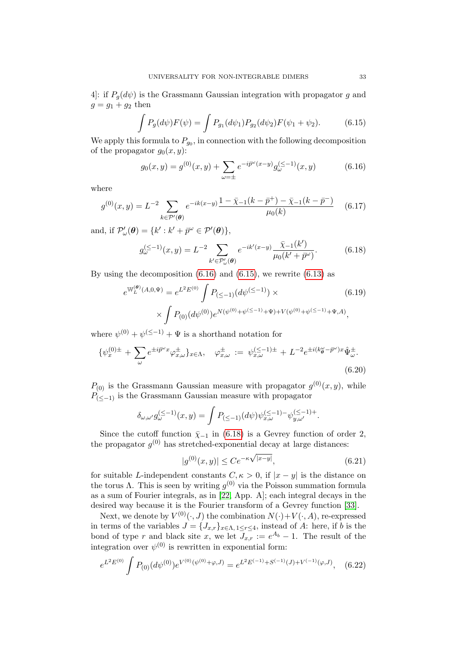4: if  $P_g(d\psi)$  is the Grassmann Gaussian integration with propagator g and  $g = g_1 + g_2$  then

<span id="page-32-1"></span>
$$
\int P_g(d\psi)F(\psi) = \int P_{g_1}(d\psi_1)P_{g_2}(d\psi_2)F(\psi_1 + \psi_2).
$$
 (6.15)

We apply this formula to  $P_{g_0}$ , in connection with the following decomposition of the propagator  $g_0(x, y)$ :

<span id="page-32-0"></span>
$$
g_0(x,y) = g^{(0)}(x,y) + \sum_{\omega = \pm} e^{-i\bar{p}^{\omega}(x-y)} g_{\omega}^{(\leq -1)}(x,y)
$$
(6.16)

where

$$
g^{(0)}(x,y) = L^{-2} \sum_{k \in \mathcal{P}'(\theta)} e^{-ik(x-y)} \frac{1 - \bar{\chi}_{-1}(k - \bar{p}^+) - \bar{\chi}_{-1}(k - \bar{p}^-)}{\mu_0(k)} \quad (6.17)
$$

and, if  $\mathcal{P}'_{\omega}(\boldsymbol{\theta}) = \{k' : k' + \bar{p}^{\omega} \in \mathcal{P}'(\boldsymbol{\theta})\},\$ 

<span id="page-32-2"></span>
$$
g_{\omega}^{(\leq -1)}(x, y) = L^{-2} \sum_{k' \in \mathcal{P}'_{\omega}(\theta)} e^{-ik'(x-y)} \frac{\bar{\chi}_{-1}(k')}{\mu_0(k' + \bar{p}^{\omega})}.
$$
 (6.18)

By using the decomposition  $(6.16)$  and  $(6.15)$ , we rewrite  $(6.13)$  as

<span id="page-32-5"></span>
$$
e^{\mathbb{W}_L^{(\theta)}(A,0,\Psi)} = e^{L^2 E^{(0)}} \int P_{(\le-1)}(d\psi^{(\le-1)}) \times \qquad (6.19)
$$

$$
\times \int P_{(0)}(d\psi^{(0)}) e^{N(\psi^{(0)} + \psi^{(\le-1)} + \Psi) + V(\psi^{(0)} + \psi^{(\le-1)} + \Psi, A)},
$$

where  $\psi^{(0)} + \psi^{(\leq -1)} + \Psi$  is a shorthand notation for

$$
\{\psi_x^{(0)\pm} + \sum_{\omega} e^{\pm i\vec{p}^{\omega}x} \varphi_{x,\omega}^{\pm}\}_{x \in \Lambda}, \quad \varphi_{x,\omega}^{\pm} := \psi_{x,\omega}^{(\leq -1)\pm} + L^{-2} e^{\pm i(k_\theta^{\omega} - \vec{p}^{\omega})x} \hat{\Psi}_{\omega}^{\pm}.
$$
\n(6.20)

 $P_{(0)}$  is the Grassmann Gaussian measure with propagator  $g^{(0)}(x, y)$ , while  $P_{(<-1)}$  is the Grassmann Gaussian measure with propagator

$$
\delta_{\omega,\omega'} g_{\omega}^{(\leq -1)}(x,y) = \int P_{(\leq -1)}(d\psi) \psi_{x,\omega}^{(\leq -1)}(\psi_{y,\omega'}^{(\leq -1)+}.
$$

Since the cutoff function  $\bar{y}_{-1}$  in [\(6.18\)](#page-32-2) is a Gevrey function of order 2, the propagator  $g^{(0)}$  has stretched-exponential decay at large distances:

<span id="page-32-4"></span><span id="page-32-3"></span>
$$
|g^{(0)}(x,y)| \le Ce^{-\kappa\sqrt{|x-y|}}, \tag{6.21}
$$

for suitable L-independent constants  $C, \kappa > 0$ , if  $|x - y|$  is the distance on the torus  $\Lambda$ . This is seen by writing  $g^{(0)}$  via the Poisson summation formula as a sum of Fourier integrals, as in [\[22,](#page-71-0) App. A]; each integral decays in the desired way because it is the Fourier transform of a Gevrey function [\[33\]](#page-71-14).

Next, we denote by  $V^{(0)}(\cdot, J)$  the combination  $N(\cdot) + V(\cdot, A)$ , re-expressed in terms of the variables  $J = \{J_{x,r}\}_{x \in \Lambda, 1 \leq r \leq 4}$ , instead of A: here, if b is the bond of type r and black site x, we let  $J_{x,r} := e^{A_b} - 1$ . The result of the integration over  $\psi^{(0)}$  is rewritten in exponential form:

<span id="page-32-6"></span>
$$
e^{L^{2}E^{(0)}} \int P_{(0)}(d\psi^{(0)}) e^{V^{(0)}(\psi^{(0)} + \varphi, J)} = e^{L^{2}E^{(-1)} + S^{(-1)}(J) + V^{(-1)}(\varphi, J)}, \quad (6.22)
$$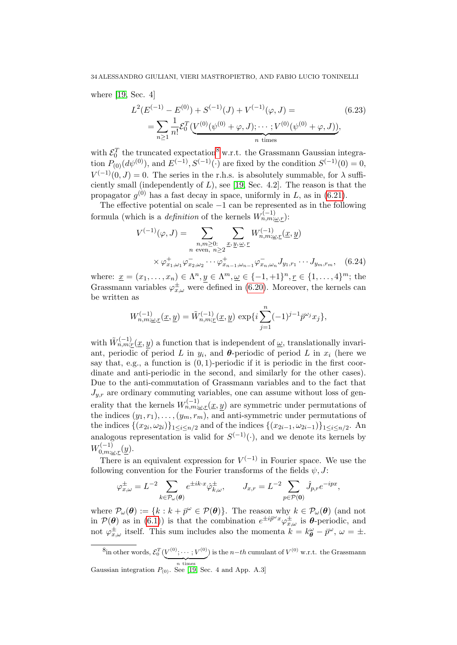where [\[19,](#page-71-13) Sec. 4]

<span id="page-33-1"></span>
$$
L^{2}(E^{(-1)} - E^{(0)}) + S^{(-1)}(J) + V^{(-1)}(\varphi, J) =
$$
\n
$$
= \sum_{n \geq 1} \frac{1}{n!} \mathcal{E}_{0}^{T}(\underbrace{V^{(0)}(\psi^{(0)} + \varphi, J); \cdots; V^{(0)}(\psi^{(0)} + \varphi, J)}_{n \text{ times}}),
$$
\n(6.23)

with  $\mathcal{E}_0^T$  the truncated expectation<sup>[8](#page-0-0)</sup> w.r.t. the Grassmann Gaussian integration  $P_{(0)}(d\psi^{(0)})$ , and  $E^{(-1)}, S^{(-1)}(\cdot)$  are fixed by the condition  $S^{(-1)}(0) = 0$ ,  $V^{(-1)}(0, J) = 0$ . The series in the r.h.s. is absolutely summable, for  $\lambda$  sufficiently small (independently of  $L$ ), see [\[19,](#page-71-13) Sec. 4.2]. The reason is that the propagator  $g^{(0)}$  has a fast decay in space, uniformly in L, as in [\(6.21\)](#page-32-3).

The effective potential on scale  $-1$  can be represented as in the following formula (which is a *definition* of the kernels  $W_{n,m;\omega,r}^{(-1)}$ ):

<span id="page-33-0"></span>
$$
V^{(-1)}(\varphi, J) = \sum_{\substack{n,m \geq 0:\\n \text{ even, } n \geq 2}} \sum_{\substack{x, y, \omega, r}} W^{(-1)}_{n,m;\underline{\omega},r}(\underline{x}, \underline{y})
$$

$$
\times \varphi^+_{x_1, \omega_1} \varphi^-_{x_2, \omega_2} \cdots \varphi^+_{x_{n-1}, \omega_{n-1}} \varphi^-_{x_n, \omega_n} J_{y_1, r_1} \cdots J_{y_m, r_m}, \quad (6.24)
$$

where:  $\underline{x} = (x_1, ..., x_n) \in \Lambda^n, y \in \Lambda^m, \underline{\omega} \in \{-1, +1\}^n, \underline{r} \in \{1, ..., 4\}^m$ ; the Grassmann variables  $\varphi_{x,\omega}^{\pm}$  were defined in [\(6.20\)](#page-32-4). Moreover, the kernels can be written as

$$
W_{n,m;\underline{\omega},\underline{r}}^{(-1)}(\underline{x},\underline{y})=\tilde{W}_{n,m;\underline{r}}^{(-1)}(\underline{x},\underline{y})\,\exp\{i\sum_{j=1}^n(-1)^{j-1}\bar{p}^{\omega_j}x_j\},
$$

with  $\tilde{W}_{n,m;\underline{r}}^{(-1)}(\underline{x},y)$  a function that is independent of  $\underline{\omega}$ , translationally invariant, periodic of period L in  $y_i$ , and  $\boldsymbol{\theta}$ -periodic of period L in  $x_i$  (here we say that, e.g., a function is  $(0, 1)$ -periodic if it is periodic in the first coordinate and anti-periodic in the second, and similarly for the other cases). Due to the anti-commutation of Grassmann variables and to the fact that  $J_{y,r}$  are ordinary commuting variables, one can assume without loss of generality that the kernels  $W_{n,m;\underline{\omega},r}^{(-1)}(\underline{x},y)$  are symmetric under permutations of the indices  $(y_1, r_1), \ldots, (y_m, r_m)$ , and anti-symmetric under permutations of the indices  $\{(x_{2i}, \omega_{2i})\}_{1 \leq i \leq n/2}$  and of the indices  $\{(x_{2i-1}, \omega_{2i-1})\}_{1 \leq i \leq n/2}$ . An analogous representation is valid for  $S^{(-1)}(.)$ , and we denote its kernels by  $W^{(-1)}_{0,m;\underline{\omega},\underline{r}}(\underline{y}).$ 

There is an equivalent expression for  $V^{(-1)}$  in Fourier space. We use the following convention for the Fourier transforms of the fields  $\psi, J$ :

$$
\varphi_{x,\omega}^{\pm} = L^{-2} \sum_{k \in \mathcal{P}_{\omega}(\theta)} e^{\pm i k \cdot x} \hat{\varphi}_{k,\omega}^{\pm}, \qquad J_{x,r} = L^{-2} \sum_{p \in \mathcal{P}(\mathbf{0})} \hat{J}_{p,r} e^{-ipx}
$$

,

where  $\mathcal{P}_{\omega}(\theta) := \{k : k + \bar{p}^{\omega} \in \mathcal{P}(\theta)\}\$ . The reason why  $k \in \mathcal{P}_{\omega}(\theta)$  (and not in  $P(\theta)$  as in [\(6.1\)](#page-29-4)) is that the combination  $e^{\pm i\bar{p}^{\omega}x}\varphi_{x,\omega}^{\pm}$  is  $\theta$ -periodic, and not  $\varphi_{x,\omega}^{\pm}$  itself. This sum includes also the momenta  $k = k^{\omega}_{\theta} - \bar{p}^{\omega}$ ,  $\omega = \pm$ .

 $^8$ in other words,  $\mathcal{E}_0^T(V^{(0)};\cdots;V^{(0)})$  $\overbrace{n}^{\overbrace{n}}$  times ) is the  $n-th$  cumulant of  $V^{(0)}$  w.r.t. the Grassmann Gaussian integration  $P_{(0)}$ . See [\[19,](#page-71-13) Sec. 4 and App. A.3]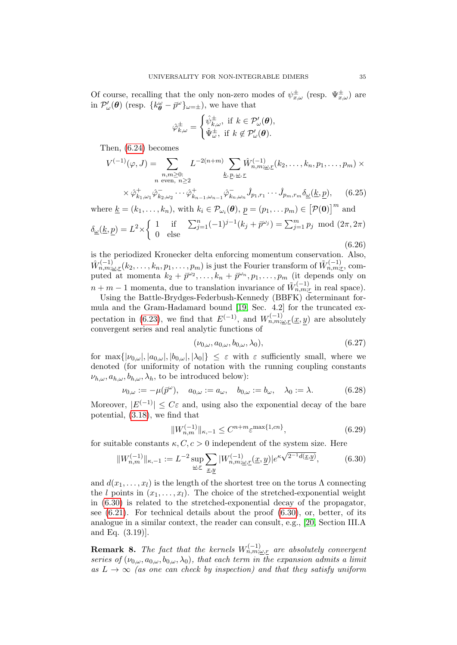Of course, recalling that the only non-zero modes of  $\psi_{x,\omega}^{\pm}$  (resp.  $\Psi_{x,\omega}^{\pm}$ ) are in  $\mathcal{P}'_{\omega}(\boldsymbol{\theta})$  (resp.  $\{k_{\boldsymbol{\theta}}^{\omega} - \bar{p}^{\omega}\}_{{\omega}=\pm}$ ), we have that

$$
\hat{\varphi}_{k,\omega}^{\pm} = \begin{cases} \hat{\psi}_{k,\omega}^{\pm}, & \text{if } k \in \mathcal{P}'_{\omega}(\boldsymbol{\theta}), \\ \hat{\Psi}_{\omega}^{\pm}, & \text{if } k \notin \mathcal{P}'_{\omega}(\boldsymbol{\theta}). \end{cases}
$$

Then, [\(6.24\)](#page-33-0) becomes

$$
V^{(-1)}(\varphi, J) = \sum_{\substack{n,m \geq 0:\\n \text{ even, } n \geq 2}} L^{-2(n+m)} \sum_{\substack{k, p, \omega, r}} \hat{W}_{n,m;\omega,r}^{(-1)}(k_2, \dots, k_n, p_1, \dots, p_m) \times
$$
  

$$
\times \hat{\varphi}_{k_1,\omega_1}^+ \hat{\varphi}_{k_2,\omega_2}^- \cdots \hat{\varphi}_{k_{n-1},\omega_{n-1}}^+ \hat{\varphi}_{k_n,\omega_n}^- \hat{J}_{p_1,r_1} \cdots \hat{J}_{p_m,r_m} \underline{\delta}_{\underline{\omega}}(\underline{k}, \underline{p}), \qquad (6.25)
$$

where  $\underline{k} = (k_1, \ldots, k_n)$ , with  $k_i \in \mathcal{P}_{\omega_i}(\boldsymbol{\theta}), \underline{p} = (p_1, \ldots p_m) \in [\mathcal{P}(\mathbf{0})]^m$  and  $\delta_{\omega}(\underline{k}, p) = L^2 \times \begin{cases} 1 & \text{if } \sum_{j=1}^n (-1)^{j-1} (k_j + \bar{p}^{\omega_j}) = \sum_{j=1}^m p_j \mod (2\pi, 2\pi) \end{cases}$ 0 else (6.26)

is the periodized Kronecker delta enforcing momentum conservation. Also,  $\hat{W}_{n,m;\underline{\omega},\underline{r}}^{(-1)}(k_2,\ldots,k_n,p_1,\ldots,p_m)$  is just the Fourier transform of  $\tilde{W}_{n,m;\underline{r}}^{(-1)}$ , computed at momenta  $k_2 + \bar{p}^{\omega_2}, \ldots, k_n + \bar{p}^{\omega_n}, p_1, \ldots, p_m$  (it depends only on  $n + m - 1$  momenta, due to translation invariance of  $\tilde{W}_{n,m;\underline{r}}^{(-1)}$  in real space).

Using the Battle-Brydges-Federbush-Kennedy (BBFK) determinant formula and the Gram-Hadamard bound [\[19,](#page-71-13) Sec. 4.2] for the truncated ex-pectation in [\(6.23\)](#page-33-1), we find that  $E^{(-1)}$ , and  $W^{(-1)}_{n,m;\omega,r}(\underline{x},y)$  are absolutely convergent series and real analytic functions of

$$
(\nu_{0,\omega}, a_{0,\omega}, b_{0,\omega}, \lambda_0), \qquad (6.27)
$$

for  $\max\{|\nu_{0,\omega}|, |a_{0,\omega}|, |b_{0,\omega}|, |\lambda_0|\} \leq \varepsilon$  with  $\varepsilon$  sufficiently small, where we denoted (for uniformity of notation with the running coupling constants  $\nu_{h,\omega}, a_{h,\omega}, b_{h,\omega}, \lambda_h$ , to be introduced below):

$$
\nu_{0,\omega} := -\mu(\bar{p}^{\omega}), \quad a_{0,\omega} := a_{\omega}, \quad b_{0,\omega} := b_{\omega}, \quad \lambda_0 := \lambda. \tag{6.28}
$$

Moreover,  $|E^{(-1)}| \leq C\varepsilon$  and, using also the exponential decay of the bare potential, [\(3.18\)](#page-17-2), we find that

<span id="page-34-1"></span>
$$
||W_{n,m}^{(-1)}||_{\kappa,-1} \le C^{n+m} \varepsilon^{\max\{1,cn\}},
$$
\n(6.29)

for suitable constants  $\kappa, C, c > 0$  independent of the system size. Here

<span id="page-34-0"></span>
$$
||W_{n,m}^{(-1)}||_{\kappa,-1} := L^{-2} \sup_{\underline{\omega}, \underline{r}} \sum_{\underline{x}, \underline{y}} |W_{n,m;\underline{\omega},\underline{r}}^{(-1)}(\underline{x},\underline{y})| e^{\kappa \sqrt{2^{-1}d(\underline{x},\underline{y})}}, \qquad (6.30)
$$

and  $d(x_1, \ldots, x_l)$  is the length of the shortest tree on the torus  $\Lambda$  connecting the l points in  $(x_1, \ldots, x_l)$ . The choice of the stretched-exponential weight in [\(6.30\)](#page-34-0) is related to the stretched-exponential decay of the propagator, see  $(6.21)$ . For technical details about the proof  $(6.30)$ , or, better, of its analogue in a similar context, the reader can consult, e.g., [\[20,](#page-71-15) Section III.A and Eq. (3.19)].

**Remark 8.** The fact that the kernels  $W_{n,m;\omega,r}^{(-1)}$  are absolutely convergent series of  $(\nu_{0,\omega}, a_{0,\omega}, b_{0,\omega}, \lambda_0)$ , that each term in the expansion admits a limit as  $L \to \infty$  (as one can check by inspection) and that they satisfy uniform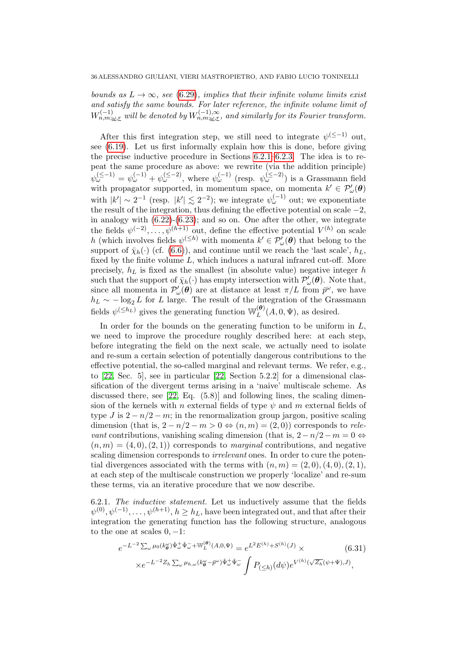bounds as  $L \to \infty$ , see [\(6.29\)](#page-34-1), implies that their infinite volume limits exist and satisfy the same bounds. For later reference, the infinite volume limit of  $W^{(-1)}_{n,m;\underline{\omega},\underline{r}}$  will be denoted by  $W^{(-1),\infty}_{n,m;\underline{\omega},\underline{r}}$ , and similarly for its Fourier transform.

After this first integration step, we still need to integrate  $\psi^{(\leq -1)}$  out, see [\(6.19\)](#page-32-5). Let us first informally explain how this is done, before giving the precise inductive procedure in Sections [6.2.1–](#page-35-0)[6.2.3.](#page-37-0) The idea is to repeat the same procedure as above: we rewrite (via the addition principle)  $\psi_{\omega}^{(\leq -1)} = \psi_{\omega}^{(-1)} + \psi_{\omega}^{(\leq -2)}$ , where  $\psi_{\omega}^{(-1)}$  (resp.  $\psi_{\omega}^{(\leq -2)}$ ) is a Grassmann field with propagator supported, in momentum space, on momenta  $k' \in \mathcal{P}'_{\omega}(\boldsymbol{\theta})$ with  $|k'| \sim 2^{-1}$  (resp.  $|k'| \lesssim 2^{-2}$ ); we integrate  $\psi_{\omega}^{(-1)}$  out; we exponentiate the result of the integration, thus defining the effective potential on scale  $-2$ . in analogy with  $(6.22)-(6.23)$  $(6.22)-(6.23)$ ; and so on. One after the other, we integrate the fields  $\psi^{(-2)}, \ldots, \psi^{(h+1)}$  out, define the effective potential  $V^{(h)}$  on scale h (which involves fields  $\psi^{(\leq h)}$  with momenta  $k' \in \mathcal{P}'_{\omega}(\theta)$  that belong to the support of  $\bar{\chi}_h(\cdot)$  (cf. [\(6.6\)](#page-30-0)), and continue until we reach the 'last scale',  $h_L$ , fixed by the finite volume  $L$ , which induces a natural infrared cut-off. More precisely,  $h_L$  is fixed as the smallest (in absolute value) negative integer h such that the support of  $\bar{\chi}_h(\cdot)$  has empty intersection with  $\mathcal{P}'_{\omega}(\theta)$ . Note that, since all momenta in  $\mathcal{P}'_{\omega}(\theta)$  are at distance at least  $\pi/L$  from  $\bar{p}^{\omega}$ , we have  $h_L \sim -\log_2 L$  for L large. The result of the integration of the Grassmann fields  $\psi^{(\leq h_L)}$  gives the generating function  $\mathbb{W}_L^{(\theta)}$  $L^{(\bullet)}(A,0,\Psi)$ , as desired.

In order for the bounds on the generating function to be uniform in  $L$ , we need to improve the procedure roughly described here: at each step, before integrating the field on the next scale, we actually need to isolate and re-sum a certain selection of potentially dangerous contributions to the effective potential, the so-called marginal and relevant terms. We refer, e.g., to [\[22,](#page-71-0) Sec. 5], see in particular [\[22,](#page-71-0) Section 5.2.2] for a dimensional classification of the divergent terms arising in a 'naive' multiscale scheme. As discussed there, see [\[22,](#page-71-0) Eq. (5.8)] and following lines, the scaling dimension of the kernels with n external fields of type  $\psi$  and m external fields of type J is  $2 - n/2 - m$ ; in the renormalization group jargon, positive scaling dimension (that is,  $2 - n/2 - m > 0 \Leftrightarrow (n, m) = (2, 0)$ ) corresponds to relevant contributions, vanishing scaling dimension (that is,  $2 - n/2 - m = 0 \Leftrightarrow$  $(n, m) = (4, 0), (2, 1)$  corresponds to *marginal* contributions, and negative scaling dimension corresponds to *irrelevant* ones. In order to cure the potential divergences associated with the terms with  $(n, m) = (2, 0), (4, 0), (2, 1),$ at each step of the multiscale construction we properly 'localize' and re-sum these terms, via an iterative procedure that we now describe.

<span id="page-35-0"></span>6.2.1. The inductive statement. Let us inductively assume that the fields  $\psi^{(0)}, \psi^{(-1)}, \dots, \psi^{(h+1)}, h \ge h_L$ , have been integrated out, and that after their integration the generating function has the following structure, analogous to the one at scales  $0, -1$ :

$$
e^{-L^{-2}\sum_{\omega}\mu_0(k_{\theta}^{\omega})\hat{\Psi}_{\omega}^+\hat{\Psi}_{\omega}^- + \mathbb{W}_L^{(\theta)}(A,0,\Psi)} = e^{L^2E^{(h)} + S^{(h)}(J)} \times (6.31)
$$

$$
\times e^{-L^{-2}Z_h\sum_{\omega}\mu_{h,\omega}(k_{\theta}^{\omega}-\bar{p}^{\omega})\hat{\Psi}_{\omega}^+\hat{\Psi}_{\omega}^-} \int P_{(\leq h)}(d\psi)e^{V^{(h)}(\sqrt{Z_h}(\psi+\Psi),J)},
$$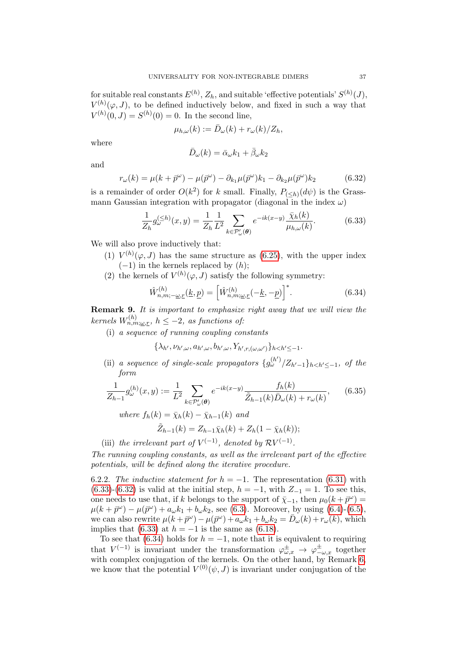for suitable real constants  $E^{(h)}$ ,  $Z_h$ , and suitable 'effective potentials'  $S^{(h)}(J)$ ,  $V^{(h)}(\varphi, J)$ , to be defined inductively below, and fixed in such a way that  $V^{(h)}(0, J) = S^{(h)}(0) = 0$ . In the second line,

$$
\mu_{h,\omega}(k) := \bar{D}_{\omega}(k) + r_{\omega}(k)/Z_h,
$$

where

$$
\bar{D}_{\omega}(k) = \bar{\alpha}_{\omega}k_1 + \bar{\beta}_{\omega}k_2
$$

and

<span id="page-36-1"></span>
$$
r_{\omega}(k) = \mu(k + \bar{p}^{\omega}) - \mu(\bar{p}^{\omega}) - \partial_{k_1}\mu(\bar{p}^{\omega})k_1 - \partial_{k_2}\mu(\bar{p}^{\omega})k_2
$$
(6.32)

is a remainder of order  $O(k^2)$  for k small. Finally,  $P_{(\leq h)}(d\psi)$  is the Grassmann Gaussian integration with propagator (diagonal in the index  $\omega$ )

<span id="page-36-0"></span>
$$
\frac{1}{Z_h} g_{\omega}^{(\leq h)}(x, y) = \frac{1}{Z_h} \frac{1}{L^2} \sum_{k \in \mathcal{P}'_{\omega}(\theta)} e^{-ik(x-y)} \frac{\bar{\chi}_h(k)}{\mu_{h,\omega}(k)}.
$$
(6.33)

We will also prove inductively that:

- (1)  $V^{(h)}(\varphi, J)$  has the same structure as [\(6.25\)](#page-34-0), with the upper index  $(-1)$  in the kernels replaced by  $(h)$ ;
- (2) the kernels of  $V^{(h)}(\varphi, J)$  satisfy the following symmetry:

<span id="page-36-2"></span>
$$
\hat{W}_{n,m;-\underline{\omega},\underline{r}}^{(h)}(\underline{k},\underline{p}) = \left[\hat{W}_{n,m;\underline{\omega},\underline{r}}^{(h)}(-\underline{k},-\underline{p})\right]^*.
$$
\n(6.34)

<span id="page-36-3"></span>Remark 9. It is important to emphasize right away that we will view the kernels  $W_{n,m;\underline{\omega},\underline{r}}^{(h)}$ ,  $h \leq -2$ , as functions of:

(i) a sequence of running coupling constants

 $\{\lambda_{h'}, \nu_{h',\omega}, a_{h',\omega}, b_{h',\omega}, Y_{h',r,(\omega,\omega')}\}_{h$ 

(ii) a sequence of single-scale propagators  $\{g_{\omega}^{(h')}/Z_{h'-1}\}_{h, of the$ form

<span id="page-36-4"></span>
$$
\frac{1}{Z_{h-1}} g_{\omega}^{(h)}(x, y) := \frac{1}{L^2} \sum_{k \in \mathcal{P}'_{\omega}(\theta)} e^{-ik(x-y)} \frac{f_h(k)}{\tilde{Z}_{h-1}(k)\bar{D}_{\omega}(k) + r_{\omega}(k)},
$$
(6.35)

where  $f_h(k) = \bar{\chi}_h(k) - \bar{\chi}_{h-1}(k)$  and  $\tilde{Z}_{h-1}(k) = Z_{h-1} \bar{\chi}_h(k) + Z_h(1 - \bar{\chi}_h(k));$ 

(iii) the irrelevant part of  $V^{(-1)}$ , denoted by  $RV^{(-1)}$ .

The running coupling constants, as well as the irrelevant part of the effective potentials, will be defined along the iterative procedure.

<span id="page-36-5"></span>6.2.2. The inductive statement for  $h = -1$ . The representation [\(6.31\)](#page-35-0) with [\(6.33\)](#page-36-0)-[\(6.32\)](#page-36-1) is valid at the initial step,  $h = -1$ , with  $Z_{-1} = 1$ . To see this, one needs to use that, if k belongs to the support of  $\bar{\chi}_{-1}$ , then  $\mu_0(k + \bar{p}^{\omega}) =$  $\mu(k + \bar{p}^{\omega}) - \mu(\bar{p}^{\omega}) + a_{\omega}k_1 + b_{\omega}k_2$ , see [\(6.3\)](#page-29-0). Moreover, by using [\(6.4\)](#page-30-0)-[\(6.5\)](#page-30-0), we can also rewrite  $\mu(k + \bar{p}^{\omega}) - \mu(\bar{p}^{\omega}) + a_{\omega} k_1 + b_{\omega} k_2 = \bar{D}_{\omega}(k) + r_{\omega}(k)$ , which implies that [\(6.33\)](#page-36-0) at  $h = -1$  is the same as [\(6.18\)](#page-32-0).

To see that [\(6.34\)](#page-36-2) holds for  $h = -1$ , note that it is equivalent to requiring that  $V^{(-1)}$  is invariant under the transformation  $\varphi_{\omega,x}^{\pm} \to \varphi_{-\omega,x}^{\pm}$  together with complex conjugation of the kernels. On the other hand, by Remark [6,](#page-17-0) we know that the potential  $V^{(0)}(\psi, J)$  is invariant under conjugation of the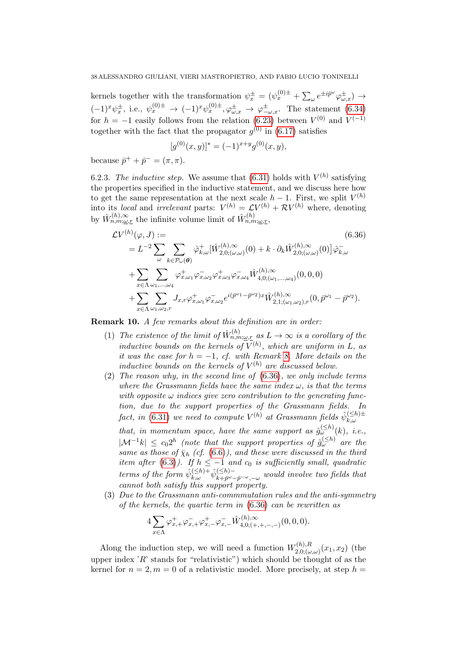kernels together with the transformation  $\psi_x^{\pm} = (\psi_x^{(0)\pm} + \sum_{\omega} e^{\pm i\vec{p}^{\omega}} \varphi_{\omega,x}^{\pm}) \rightarrow$  $(-1)^x \psi_x^{\pm}$ , i.e.,  $\psi_x^{(0)\pm} \to (-1)^x \psi_x^{(0)\pm}$ ,  $\varphi_{\omega,x}^{\pm} \to \varphi_{-\omega,x}^{\pm}$ . The statement [\(6.34\)](#page-36-2) for  $h = -1$  easily follows from the relation [\(6.23\)](#page-33-0) between  $V^{(0)}$  and  $V^{(-1)}$ together with the fact that the propagator  $g^{(0)}$  in  $(6.17)$  satisfies

$$
[g^{(0)}(x,y)]^* = (-1)^{x+y} g^{(0)}(x,y),
$$

because  $\bar{p}^+ + \bar{p}^- = (\pi, \pi)$ .

6.2.3. The inductive step. We assume that  $(6.31)$  holds with  $V^{(h)}$  satisfying the properties specified in the inductive statement, and we discuss here how to get the same representation at the next scale  $h-1$ . First, we split  $V^{(h)}$ into its *local* and *irrelevant* parts:  $V^{(h)} = \mathcal{L} V^{(h)} + \mathcal{R} V^{(h)}$  where, denoting by  $\hat{W}_{n,m;\underline{\omega},r}^{(h),\infty}$  the infinite volume limit of  $\hat{W}_{n,m;\underline{\omega},r}^{(h)}$ ,

<span id="page-37-0"></span>
$$
\mathcal{L}V^{(h)}(\varphi, J) :=
$$
\n
$$
= L^{-2} \sum_{\omega} \sum_{k \in \mathcal{P}_{\omega}(\theta)} \hat{\varphi}_{k,\omega}^{+} [\hat{W}_{2,0;(\omega,\omega)}^{(h),\infty}(0) + k \cdot \partial_{k} \hat{W}_{2,0;(\omega,\omega)}^{(h),\infty}(0)] \hat{\varphi}_{k,\omega}^{-} \n+ \sum_{x \in \Lambda} \sum_{\omega_{1},\dots,\omega_{4}} \varphi_{x,\omega_{1}}^{+} \varphi_{x,\omega_{2}}^{-} \varphi_{x,\omega_{3}}^{+} \varphi_{x,\omega_{4}}^{-} \hat{W}_{4,0;(\omega_{1},\dots,\omega_{4})}^{(h),\infty}(0,0,0) \n+ \sum_{x \in \Lambda} \sum_{\omega_{1},\omega_{2},r} J_{x,r} \varphi_{x,\omega_{1}}^{+} \varphi_{x,\omega_{2}}^{-} e^{i(\bar{p}^{\omega_{1}} - \bar{p}^{\omega_{2}})x} \hat{W}_{2,1;(\omega_{1},\omega_{2}),r}^{(h),\infty}(0, \bar{p}^{\omega_{1}} - \bar{p}^{\omega_{2}}).
$$
\n(6.36)

Remark 10. A few remarks about this definition are in order:

- (1) The existence of the limit of  $\hat{W}_{n,m;\underline{\omega},r}^{(h)}$  as  $L \to \infty$  is a corollary of the inductive bounds on the kernels of  $V^{(h)}$ , which are uniform in L, as it was the case for  $h = -1$ , cf. with Remark [8.](#page-34-1) More details on the inductive bounds on the kernels of  $V^{(h)}$  are discussed below.
- (2) The reason why, in the second line of [\(6.36\)](#page-37-0), we only include terms where the Grassmann fields have the same index  $\omega$ , is that the terms with opposite  $\omega$  indices give zero contribution to the generating function, due to the support properties of the Grassmann fields. In fact, in [\(6.31\)](#page-35-0) we need to compute  $V^{(h)}$  at Grassmann fields  $\hat{\psi}_{k}^{(\leq h)=}$  $k,\omega$ that, in momentum space, have the same support as  $\hat{g}^{(\leq h)}_{\omega}(k)$ , i.e.,  $|\mathcal{M}^{-1}k| \leq c_0 2^h$  (note that the support properties of  $\hat{g}_{\omega}^{(\leq h)}$  are the same as those of  $\bar{\chi}_h$  (cf. [\(6.6\)](#page-30-1)), and these were discussed in the third item after [\(6.3\)](#page-29-0)). If  $h \leq -1$  and  $c_0$  is sufficiently small, quadratic terms of the form  $\hat{\psi}_{k,\omega}^{(\leq h)+} \hat{\psi}_{k+\bar{p}^{\omega}}^{(\leq h)-}$  $\sum_{k+\bar{p}^{\omega}-\bar{p}^{-\omega},-\omega}^{k(\leq n)-}$  would involve two fields that cannot both satisfy this support property.
- (3) Due to the Grassmann anti-commmutation rules and the anti-symmetry of the kernels, the quartic term in [\(6.36\)](#page-37-0) can be rewritten as

$$
4\sum_{x \in \Lambda} \varphi_{x,+}^+ \varphi_{x,+}^- \varphi_{x,-}^+ \varphi_{x,-}^- \hat{W}_{4,0;(+,+,-,-)}^{(h),\infty}(0,0,0).
$$

Along the induction step, we will need a function  $W_{2,0}^{(h),R}$  $f_{2,0;(\omega,\omega)}^{(n),h}(x_1,x_2)$  (the upper index 'R' stands for "relativistic") which should be thought of as the kernel for  $n = 2, m = 0$  of a relativistic model. More precisely, at step  $h =$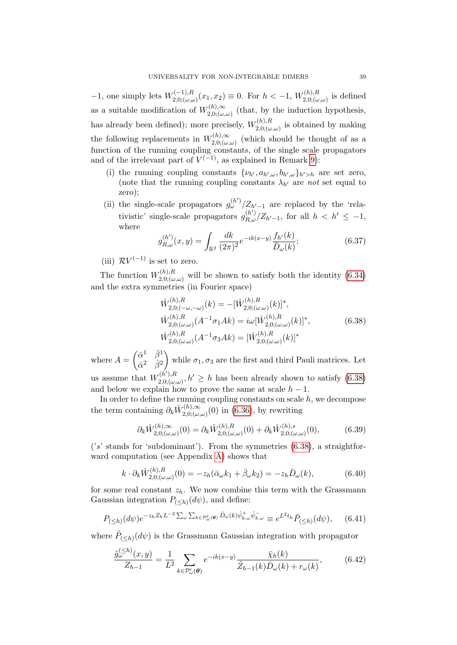$-1$ , one simply lets  $W_{2,0}^{(-1),R}$  $\chi^{(-1),R}_{(2,0;(\omega,\omega)}(x_1,x_2) \equiv 0.$  For  $h < -1$ ,  $W^{(h),R}_{(2,0;(\omega,\omega))}$  $\chi_{(1)}^{(n),n}$  is defined as a suitable modification of  $W_{2,0}^{(h),\infty}$  $\chi^{(n),\infty}_{(2,0;(\omega,\omega))}$  (that, by the induction hypothesis, has already been defined); more precisely,  $W_{2,0}^{(h),R}$  $\chi^{(n),\Lambda}_{(2,0;(\omega,\omega))}$  is obtained by making the following replacements in  $W_{2,0}^{(h),\infty}$  $\chi^{(n),\infty}_{(2,0;(\omega,\omega))}$  (which should be thought of as a function of the running coupling constants, of the single scale propagators and of the irrelevant part of  $V^{(-1)}$ , as explained in Remark [9\)](#page-36-3):

- (i) the running coupling constants  $\{\nu_{h'}, a_{h',\omega}, b_{h',\omega}\}_{h'>h}$  are set zero, (note that the running coupling constants  $\lambda_{h'}$  are not set equal to zero);
- (ii) the single-scale propagators  $g_{\omega}^{(h')}/Z_{h'-1}$  are replaced by the 'relativistic' single-scale propagators  $g_{R,\omega}^{(h'')}/Z_{h'-1}$ , for all  $h < h' \leq -1$ , where

<span id="page-38-3"></span>
$$
g_{R,\omega}^{(h')}(x,y) = \int_{\mathbb{R}^2} \frac{dk}{(2\pi)^2} e^{-ik(x-y)} \frac{f_{h'}(k)}{\bar{D}_{\omega}(k)};
$$
(6.37)

(iii)  $RV^{(-1)}$  is set to zero.

 $\sqrt{2\pi}$ 

The function  $W_{2,0}^{(h),R}$  $\chi^{(n),\Lambda}_{(2,0;(\omega,\omega))}$  will be shown to satisfy both the identity  $(6.34)$ and the extra symmetries (in Fourier space)

<span id="page-38-0"></span>
$$
\hat{W}_{2,0;(-\omega,-\omega)}^{(h),R}(k) = -[\hat{W}_{2,0;(\omega,\omega)}^{(h),R}(k)]^*,
$$
\n
$$
\hat{W}_{2,0;(\omega,\omega)}^{(h),R}(A^{-1}\sigma_1Ak) = i\omega[\hat{W}_{2,0;(\omega,\omega)}^{(h),R}(k)]^*,
$$
\n
$$
\hat{W}_{2,0;(\omega,\omega)}^{(h),R}(A^{-1}\sigma_3Ak) = [\hat{W}_{2,0;(\omega,\omega)}^{(h),R}(k)]^*
$$
\n(6.38)

where  $A = \begin{pmatrix} \bar{\alpha}^1 & \bar{\beta}^1 \\ \bar{\alpha}^2 & \bar{\beta}^2 \end{pmatrix}$  $\bar{\alpha}^2$   $\bar{\beta}^2$ while  $\sigma_1, \sigma_3$  are the first and third Pauli matrices. Let us assume that  $W_{2,0}^{(h'),R}$  $\chi_{2,0;(\omega,\omega)}^{(h'),R}, h' \geq h$  has been already shown to satisfy  $(6.38)$ and below we explain how to prove the same at scale  $h - 1$ .

In order to define the running coupling constants on scale  $h$ , we decompose the term containing  $\partial_k \hat{W}_{2,0}^{(h),\infty}$  $\sum_{(n,\omega)}^{(n),\infty}(0)$  in  $(6.36)$ , by rewriting

<span id="page-38-5"></span>
$$
\partial_k \hat{W}^{(h),\infty}_{2,0;(\omega,\omega)}(0) = \partial_k \hat{W}^{(h),R}_{2,0;(\omega,\omega)}(0) + \partial_k \hat{W}^{(h),s}_{2,0;(\omega,\omega)}(0),\tag{6.39}
$$

 $('s'$  stands for 'subdominant'). From the symmetries  $(6.38)$ , a straightforward computation (see Appendix [A\)](#page-61-0) shows that

<span id="page-38-4"></span>
$$
k \cdot \partial_k \hat{W}_{2,0;(\omega,\omega)}^{(h),R}(0) = -z_h(\bar{\alpha}_{\omega}k_1 + \bar{\beta}_{\omega}k_2) = -z_h\bar{D}_{\omega}(k),\tag{6.40}
$$

for some real constant  $z_h$ . We now combine this term with the Grassmann Gaussian integration  $P_{(\leq h)}(d\psi)$ , and define:

<span id="page-38-1"></span>
$$
P_{\left(\leq h\right)}(d\psi)e^{-z_hZ_hL^{-2}\sum_{\omega}\sum_{k\in\mathcal{P}'_{\omega}(\theta)}\bar{D}_{\omega}(k)\hat{\psi}_{k,\omega}^{\dagger}\hat{\psi}_{k,\omega}^{-}}\equiv e^{L^2t_h}\tilde{P}_{\left(\leq h\right)}(d\psi),\qquad(6.41)
$$

where  $\tilde{P}_{(\leq h)}(d\psi)$  is the Grassmann Gaussian integration with propagator

<span id="page-38-2"></span>
$$
\frac{\tilde{g}_{\omega}^{(\leq h)}(x,y)}{Z_{h-1}} = \frac{1}{L^2} \sum_{k \in \mathcal{P}'_{\omega}(\boldsymbol{\theta})} e^{-ik(x-y)} \frac{\bar{\chi}_h(k)}{\tilde{Z}_{h-1}(k)\bar{D}_{\omega}(k) + r_{\omega}(k)},
$$
(6.42)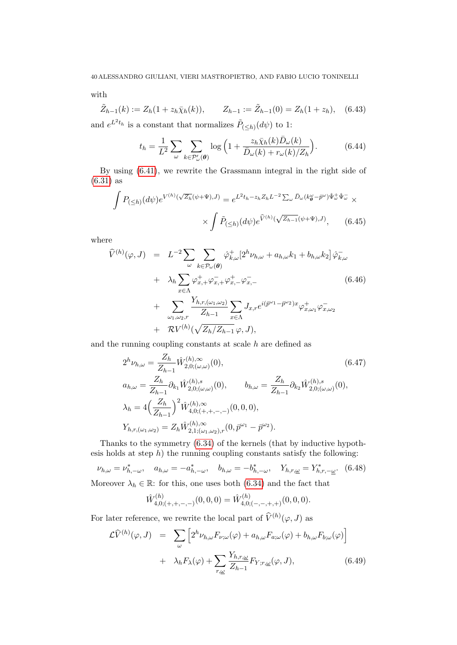with

<span id="page-39-3"></span>
$$
\tilde{Z}_{h-1}(k) := Z_h(1 + z_h \bar{\chi}_h(k)), \qquad Z_{h-1} := \tilde{Z}_{h-1}(0) = Z_h(1 + z_h), \quad (6.43)
$$

and  $e^{L^2 t_h}$  is a constant that normalizes  $\tilde{P}_{(\leq h)}(d\psi)$  to 1:

<span id="page-39-5"></span>
$$
t_h = \frac{1}{L^2} \sum_{\omega} \sum_{k \in \mathcal{P}'_{\omega}(\theta)} \log \left( 1 + \frac{z_h \bar{\chi}_h(k) \bar{D}_{\omega}(k)}{\bar{D}_{\omega}(k) + r_{\omega}(k)/Z_h} \right). \tag{6.44}
$$

By using [\(6.41\)](#page-38-1), we rewrite the Grassmann integral in the right side of [\(6.31\)](#page-35-0) as

<span id="page-39-2"></span>
$$
\int P_{(\leq h)}(d\psi)e^{V^{(h)}(\sqrt{Z_h}(\psi+\Psi),J)} = e^{L^2t_h - z_hZ_hL^{-2}\sum_{\omega}\bar{D}_{\omega}(k_{\theta}^{\omega}-\bar{p}^{\omega})\hat{\Psi}_{\omega}^+\hat{\Psi}_{\omega}^-} \times
$$
\n
$$
\times \int \tilde{P}_{(\leq h)}(d\psi)e^{\hat{V}^{(h)}(\sqrt{Z_{h-1}}(\psi+\Psi),J)}, \qquad (6.45)
$$

where

<span id="page-39-1"></span>
$$
\widehat{V}^{(h)}(\varphi, J) = L^{-2} \sum_{\omega} \sum_{k \in \mathcal{P}_{\omega}(\theta)} \widehat{\varphi}_{k,\omega}^{+} [2^{h} \nu_{h,\omega} + a_{h,\omega} k_1 + b_{h,\omega} k_2] \widehat{\varphi}_{k,\omega}^{-}
$$
\n
$$
+ \lambda_h \sum_{x \in \Lambda} \varphi_{x,+}^{+} \varphi_{x,+}^{-} \varphi_{x,-}^{-}
$$
\n
$$
+ \sum_{\omega_1, \omega_2, r} \frac{Y_{h,r,(\omega_1, \omega_2)}}{Z_{h-1}} \sum_{x \in \Lambda} J_{x,r} e^{i(\overline{p}^{\omega_1} - \overline{p}^{\omega_2})x} \varphi_{x,\omega_1}^{+} \varphi_{x,\omega_2}^{-}
$$
\n
$$
+ R V^{(h)}(\sqrt{Z_h/Z_{h-1}} \varphi, J),
$$
\n(6.46)

and the running coupling constants at scale  $h$  are defined as

<span id="page-39-4"></span>
$$
2^{h}\nu_{h,\omega} = \frac{Z_h}{Z_{h-1}} \hat{W}_{2,0;(\omega,\omega)}^{(h),\infty}(0),
$$
\n
$$
a_{h,\omega} = \frac{Z_h}{Z_{h-1}} \partial_{k_1} \hat{W}_{2,0;(\omega,\omega)}^{(h),s}(0),
$$
\n
$$
b_{h,\omega} = \frac{Z_h}{Z_{h-1}} \partial_{k_2} \hat{W}_{2,0;(\omega,\omega)}^{(h),s}(0),
$$
\n
$$
\lambda_h = 4\left(\frac{Z_h}{Z_{h-1}}\right)^2 \hat{W}_{4,0;(+,+,-,-)}^{(h),\infty}(0,0,0),
$$
\n
$$
Y_{h,r,(\omega_1,\omega_2)} = Z_h \hat{W}_{2,1;(\omega_1,\omega_2),r}^{(h),\infty}(0,\bar{p}^{\omega_1} - \bar{p}^{\omega_2}).
$$
\n(6.47)

Thanks to the symmetry [\(6.34\)](#page-36-2) of the kernels (that by inductive hypothesis holds at step  $h$ ) the running coupling constants satisfy the following:

 $\nu_{h,\omega} = \nu_{h,-\omega}^*$ ,  $a_{h,\omega} = -a_{h,-\omega}^*$ ,  $b_{h,\omega} = -b_{h,-\omega}^*$ ,  $Y_{h,r,\omega} = Y_{h,r,-\omega}^*$ . (6.48)

Moreover 
$$
\lambda_h \in \mathbb{R}
$$
: for this, one uses both (6.34) and the fact that

$$
\hat{W}^{(h)}_{4,0;(+,+,-,-)}(0,0,0)=\hat{W}^{(h)}_{4,0;(-,-,+,+)}(0,0,0).
$$

For later reference, we rewrite the local part of  $\widehat{V}^{(h)}(\varphi, J)$  as

<span id="page-39-0"></span>
$$
\mathcal{L}\widehat{V}^{(h)}(\varphi, J) = \sum_{\omega} \left[ 2^{h} \nu_{h,\omega} F_{\nu;\omega}(\varphi) + a_{h,\omega} F_{a;\omega}(\varphi) + b_{h,\omega} F_{b;\omega}(\varphi) \right]
$$

$$
+ \lambda_{h} F_{\lambda}(\varphi) + \sum_{r,\omega} \frac{Y_{h,r,\omega}}{Z_{h-1}} F_{Y,r,\omega}(\varphi, J), \qquad (6.49)
$$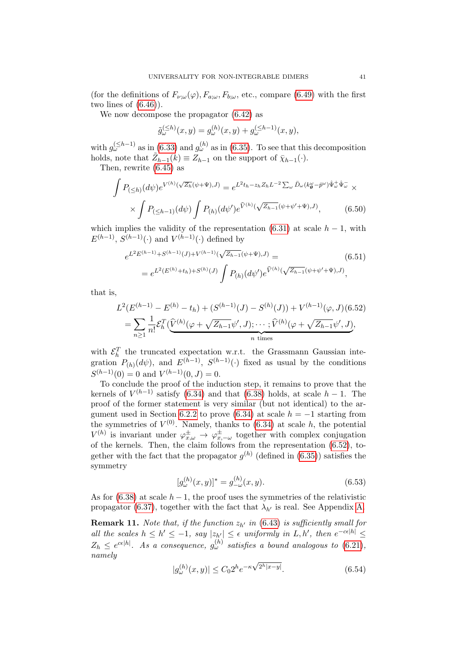(for the definitions of  $F_{\nu;\omega}(\varphi), F_{a;\omega}, F_{b;\omega}$ , etc., compare [\(6.49\)](#page-39-0) with the first two lines of  $(6.46)$ .

We now decompose the propagator [\(6.42\)](#page-38-2) as

$$
\tilde{g}_{\omega}^{(\leq h)}(x,y) = g_{\omega}^{(h)}(x,y) + g_{\omega}^{(\leq h-1)}(x,y),
$$

with  $g_{\omega}^{(\leq h-1)}$  as in [\(6.33\)](#page-36-0) and  $g_{\omega}^{(h)}$  as in [\(6.35\)](#page-36-4). To see that this decomposition holds, note that  $\tilde{Z}_{h-1}(k) \equiv Z_{h-1}$  on the support of  $\bar{\chi}_{h-1}(\cdot)$ .

Then, rewrite [\(6.45\)](#page-39-2) as

$$
\int P_{\left(\leq h\right)}(d\psi)e^{V^{(h)}(\sqrt{Z_h}(\psi+\Psi),J)} = e^{L^2t_h - z_h Z_h L^{-2} \sum_{\omega} \bar{D}_{\omega}(k_{\theta}^{\omega} - \bar{p}^{\omega})\hat{\Psi}_{\omega}^+ \hat{\Psi}_{\omega}^-} \times
$$
\n
$$
\times \int P_{\left(\leq h-1\right)}(d\psi) \int P_{(h)}(d\psi')e^{\hat{V}^{(h)}(\sqrt{Z_h - 1}(\psi + \psi' + \Psi),J)}, \qquad (6.50)
$$

which implies the validity of the representation  $(6.31)$  at scale  $h-1$ , with  $E^{(h-1)}$ ,  $S^{(h-1)}(.)$  and  $V^{(h-1)}(.)$  defined by

$$
e^{L^{2}E^{(h-1)}+S^{(h-1)}(J)+V^{(h-1)}(\sqrt{Z_{h-1}}(\psi+\Psi),J)} = e^{L^{2}(E^{(h)}+t_{h})+S^{(h)}(J)} \int P_{(h)}(d\psi')e^{\hat{V}^{(h)}(\sqrt{Z_{h-1}}(\psi+\psi'+\Psi),J)},
$$
\n(6.51)

that is,

<span id="page-40-0"></span>
$$
L^{2}(E^{(h-1)} - E^{(h)} - t_{h}) + (S^{(h-1)}(J) - S^{(h)}(J)) + V^{(h-1)}(\varphi, J)(6.52)
$$
  
= 
$$
\sum_{n\geq 1} \frac{1}{n!} \mathcal{E}_{h}^{T}(\widehat{V}^{(h)}(\varphi + \sqrt{Z_{h-1}}\psi', J); \cdots; \widehat{V}^{(h)}(\varphi + \sqrt{Z_{h-1}}\psi', J),
$$
  
n times

with  $\mathcal{E}_h^T$  the truncated expectation w.r.t. the Grassmann Gaussian integration  $P_{(h)}(d\psi)$ , and  $E^{(h-1)}$ ,  $S^{(h-1)}(\cdot)$  fixed as usual by the conditions  $S^{(h-1)}(0) = 0$  and  $V^{(h-1)}(0, J) = 0$ .

To conclude the proof of the induction step, it remains to prove that the kernels of  $V^{(h-1)}$  satisfy [\(6.34\)](#page-36-2) and that [\(6.38\)](#page-38-0) holds, at scale  $h-1$ . The proof of the former statement is very similar (but not identical) to the ar-gument used in Section [6.2.2](#page-36-5) to prove [\(6.34\)](#page-36-2) at scale  $h = -1$  starting from the symmetries of  $V^{(0)}$ . Namely, thanks to  $(6.34)$  at scale h, the potential  $V^{(h)}$  is invariant under  $\varphi_{x,\omega}^{\pm} \to \varphi_{x,-\omega}^{\pm}$  together with complex conjugation of the kernels. Then, the claim follows from the representation [\(6.52\)](#page-40-0), together with the fact that the propagator  $g^{(h)}$  (defined in [\(6.35\)](#page-36-4)) satisfies the symmetry

$$
[g_{\omega}^{(h)}(x,y)]^* = g_{-\omega}^{(h)}(x,y). \tag{6.53}
$$

As for [\(6.38\)](#page-38-0) at scale  $h-1$ , the proof uses the symmetries of the relativistic propagator [\(6.37\)](#page-38-3), together with the fact that  $\lambda_{h'}$  is real. See Appendix [A.](#page-61-0)

<span id="page-40-2"></span>**Remark 11.** Note that, if the function  $z_{h'}$  in [\(6.43\)](#page-39-3) is sufficiently small for all the scales  $h \leq h' \leq -1$ , say  $|z_{h'}| \leq \epsilon$  uniformly in  $L, h'$ , then  $e^{-c\epsilon|h|} \leq$  $Z_h \leq e^{c\epsilon|h|}$ . As a consequence,  $g_{\omega}^{(h)}$  satisfies a bound analogous to  $(6.21)$ , namely √

<span id="page-40-1"></span>
$$
|g_{\omega}^{(h)}(x,y)| \le C_0 2^h e^{-\kappa \sqrt{2^h |x-y|}}.
$$
\n(6.54)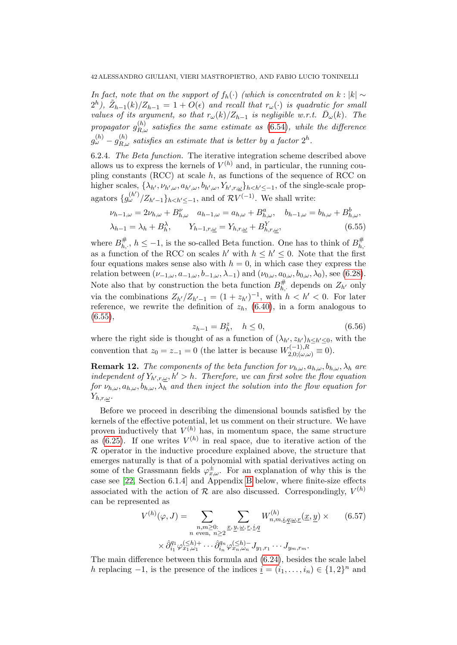In fact, note that on the support of  $f_h(\cdot)$  (which is concentrated on k : |k| ∼  $2^{h}$ ),  $\tilde{Z}_{h-1}(k)/Z_{h-1} = 1 + O(\epsilon)$  and recall that  $r_{\omega}(\cdot)$  is quadratic for small values of its argument, so that  $r_\omega(k)/Z_{h-1}$  is negligible w.r.t.  $\bar{D}_\omega(k)$ . The propagator  $g_{R,\omega}^{(h)}$  satisfies the same estimate as  $(6.54)$ , while the difference  $g^{(h)}_{\omega}-g^{(h)}_{R,\omega}$  satisfies an estimate that is better by a factor  $2^h.$ 

6.2.4. The Beta function. The iterative integration scheme described above allows us to express the kernels of  $V^{(h)}$  and, in particular, the running coupling constants (RCC) at scale  $h$ , as functions of the sequence of RCC on higher scales,  $\{\lambda_{h'}, \nu_{h',\omega}, a_{h',\omega}, b_{h',\omega}, Y_{h',r,\omega}\}_{h\lt h'\le-1}$ , of the single-scale propagators  $\{g_{\omega}^{(h'')}/Z_{h'-1}\}_{h, and of  $\overline{\mathcal{R}V}^{(-1)}$ . We shall write:$ 

<span id="page-41-0"></span>
$$
\nu_{h-1,\omega} = 2\nu_{h,\omega} + B_{h,\omega}^{\nu} \quad a_{h-1,\omega} = a_{h,\omega} + B_{h,\omega}^a, \quad b_{h-1,\omega} = b_{h,\omega} + B_{h,\omega}^b, \lambda_{h-1} = \lambda_h + B_h^{\lambda}, \qquad Y_{h-1,r,\underline{\omega}} = Y_{h,r,\underline{\omega}} + B_{h,r,\underline{\omega}}^Y,
$$
\n(6.55)

where  $B_h^{\#}$  $\frac{\#}{h_i}$ ,  $h \leq -1$ , is the so-called Beta function. One has to think of  $B_{h_i}^{\#}$  $h,$ as a function of the RCC on scales  $h'$  with  $h \leq h' \leq 0$ . Note that the first four equations makes sense also with  $h = 0$ , in which case they express the relation between  $(\nu_{-1,\omega}, a_{-1,\omega}, b_{-1,\omega}, \lambda_{-1})$  and  $(\nu_{0,\omega}, a_{0,\omega}, b_{0,\omega}, \lambda_0)$ , see [\(6.28\)](#page-34-2). Note also that by construction the beta function  $B_h^{\#}$  $U_{h,\cdot}^{\#}$  depends on  $Z_{h'}$  only via the combinations  $Z_{h'}/Z_{h'-1} = (1 + z_{h'})^{-1}$ , with  $h < h' < 0$ . For later reference, we rewrite the definition of  $z_h$ , [\(6.40\)](#page-38-4), in a form analogous to  $(6.55),$  $(6.55),$ 

<span id="page-41-2"></span>
$$
z_{h-1} = B_h^z, \quad h \le 0,\tag{6.56}
$$

where the right side is thought of as a function of  $(\lambda_{h'}, z_{h'})_{h\leq h'\leq 0}$ , with the convention that  $z_0 = z_{-1} = 0$  (the latter is because  $W_{2,0;(\omega,\omega)}^{(-1),R} \equiv 0$ ).

**Remark 12.** The components of the beta function for  $\nu_{h,\omega}$ ,  $a_{h,\omega}$ ,  $b_{h,\omega}$ ,  $\lambda_h$  are independent of  $Y_{h',r,\omega}, h' > h$ . Therefore, we can first solve the flow equation for  $\nu_{h,\omega}, a_{h,\omega}, b_{h,\omega}, \lambda_h$  and then inject the solution into the flow equation for  $Y_{h,r,\omega}$ .

Before we proceed in describing the dimensional bounds satisfied by the kernels of the effective potential, let us comment on their structure. We have proven inductively that  $V^{(h)}$  has, in momentum space, the same structure as [\(6.25\)](#page-34-0). If one writes  $V^{(h)}$  in real space, due to iterative action of the R operator in the inductive procedure explained above, the structure that emerges naturally is that of a polynomial with spatial derivatives acting on some of the Grassmann fields  $\varphi_{x,\omega}^{\pm}$ . For an explanation of why this is the case see [\[22,](#page-71-0) Section 6.1.4] and Appendix [B](#page-62-0) below, where finite-size effects associated with the action of  $R$  are also discussed. Correspondingly,  $V^{(h)}$ can be represented as

<span id="page-41-1"></span>
$$
V^{(h)}(\varphi, J) = \sum_{\substack{n,m \geq 0:\\n \text{ even, } n \geq 2}} \sum_{\substack{x, y, \omega, r, i,q\\y, \omega, r, i \neq j}} W^{(h)}_{n,m,i,q,\omega,r}(\underline{x}, \underline{y}) \times \qquad (6.57)
$$

$$
\times \hat{\partial}_{i_1}^{q_1} \varphi_{x_1,\omega_1}^{(\leq h)+} \cdots \hat{\partial}_{i_n}^{q_n} \varphi_{x_n,\omega_n}^{(\leq h)-} J_{y_1,r_1} \cdots J_{y_m,r_m}.
$$

The main difference between this formula and [\(6.24\)](#page-33-1), besides the scale label h replacing  $-1$ , is the presence of the indices  $\underline{i} = (i_1, \ldots, i_n) \in \{1, 2\}^n$  and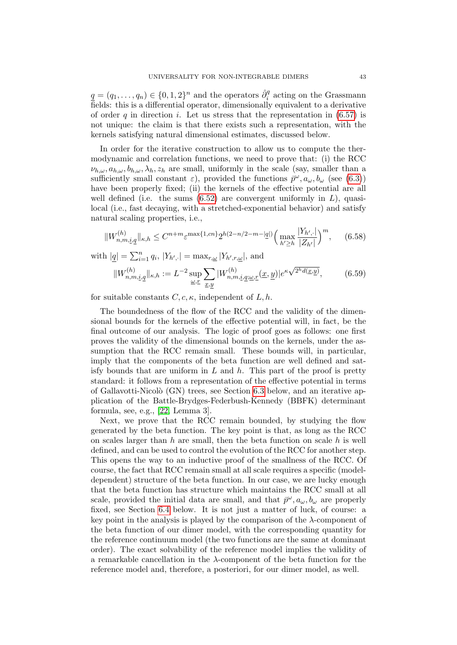$\underline{q} = (q_1, \ldots, q_n) \in \{0, 1, 2\}^n$  and the operators  $\hat{\partial}_i^q$  acting on the Grassmann fields: this is a differential operator, dimensionally equivalent to a derivative of order q in direction i. Let us stress that the representation in  $(6.57)$  is not unique: the claim is that there exists such a representation, with the kernels satisfying natural dimensional estimates, discussed below.

In order for the iterative construction to allow us to compute the thermodynamic and correlation functions, we need to prove that: (i) the RCC  $\nu_{h,\omega}, a_{h,\omega}, b_{h,\omega}, \lambda_h, z_h$  are small, uniformly in the scale (say, smaller than a sufficiently small constant  $\varepsilon$ ), provided the functions  $\bar{p}^{\omega}, a_{\omega}, b_{\omega}$  (see [\(6.3\)](#page-29-0)) have been properly fixed; (ii) the kernels of the effective potential are all well defined (i.e. the sums  $(6.52)$  are convergent uniformly in L), quasilocal (i.e., fast decaying, with a stretched-exponential behavior) and satisfy natural scaling properties, i.e.,

<span id="page-42-0"></span>
$$
||W_{n,m,i,q}^{(h)}||_{\kappa,h} \leq C^{n+m} \varepsilon^{\max\{1,cn\}} 2^{h(2-n/2-m-|\underline{q}|)} \Big(\max_{h'\geq h} \frac{|Y_{h',\cdot}|}{|Z_{h'}|}\Big)^m, \qquad (6.58)
$$

with  $|\underline{q}| = \sum_{i=1}^{n} q_i$ ,  $|Y_{h',\cdot}| = \max_{r,\underline{\omega}} |Y_{h',r,\underline{\omega}}|$ , and

$$
||W_{n,m,\underline{i},\underline{q}}^{(h)}||_{\kappa,h} := L^{-2} \sup_{\underline{\omega},\underline{r}} \sum_{\underline{x},\underline{y}} |W_{n,m,\underline{i},\underline{q};\underline{\omega},\underline{r}}^{(h)}(\underline{x},\underline{y})|e^{\kappa \sqrt{2^h d(\underline{x},\underline{y})}}, \qquad (6.59)
$$

for suitable constants  $C, c, \kappa$ , independent of  $L, h$ .

The boundedness of the flow of the RCC and the validity of the dimensional bounds for the kernels of the effective potential will, in fact, be the final outcome of our analysis. The logic of proof goes as follows: one first proves the validity of the dimensional bounds on the kernels, under the assumption that the RCC remain small. These bounds will, in particular, imply that the components of the beta function are well defined and satisfy bounds that are uniform in  $L$  and  $h$ . This part of the proof is pretty standard: it follows from a representation of the effective potential in terms of Gallavotti-Nicolò (GN) trees, see Section [6.3](#page-43-0) below, and an iterative application of the Battle-Brydges-Federbush-Kennedy (BBFK) determinant formula, see, e.g., [\[22,](#page-71-0) Lemma 3].

Next, we prove that the RCC remain bounded, by studying the flow generated by the beta function. The key point is that, as long as the RCC on scales larger than h are small, then the beta function on scale h is well defined, and can be used to control the evolution of the RCC for another step. This opens the way to an inductive proof of the smallness of the RCC. Of course, the fact that RCC remain small at all scale requires a specific (modeldependent) structure of the beta function. In our case, we are lucky enough that the beta function has structure which maintains the RCC small at all scale, provided the initial data are small, and that  $\bar{p}^{\omega}, a_{\omega}, b_{\omega}$  are properly fixed, see Section [6.4](#page-45-0) below. It is not just a matter of luck, of course: a key point in the analysis is played by the comparison of the  $\lambda$ -component of the beta function of our dimer model, with the corresponding quantity for the reference continuum model (the two functions are the same at dominant order). The exact solvability of the reference model implies the validity of a remarkable cancellation in the  $\lambda$ -component of the beta function for the reference model and, therefore, a posteriori, for our dimer model, as well.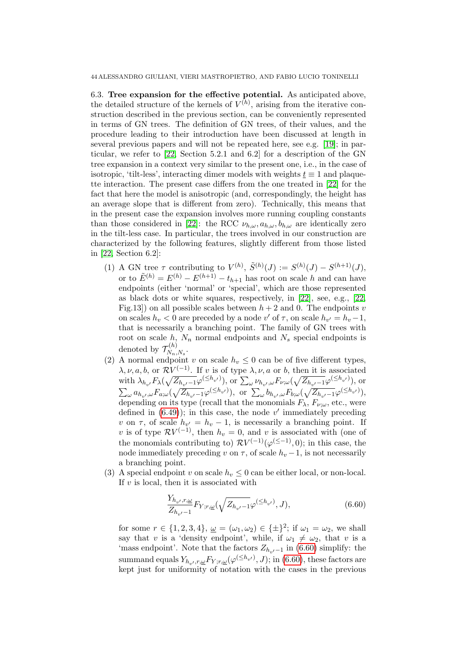44 ALESSANDRO GIULIANI, VIERI MASTROPIETRO, AND FABIO LUCIO TONINELLI

<span id="page-43-0"></span>6.3. Tree expansion for the effective potential. As anticipated above, the detailed structure of the kernels of  $V^{(h)}$ , arising from the iterative construction described in the previous section, can be conveniently represented in terms of GN trees. The definition of GN trees, of their values, and the procedure leading to their introduction have been discussed at length in several previous papers and will not be repeated here, see e.g. [\[19\]](#page-71-1); in particular, we refer to [\[22,](#page-71-0) Section 5.2.1 and 6.2] for a description of the GN tree expansion in a context very similar to the present one, i.e., in the case of isotropic, 'tilt-less', interacting dimer models with weights  $t \equiv 1$  and plaquette interaction. The present case differs from the one treated in [\[22\]](#page-71-0) for the fact that here the model is anisotropic (and, correspondingly, the height has an average slope that is different from zero). Technically, this means that in the present case the expansion involves more running coupling constants than those considered in [\[22\]](#page-71-0): the RCC  $\nu_{h,\omega}, a_{h,\omega}, b_{h,\omega}$  are identically zero in the tilt-less case. In particular, the trees involved in our construction are characterized by the following features, slightly different from those listed in [\[22,](#page-71-0) Section 6.2]:

- (1) A GN tree  $\tau$  contributing to  $V^{(h)}$ ,  $\tilde{S}^{(h)}(J) := S^{(h)}(J) S^{(h+1)}(J)$ , or to  $\tilde{E}^{(h)} = E^{(h)} - E^{(h+1)} - t_{h+1}$  has root on scale h and can have endpoints (either 'normal' or 'special', which are those represented as black dots or white squares, respectively, in [\[22\]](#page-71-0), see, e.g., [\[22,](#page-71-0) Fig.13]) on all possible scales between  $h + 2$  and 0. The endpoints v on scales  $h_v < 0$  are preceded by a node  $v'$  of  $\tau$ , on scale  $h_{v'} = h_v - 1$ , that is necessarily a branching point. The family of GN trees with root on scale h,  $N_n$  normal endpoints and  $N_s$  special endpoints is denoted by  $\mathcal{T}_{N_-}^{(h)}$  $N_n, N_s$ .
- (2) A normal endpoint v on scale  $h_v \leq 0$  can be of five different types,  $\lambda, \nu, a, b$ , or  $\mathcal{R}V^{(-1)}$ . If v is of type  $\lambda, \nu, a$  or b, then it is associated with  $\lambda_{h_{v'}} F_{\lambda}(\sqrt{Z_{h_{v'}-1}}\varphi^{(\leq h_{v'})})$ , or  $\sum_{\omega} \nu_{h_{v'},\omega} F_{\nu;\omega}(\sqrt{Z_{h_{v'}-1}}\varphi^{(\leq h_{v'})})$ , or  $\sum_{\omega} a_{h_{v'},\omega} F_{a;\omega}(\sqrt{Z_{h_{v'}-1}}\varphi^{(\leq h_{v'})}), \text{ or } \sum_{\omega} b_{h_{v'},\omega} F_{b;\omega}(\sqrt{Z_{h_{v'}-1}}\varphi^{(\leq h_{v'})}),$ depending on its type (recall that the monomials  $F_{\lambda}$ ,  $F_{\nu;\omega}$ , etc., were defined in  $(6.49)$ ; in this case, the node v' immediately preceding v on  $\tau$ , of scale  $h_{v'} = h_v - 1$ , is necessarily a branching point. If v is of type  $\mathcal{R}V^{(-1)}$ , then  $h_v = 0$ , and v is associated with (one of the monomials contributing to)  $\mathcal{R}V^{(-1)}(\varphi^{(\leq -1)}, 0)$ ; in this case, the node immediately preceding v on  $\tau$ , of scale  $h_v - 1$ , is not necessarily a branching point.
- (3) A special endpoint v on scale  $h_v \leq 0$  can be either local, or non-local. If  $v$  is local, then it is associated with

<span id="page-43-1"></span>
$$
\frac{Y_{h_{v'},r,\underline{\omega}}}{Z_{h_{v'}-1}}F_{Y;r,\underline{\omega}}(\sqrt{Z_{h_{v'}-1}}\varphi^{(\leq h_{v'})},J),\tag{6.60}
$$

for some  $r \in \{1, 2, 3, 4\}, \underline{\omega} = (\omega_1, \omega_2) \in \{\pm\}^2$ ; if  $\omega_1 = \omega_2$ , we shall say that v is a 'density endpoint', while, if  $\omega_1 \neq \omega_2$ , that v is a 'mass endpoint'. Note that the factors  $Z_{h,\nu-1}$  in [\(6.60\)](#page-43-1) simplify: the summand equals  $Y_{h_{v'},r,\underline{\omega}}F_{Y; r,\underline{\omega}}(\varphi^{(\leq h_{v'})},J);$  in [\(6.60\)](#page-43-1), these factors are kept just for uniformity of notation with the cases in the previous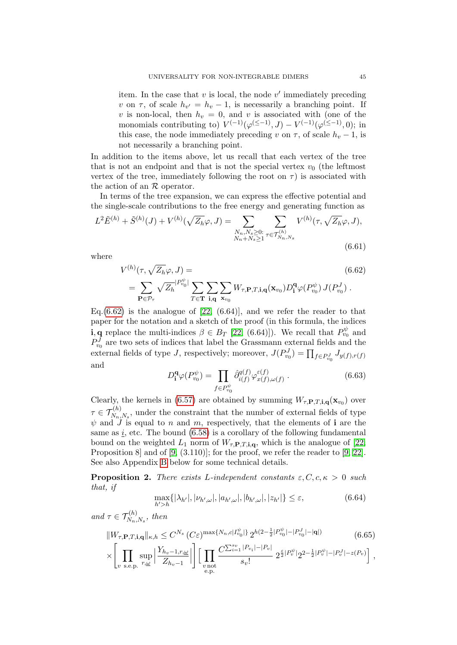item. In the case that  $v$  is local, the node  $v'$  immediately preceding v on  $\tau$ , of scale  $h_{v'} = h_v - 1$ , is necessarily a branching point. If v is non-local, then  $h_v = 0$ , and v is associated with (one of the monomials contributing to)  $V^{(-1)}(\varphi^{(\leq -1)}, J) - V^{(-1)}(\varphi^{(\leq -1)}, 0)$ ; in this case, the node immediately preceding v on  $\tau$ , of scale  $h_v - 1$ , is not necessarily a branching point.

In addition to the items above, let us recall that each vertex of the tree that is not an endpoint and that is not the special vertex  $v_0$  (the leftmost vertex of the tree, immediately following the root on  $\tau$ ) is associated with the action of an  $R$  operator.

In terms of the tree expansion, we can express the effective potential and the single-scale contributions to the free energy and generating function as

<span id="page-44-4"></span>
$$
L^{2}\tilde{E}^{(h)} + \tilde{S}^{(h)}(J) + V^{(h)}(\sqrt{Z_{h}}\varphi, J) = \sum_{\substack{N_{n},N_{s}\geq 0:\ N_{n}+N_{s}\geq 1}} \sum_{\tau \in \mathcal{T}_{N_{n},N_{s}}^{(h)}} V^{(h)}(\tau, \sqrt{Z_{h}}\varphi, J),
$$
\n(6.61)

where

<span id="page-44-0"></span>
$$
V^{(h)}(\tau, \sqrt{Z_h}\varphi, J) =
$$
\n
$$
= \sum_{\mathbf{P}\in\mathcal{P}_{\tau}} \sqrt{Z_h}^{|P_{v_0}^{\psi}|} \sum_{T\in\mathbf{T}} \sum_{\mathbf{i},\mathbf{q}} \sum_{\mathbf{x}_{v_0}} W_{\tau, \mathbf{P}, T, \mathbf{i}, \mathbf{q}}(\mathbf{x}_{v_0}) D_{\mathbf{i}}^{\mathbf{q}} \varphi(P_{v_0}^{\psi}) J(P_{v_0}^J).
$$
\n(6.62)

Eq. $(6.62)$  is the analogue of  $[22, (6.64)]$ , and we refer the reader to that paper for the notation and a sketch of the proof (in this formula, the indices **i**, **q** replace the multi-indices  $\beta \in B_T$  [\[22,](#page-71-0) (6.64)]). We recall that  $P_{v_0}^{\psi}$  and  $P_{v_0}^J$  are two sets of indices that label the Grassmann external fields and the external fields of type J, respectively; moreover,  $J(P_{v_0}^J) = \prod_{f \in P_{v_0}^J} J_{y(f),r(f)}$ and

$$
D_{\mathbf{i}}^{\mathbf{q}}\varphi(P_{v_0}^{\psi}) = \prod_{f \in P_{v_0}^{\psi}} \hat{\partial}_{i(f)}^{q(f)}\varphi_{x(f),\omega(f)}^{\varepsilon(f)}.
$$
 (6.63)

Clearly, the kernels in [\(6.57\)](#page-41-1) are obtained by summing  $W_{\tau,\mathbf{P},T,\mathbf{i},\mathbf{q}}(\mathbf{x}_{v_0})$  over  $\tau \in \mathcal{T}_{N_n,N_s}^{(h)}$ , under the constraint that the number of external fields of type  $\psi$  and  $\ddot{J}$  is equal to n and m, respectively, that the elements of i are the same as  $i$ , etc. The bound  $(6.58)$  is a corollary of the following fundamental bound on the weighted  $L_1$  norm of  $W_{\tau,\mathbf{P},T,\mathbf{i},\mathbf{q}}$ , which is the analogue of [\[22,](#page-71-0) Proposition 8 and of [\[9,](#page-70-0) (3.110)]; for the proof, we refer the reader to [9, [22\]](#page-71-0). See also Appendix [B](#page-62-0) below for some technical details.

<span id="page-44-3"></span>**Proposition 2.** There exists L-independent constants  $\varepsilon, C, c, \kappa > 0$  such that, if

<span id="page-44-2"></span>
$$
\max_{h'>h} \{ |\lambda_{h'}|, |\nu_{h',\omega}|, |a_{h',\omega}|, |b_{h',\omega}|, |z_{h'}| \} \le \varepsilon,
$$
\n(6.64)

and  $\tau \in \mathcal{T}_{N_n,N_s}^{(h)}$ , then

<span id="page-44-1"></span>
$$
||W_{\tau,\mathbf{P},T,\mathbf{i},\mathbf{q}}||_{\kappa,h} \le C^{N_s} (C\varepsilon)^{\max\{N_n,c|I_{v_0}^{\psi}|\}} 2^{h(2-\frac{1}{2}|P_{v_0}^{\psi}| - |P_{v_0}^J| - |\mathbf{q}|)} \tag{6.65}
$$

$$
\times \left[ \prod_{v \text{ s.e.} p.} \sup_{r, \underline{\omega}} \left| \frac{Y_{h_v-1, r, \underline{\omega}}}{Z_{h_v-1}} \right| \right] \left[ \prod_{\substack{v \text{ not} \\ e.p.}} \frac{C^{\sum_{i=1}^{s_v} |P_{v_i}| - |P_v|}}{s_v!} 2^{\frac{\varepsilon}{2} |P_v^{\psi}|} 2^{2 - \frac{1}{2} |P_v^{\psi}| - |P_v^J| - z(P_v)} \right],
$$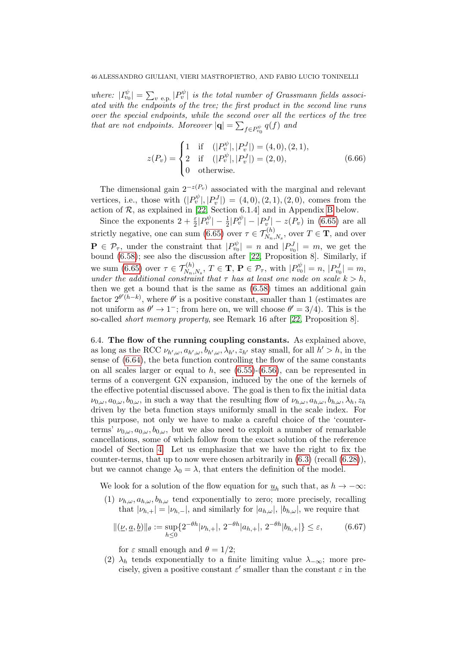where:  $|I_{v_0}^{\psi}| = \sum_{v \text{ e.p.}} |P_v^{\psi}|$  is the total number of Grassmann fields associated with the endpoints of the tree; the first product in the second line runs over the special endpoints, while the second over all the vertices of the tree that are not endpoints. Moreover  $|\mathbf{q}| = \sum_{f \in P_{v_0}^{\psi}} q(f)$  and

<span id="page-45-2"></span>
$$
z(P_v) = \begin{cases} 1 & \text{if } \quad (|P_v^{\psi}|, |P_v^J|) = (4, 0), (2, 1), \\ 2 & \text{if } \quad (|P_v^{\psi}|, |P_v^J|) = (2, 0), \\ 0 & \text{otherwise.} \end{cases}
$$
(6.66)

The dimensional gain  $2^{-z(P_v)}$  associated with the marginal and relevant vertices, i.e., those with  $(|P_v^{\psi}|, |P_v^J|) = (4,0), (2,1), (2,0)$ , comes from the action of  $R$ , as explained in [\[22,](#page-71-0) Section 6.1.4] and in Appendix [B](#page-62-0) below.

Since the exponents  $2 + \frac{\varepsilon}{2} |P_v^{\psi}| - \frac{1}{2} |P_v^{\psi}| - |P_v^J| - z(P_v)$  in [\(6.65\)](#page-44-1) are all strictly negative, one can sum [\(6.65\)](#page-44-1) over  $\tau \in \mathcal{T}_{N_n,N_s}^{(h)}$ , over  $T \in \mathbf{T}$ , and over  $\mathbf{P} \in \mathcal{P}_{\tau}$ , under the constraint that  $|P_{v_0}^{\psi}| = n$  and  $|P_{v_0}^J| = m$ , we get the bound [\(6.58\)](#page-42-0); see also the discussion after [\[22,](#page-71-0) Proposition 8]. Similarly, if we sum [\(6.65\)](#page-44-1) over  $\tau \in \mathcal{T}_{N_n,N_s}^{(h)}$ ,  $T \in \mathbf{T}, \mathbf{P} \in \mathcal{P}_{\tau}$ , with  $|P_{v_0}^{\psi}| = n, |P_{v_0}^J| = m$ , under the additional constraint that  $\tau$  has at least one node on scale  $k > h$ , then we get a bound that is the same as  $(6.58)$  times an additional gain factor  $2^{\theta(\bar{h}-k)}$ , where  $\theta'$  is a positive constant, smaller than 1 (estimates are not uniform as  $\theta' \to 1^-$ ; from here on, we will choose  $\theta' = 3/4$ ). This is the so-called short memory property, see Remark 16 after [\[22,](#page-71-0) Proposition 8].

<span id="page-45-0"></span>6.4. The flow of the running coupling constants. As explained above, as long as the RCC  $\nu_{h',\omega}, a_{h',\omega}, b_{h',\omega}, \lambda_{h'}, z_{h'}$  stay small, for all  $h' > h$ , in the sense of [\(6.64\)](#page-44-2), the beta function controlling the flow of the same constants on all scales larger or equal to h, see  $(6.55)-(6.56)$  $(6.55)-(6.56)$ , can be represented in terms of a convergent GN expansion, induced by the one of the kernels of the effective potential discussed above. The goal is then to fix the initial data  $\nu_{0,\omega}, a_{0,\omega}, b_{0,\omega}$ , in such a way that the resulting flow of  $\nu_{h,\omega}, a_{h,\omega}, b_{h,\omega}, \lambda_h, z_h$ driven by the beta function stays uniformly small in the scale index. For this purpose, not only we have to make a careful choice of the 'counterterms'  $\nu_{0,\omega}, a_{0,\omega}, b_{0,\omega}$ , but we also need to exploit a number of remarkable cancellations, some of which follow from the exact solution of the reference model of Section [4.](#page-21-0) Let us emphasize that we have the right to fix the counter-terms, that up to now were chosen arbitrarily in  $(6.3)$  (recall  $(6.28)$ ), but we cannot change  $\lambda_0 = \lambda$ , that enters the definition of the model.

We look for a solution of the flow equation for  $\underline{u}_h$  such that, as  $h \to -\infty$ :

(1)  $\nu_{h,\omega}, a_{h,\omega}, b_{h,\omega}$  tend exponentially to zero; more precisely, recalling that  $|\nu_{h,+}| = |\nu_{h,-}|$ , and similarly for  $|a_{h,\omega}|$ ,  $|b_{h,\omega}|$ , we require that

<span id="page-45-1"></span>
$$
\|(\underline{\nu}, \underline{a}, \underline{b})\|_{\theta} := \sup_{h \le 0} \{ 2^{-\theta h} |\nu_{h,+}|, 2^{-\theta h} |a_{h,+}|, 2^{-\theta h} |b_{h,+}| \} \le \varepsilon, \tag{6.67}
$$

for  $\varepsilon$  small enough and  $\theta = 1/2$ ;

(2)  $\lambda_h$  tends exponentially to a finite limiting value  $\lambda_{-\infty}$ ; more precisely, given a positive constant  $\varepsilon'$  smaller than the constant  $\varepsilon$  in the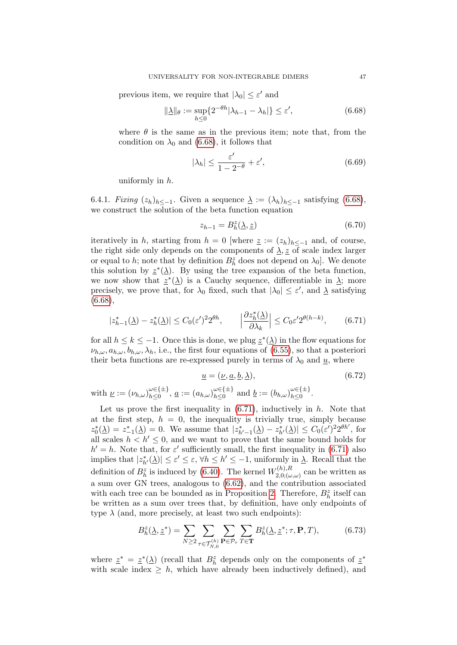previous item, we require that  $|\lambda_0| \leq \varepsilon'$  and

<span id="page-46-0"></span>
$$
\|\underline{\lambda}\|_{\theta} := \sup_{h \le 0} \{ 2^{-\theta h} |\lambda_{h-1} - \lambda_h| \} \le \varepsilon', \tag{6.68}
$$

where  $\theta$  is the same as in the previous item; note that, from the condition on  $\lambda_0$  and [\(6.68\)](#page-46-0), it follows that

<span id="page-46-2"></span>
$$
|\lambda_h| \le \frac{\varepsilon'}{1 - 2^{-\theta}} + \varepsilon',\tag{6.69}
$$

uniformly in h.

<span id="page-46-6"></span>6.4.1. Fixing  $(z_h)_{h \leq -1}$ . Given a sequence  $\underline{\lambda} := (\lambda_h)_{h \leq -1}$  satisfying [\(6.68\)](#page-46-0), we construct the solution of the beta function equation

<span id="page-46-4"></span>
$$
z_{h-1} = B_h^z(\underline{\lambda}, \underline{z}) \tag{6.70}
$$

iteratively in h, starting from  $h = 0$  [where  $\underline{z} := (z_h)_{h \leq -1}$  and, of course, the right side only depends on the components of  $\lambda$ , z of scale index larger or equal to h; note that by definition  $B_h^z$  does not depend on  $\lambda_0$ . We denote this solution by  $\underline{z}^*(\underline{\lambda})$ . By using the tree expansion of the beta function, we now show that  $\underline{z}^*(\underline{\lambda})$  is a Cauchy sequence, differentiable in  $\underline{\lambda}$ ; more precisely, we prove that, for  $\lambda_0$  fixed, such that  $|\lambda_0| \leq \varepsilon'$ , and  $\lambda$  satisfying [\(6.68\)](#page-46-0),

<span id="page-46-5"></span><span id="page-46-1"></span>
$$
|z_{h-1}^*(\underline{\lambda}) - z_h^*(\underline{\lambda})| \le C_0(\varepsilon')^2 2^{\theta h}, \qquad \left| \frac{\partial z_h^*(\underline{\lambda})}{\partial \lambda_k} \right| \le C_0 \varepsilon' 2^{\theta(h-k)}, \tag{6.71}
$$

for all  $h \leq k \leq -1$ . Once this is done, we plug  $\underline{z}^*(\underline{\lambda})$  in the flow equations for  $\nu_{h,\omega}, a_{h,\omega}, b_{h,\omega}, \lambda_h$ , i.e., the first four equations of [\(6.55\)](#page-41-0), so that a posteriori their beta functions are re-expressed purely in terms of  $\lambda_0$  and  $\underline{u}$ , where

$$
\underline{u} = (\underline{\nu}, \underline{a}, \underline{b}, \underline{\lambda}),
$$
\n
$$
\text{with } \underline{\nu} := (\nu_{h,\omega})_{h \le 0}^{\omega \in \{\pm\}}, \underline{a} := (a_{h,\omega})_{h \le 0}^{\omega \in \{\pm\}} \text{ and } \underline{b} := (b_{h,\omega})_{h \le 0}^{\omega \in \{\pm\}}.
$$
\n
$$
(6.72)
$$

Let us prove the first inequality in  $(6.71)$ , inductively in h. Note that at the first step,  $h = 0$ , the inequality is trivially true, simply because  $z_0^*(\underline{\lambda}) = z_{-1}^*(\underline{\lambda}) = 0$ . We assume that  $|z_{h'-1}^*(\underline{\lambda}) - z_{h'}^*(\underline{\lambda})| \leq C_0(\varepsilon')^2 2^{\theta h'}$ , for all scales  $h < h' \leq 0$ , and we want to prove that the same bound holds for  $h' = h$ . Note that, for  $\varepsilon'$  sufficiently small, the first inequality in [\(6.71\)](#page-46-1) also implies that  $|z^*_{h'}(\underline{\lambda})| \leq \varepsilon' \leq \varepsilon, \forall h \leq h' \leq -1$ , uniformly in  $\underline{\lambda}$ . Recall that the definition of  $B_h^z$  is induced by [\(6.40\)](#page-38-4). The kernel  $W_{2,0;(\omega)}^{(h),R}$  $\chi^{(n),n}_{(2,0;(\omega,\omega))}$  can be written as a sum over GN trees, analogous to [\(6.62\)](#page-44-0), and the contribution associated with each tree can be bounded as in Proposition [2.](#page-44-3) Therefore,  $B_h^z$  itself can be written as a sum over trees that, by definition, have only endpoints of type  $\lambda$  (and, more precisely, at least two such endpoints):

<span id="page-46-3"></span>
$$
B_h^z(\underline{\lambda}, \underline{z}^*) = \sum_{N \ge 2} \sum_{\tau \in \mathcal{T}_{N,0}^{(h)}} \sum_{\mathbf{P} \in \mathcal{P}_{\tau}} \sum_{T \in \mathbf{T}} B_h^z(\underline{\lambda}, \underline{z}^*; \tau, \mathbf{P}, T), \tag{6.73}
$$

where  $\underline{z}^* = \underline{z}^*(\underline{\lambda})$  (recall that  $B_h^z$  depends only on the components of  $\underline{z}^*$ with scale index  $\geq h$ , which have already been inductively defined), and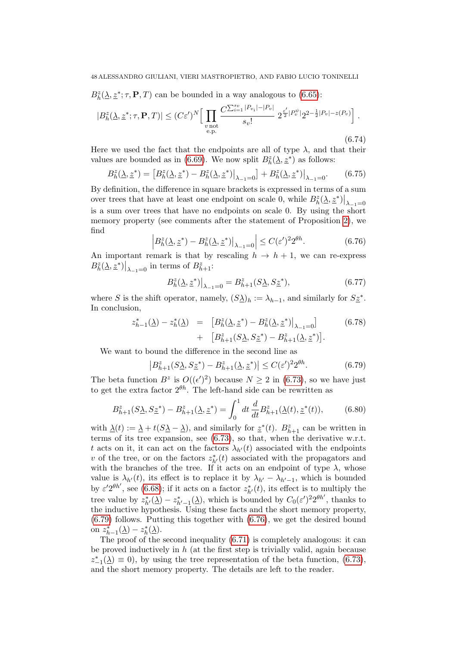$B_h^z(\underline{\lambda}, \underline{z}^*; \tau, \mathbf{P}, T)$  can be bounded in a way analogous to [\(6.65\)](#page-44-1):

$$
|B_h^z(\underline{\lambda}, \underline{z}^*; \tau, \mathbf{P}, T)| \le (C\varepsilon')^N \Big[ \prod_{\substack{v \text{ not} \\ e \text{.p.}}} \frac{C^{\sum_{i=1}^{s_v} |P_{v_i}| - |P_v|}}{s_v!} 2^{\frac{\varepsilon'}{2} |P_v^{\psi}|} 2^{2 - \frac{1}{2} |P_v| - z(P_v)} \Big].
$$
\n(6.74)

Here we used the fact that the endpoints are all of type  $\lambda$ , and that their values are bounded as in [\(6.69\)](#page-46-2). We now split  $B_h^z(\underline{\lambda}, \underline{z}^*)$  as follows:

$$
B_h^z(\underline{\lambda}, \underline{z}^*) = \left[ B_h^z(\underline{\lambda}, \underline{z}^*) - B_h^z(\underline{\lambda}, \underline{z}^*) \right]_{\lambda - 1 = 0} + B_h^z(\underline{\lambda}, \underline{z}^*) \Big|_{\lambda - 1 = 0}.
$$
 (6.75)

By definition, the difference in square brackets is expressed in terms of a sum over trees that have at least one endpoint on scale 0, while  $B^{z}_{h}(\underline{\lambda}, \underline{z}^{*})\big|_{\lambda=1=0}$ is a sum over trees that have no endpoints on scale 0. By using the short memory property (see comments after the statement of Proposition [2\)](#page-44-3), we find

<span id="page-47-1"></span>
$$
\left| B_h^z(\underline{\lambda}, \underline{z}^*) - B_h^z(\underline{\lambda}, \underline{z}^*) \right|_{\lambda - 1 = 0} \le C(\varepsilon')^2 2^{\theta h}.
$$
 (6.76)

An important remark is that by rescaling  $h \to h + 1$ , we can re-express  $B_h^z(\underline{\lambda}, \underline{z}^*)\big|_{\lambda_{-1}=0}$  in terms of  $B_{h+1}^z$ :

$$
B_h^z(\underline{\lambda}, \underline{z}^*)\big|_{\lambda=1=0} = B_{h+1}^z(S\underline{\lambda}, S\underline{z}^*),\tag{6.77}
$$

where S is the shift operator, namely,  $(S_{\Delta})_h := \lambda_{h-1}$ , and similarly for  $S_{\Delta}^*$ . In conclusion,

$$
z_{h-1}^{*}(\underline{\lambda}) - z_{h}^{*}(\underline{\lambda}) = [B_{h}^{z}(\underline{\lambda}, \underline{z}^{*}) - B_{h}^{z}(\underline{\lambda}, \underline{z}^{*})|_{\lambda_{-1} = 0}]
$$
(6.78)  
+ 
$$
[B_{h+1}^{z}(S\underline{\lambda}, S\underline{z}^{*}) - B_{h+1}^{z}(\underline{\lambda}, \underline{z}^{*})].
$$

We want to bound the difference in the second line as

<span id="page-47-0"></span>
$$
\left| B_{h+1}^{z}(S_{\Delta}, S_{\mathcal{Z}}^{*}) - B_{h+1}^{z}(\Delta, \mathcal{Z}^{*}) \right| \le C(\varepsilon')^{2} 2^{\theta h}.
$$
 (6.79)

The beta function  $B^z$  is  $O((\epsilon')^2)$  because  $N \geq 2$  in [\(6.73\)](#page-46-3), so we have just to get the extra factor  $2^{\theta h}$ . The left-hand side can be rewritten as

<span id="page-47-2"></span>
$$
B_{h+1}^{z}(S\underline{\lambda},S\underline{z}^{*}) - B_{h+1}^{z}(\underline{\lambda},\underline{z}^{*}) = \int_{0}^{1} dt \frac{d}{dt} B_{h+1}^{z}(\underline{\lambda}(t),\underline{z}^{*}(t)),\tag{6.80}
$$

with  $\underline{\lambda}(t) := \underline{\lambda} + t(S\underline{\lambda} - \underline{\lambda})$ , and similarly for  $\underline{z}^*(t)$ .  $B_{h+1}^z$  can be written in terms of its tree expansion, see [\(6.73\)](#page-46-3), so that, when the derivative w.r.t. t acts on it, it can act on the factors  $\lambda_{h'}(t)$  associated with the endpoints v of the tree, or on the factors  $z^*_{h'}(t)$  associated with the propagators and with the branches of the tree. If it acts on an endpoint of type  $\lambda$ , whose value is  $\lambda_{h'}(t)$ , its effect is to replace it by  $\lambda_{h'} - \lambda_{h'-1}$ , which is bounded by  $\varepsilon' 2^{\theta h'}$ , see [\(6.68\)](#page-46-0); if it acts on a factor  $z^*_{h'}(t)$ , its effect is to multiply the tree value by  $z^*_{h'}(\underline{\lambda}) - z^*_{h'-1}(\underline{\lambda})$ , which is bounded by  $C_0(\varepsilon')^2 2^{\theta h'}$ , thanks to the inductive hypothesis. Using these facts and the short memory property, [\(6.79\)](#page-47-0) follows. Putting this together with [\(6.76\)](#page-47-1), we get the desired bound on  $z_{h-1}^*(\underline{\lambda}) - z_h^*(\underline{\lambda}).$ 

The proof of the second inequality [\(6.71\)](#page-46-1) is completely analogous: it can be proved inductively in  $h$  (at the first step is trivially valid, again because  $z_{-1}^*(\underline{\lambda}) \equiv 0$ , by using the tree representation of the beta function, [\(6.73\)](#page-46-3), and the short memory property. The details are left to the reader.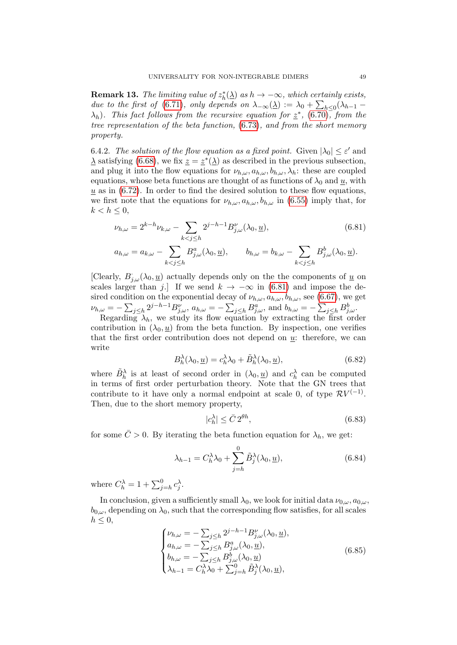<span id="page-48-3"></span>**Remark 13.** The limiting value of  $z_h^*(\underline{\lambda})$  as  $h \to -\infty$ , which certainly exists, due to the first of [\(6.71\)](#page-46-1), only depends on  $\lambda_{-\infty}(\underline{\lambda}) := \lambda_0 + \sum_{h \leq 0} (\lambda_{h-1} \lambda_h$ ). This fact follows from the recursive equation for  $z^*$ , [\(6.70\)](#page-46-4), from the tree representation of the beta function, [\(6.73\)](#page-46-3), and from the short memory property.

6.4.2. The solution of the flow equation as a fixed point. Given  $|\lambda_0| \leq \varepsilon'$  and  $\Delta$  satisfying [\(6.68\)](#page-46-0), we fix  $z = z^*(\Delta)$  as described in the previous subsection, and plug it into the flow equations for  $\nu_{h,\omega}, a_{h,\omega}, b_{h,\omega}, \lambda_h$ : these are coupled equations, whose beta functions are thought of as functions of  $\lambda_0$  and  $\underline{u}$ , with  $u$  as in  $(6.72)$ . In order to find the desired solution to these flow equations, we first note that the equations for  $\nu_{h,\omega}$ ,  $a_{h,\omega}$ ,  $b_{h,\omega}$  in [\(6.55\)](#page-41-0) imply that, for  $k < h \leq 0$ ,

<span id="page-48-0"></span>
$$
\nu_{h,\omega} = 2^{k-h}\nu_{k,\omega} - \sum_{k < j \le h} 2^{j-h-1} B_{j,\omega}^{\nu}(\lambda_0, \underline{u}),\tag{6.81}
$$

$$
a_{h,\omega} = a_{k,\omega} - \sum_{k < j \le h} B_{j,\omega}^a(\lambda_0, \underline{u}), \qquad b_{h,\omega} = b_{k,\omega} - \sum_{k < j \le h} B_{j,\omega}^b(\lambda_0, \underline{u}).
$$

[Clearly,  $B_{j,\omega}^{\dagger}(\lambda_0, \underline{u})$  actually depends only on the the components of  $\underline{u}$  on scales larger than j.] If we send  $k \to -\infty$  in [\(6.81\)](#page-48-0) and impose the desired condition on the exponential decay of  $\nu_{h,\omega}$ ,  $a_{h,\omega}$ ,  $b_{h,\omega}$ , see [\(6.67\)](#page-45-1), we get  $\nu_{h,\omega} = -\sum_{j\leq h} 2^{j-h-1} B_{j,\omega}^{\nu}, \ a_{h,\omega} = -\sum_{j\leq h} B_{j,\omega}^{a}, \text{ and } b_{h,\omega} = -\sum_{j\leq h} B_{j,\omega}^{b}.$ Regarding  $\lambda_h$ , we study its flow equation by extracting the first order

contribution in  $(\lambda_0, u)$  from the beta function. By inspection, one verifies that the first order contribution does not depend on  $u$ : therefore, we can write

<span id="page-48-4"></span>
$$
B_h^{\lambda}(\lambda_0, \underline{u}) = c_h^{\lambda} \lambda_0 + \tilde{B}_h^{\lambda}(\lambda_0, \underline{u}), \qquad (6.82)
$$

where  $\tilde{B}_h^{\lambda}$  is at least of second order in  $(\lambda_0, \underline{u})$  and  $c_h^{\lambda}$  can be computed in terms of first order perturbation theory. Note that the GN trees that contribute to it have only a normal endpoint at scale 0, of type  $RV^{(-1)}$ . Then, due to the short memory property,

<span id="page-48-2"></span>
$$
|c_h^{\lambda}| \le \bar{C} \, 2^{\theta h},\tag{6.83}
$$

for some  $\overline{C} > 0$ . By iterating the beta function equation for  $\lambda_h$ , we get:

$$
\lambda_{h-1} = C_h^{\lambda} \lambda_0 + \sum_{j=h}^0 \tilde{B}_j^{\lambda}(\lambda_0, \underline{u}), \qquad (6.84)
$$

where  $C_h^{\lambda} = 1 + \sum_{j=h}^0 c_j^{\lambda}$ .

In conclusion, given a sufficiently small  $\lambda_0$ , we look for initial data  $\nu_{0,\omega}$ ,  $a_{0,\omega}$ ,  $b_{0,\omega}$ , depending on  $\lambda_0$ , such that the corresponding flow satisfies, for all scales  $h \leq 0$ ,

<span id="page-48-1"></span>
$$
\begin{cases}\n\nu_{h,\omega} = -\sum_{j \leq h} 2^{j-h-1} B_{j,\omega}^{\nu}(\lambda_0, \underline{u}), \\
a_{h,\omega} = -\sum_{j \leq h} B_{j,\omega}^a(\lambda_0, \underline{u}), \\
b_{h,\omega} = -\sum_{j \leq h} B_{j,\omega}^b(\lambda_0, \underline{u}) \\
\lambda_{h-1} = C_h^{\lambda} \lambda_0 + \sum_{j=h}^0 \tilde{B}_j^{\lambda}(\lambda_0, \underline{u}),\n\end{cases} \tag{6.85}
$$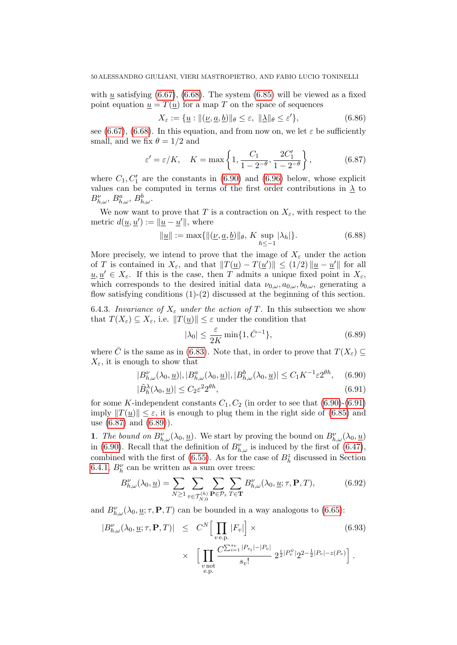with  $u$  satisfying [\(6.67\)](#page-45-1), [\(6.68\)](#page-46-0). The system [\(6.85\)](#page-48-1) will be viewed as a fixed point equation  $u = T(u)$  for a map T on the space of sequences

$$
X_{\varepsilon} := \{ \underline{u} : \| (\underline{\nu}, \underline{a}, \underline{b}) \|_{\theta} \le \varepsilon, \| \underline{\lambda} \|_{\theta} \le \varepsilon' \},
$$
\n(6.86)

see [\(6.67\)](#page-45-1), [\(6.68\)](#page-46-0). In this equation, and from now on, we let  $\varepsilon$  be sufficiently small, and we fix  $\theta = 1/2$  and

<span id="page-49-1"></span>
$$
\varepsilon' = \varepsilon/K, \quad K = \max\left\{1, \frac{C_1}{1 - 2^{-\theta}}, \frac{2C_1'}{1 - 2^{-\theta}}\right\},\tag{6.87}
$$

where  $C_1, C'_1$  are the constants in [\(6.90\)](#page-49-0) and [\(6.96\)](#page-51-0) below, whose explicit values can be computed in terms of the first order contributions in  $\lambda$  to  $B_{h,\omega}^{\nu}, B_{h,\omega}^{a}, B_{h,\omega}^{b}$ .

We now want to prove that T is a contraction on  $X_{\varepsilon}$ , with respect to the metric  $d(\underline{u}, \underline{u}') := ||\underline{u} - \underline{u}'||$ , where

<span id="page-49-3"></span>
$$
\|\underline{u}\| := \max\{\|(\underline{\nu}, \underline{a}, \underline{b})\|_{\theta}, K \sup_{h \le -1} |\lambda_h|\}.
$$
 (6.88)

More precisely, we intend to prove that the image of  $X_{\varepsilon}$  under the action of T is contained in  $X_{\varepsilon}$ , and that  $||T(\underline{u}) - T(\underline{u}')|| \leq (1/2) ||\underline{u} - \underline{u}'||$  for all  $u, u' \in X_{\varepsilon}$ . If this is the case, then T admits a unique fixed point in  $X_{\varepsilon}$ , which corresponds to the desired initial data  $\nu_{0,\omega}, a_{0,\omega}, b_{0,\omega}$ , generating a flow satisfying conditions (1)-(2) discussed at the beginning of this section.

6.4.3. Invariance of  $X_{\varepsilon}$  under the action of T. In this subsection we show that  $T(X_{\varepsilon}) \subseteq X_{\varepsilon}$ , i.e.  $||T(\underline{u})|| \leq \varepsilon$  under the condition that

<span id="page-49-2"></span>
$$
|\lambda_0| \le \frac{\varepsilon}{2K} \min\{1, \bar{C}^{-1}\},\tag{6.89}
$$

where  $\overline{C}$  is the same as in [\(6.83\)](#page-48-2). Note that, in order to prove that  $T(X_{\varepsilon}) \subseteq$  $X_{\varepsilon}$ , it is enough to show that

<span id="page-49-0"></span>
$$
|B_{h,\omega}^{\nu}(\lambda_0,\underline{u})|,|B_{h,\omega}^a(\lambda_0,\underline{u})|,|B_{h,\omega}^b(\lambda_0,\underline{u})|\leq C_1K^{-1}\varepsilon 2^{\theta h},\quad(6.90)
$$

$$
|\tilde{B}_h^{\lambda}(\lambda_0, \underline{u})| \le C_2 \varepsilon^2 2^{\theta h},\tag{6.91}
$$

for some K-independent constants  $C_1, C_2$  (in order to see that  $(6.90)-(6.91)$  $(6.90)-(6.91)$ imply  $||T(u)|| \leq \varepsilon$ , it is enough to plug them in the right side of [\(6.85\)](#page-48-1) and use [\(6.87\)](#page-49-1) and [\(6.89\)](#page-49-2)).

1. The bound on  $B_{h,\omega}^{\nu}(\lambda_0, \underline{u})$ . We start by proving the bound on  $B_{h,\omega}^{\nu}(\lambda_0, \underline{u})$ in [\(6.90\)](#page-49-0). Recall that the definition of  $B_{h,\omega}^{\nu}$  is induced by the first of [\(6.47\)](#page-39-4), combined with the first of [\(6.55\)](#page-41-0). As for the case of  $B<sub>h</sub><sup>z</sup>$  discussed in Section [6.4.1,](#page-46-6)  $B_h^{\nu}$  can be written as a sum over trees:

<span id="page-49-4"></span>
$$
B_{h,\omega}^{\nu}(\lambda_0, \underline{u}) = \sum_{N \ge 1} \sum_{\tau \in \mathcal{T}_{N,0}^{(h)}} \sum_{\mathbf{P} \in \mathcal{P}_{\tau}} \sum_{T \in \mathbf{T}} B_{h,\omega}^{\nu}(\lambda_0, \underline{u}; \tau, \mathbf{P}, T), \tag{6.92}
$$

and  $B_{h,\omega}^{\nu}(\lambda_0, \underline{u}; \tau, \mathbf{P}, T)$  can be bounded in a way analogous to [\(6.65\)](#page-44-1):

$$
|B_{h,\omega}^{\nu}(\lambda_0, \underline{u}; \tau, \mathbf{P}, T)| \leq C^N \Big[ \prod_{v \in \mathbf{P}} |F_v| \Big] \times \tag{6.93}
$$
  
 
$$
\times \Big[ \prod_{\substack{v \text{ not} \\ e, \mathbf{P}.}} \frac{C^{\sum_{i=1}^{s_v} |P_v| - |P_v|}}{s_v!} 2^{\frac{\varepsilon}{2} |P_v^{\psi}|} 2^{2 - \frac{1}{2} |P_v| - z(P_v)} \Big].
$$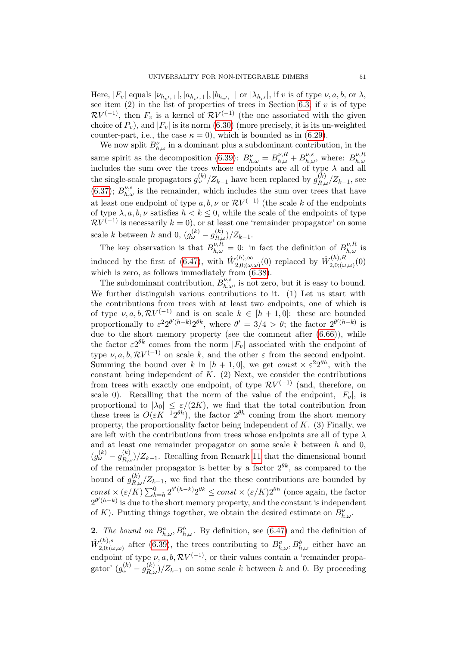Here,  $|F_v|$  equals  $|\nu_{h_{v'},+}|, |a_{h_{v'},+}|, |b_{h_{v'},+}|$  or  $|\lambda_{h_{v'}}|$ , if v is of type  $\nu, a, b$ , or  $\lambda$ , see item  $(2)$  in the list of properties of trees in Section [6.3;](#page-43-0) if v is of type  $RV^{(-1)}$ , then  $F_v$  is a kernel of  $RV^{(-1)}$  (the one associated with the given choice of  $P_v$ ), and  $|F_v|$  is its norm [\(6.30\)](#page-34-3) (more precisely, it is its un-weighted counter-part, i.e., the case  $\kappa = 0$ ), which is bounded as in [\(6.29\)](#page-34-4).

We now split  $B_{h,\omega}^{\nu}$  in a dominant plus a subdominant contribution, in the same spirit as the decomposition [\(6.39\)](#page-38-5):  $B^{\nu}_{h,\omega} = B^{\nu,R}_{h,\omega} + B^{\nu,s}_{h,\omega}$ , where:  $B^{\nu,R}_{h,\omega}$ same spirit as the decomposition (0.39).  $D_{h,\omega} = D_{h,\omega} + D_{h,\omega}$ , where  $D_{h,\omega}$  includes the sum over the trees whose endpoints are all of type  $\lambda$  and all the single-scale propagators  $g_{\omega}^{(k)}/Z_{k-1}$  have been replaced by  $g_{R,\omega}^{(k)}/Z_{k-1}$ , see [\(6.37\)](#page-38-3);  $B^{\nu,s}_{h,\omega}$  is the remainder, which includes the sum over trees that have at least one endpoint of type  $a, b, \nu$  or  $\mathcal{R}V^{(-1)}$  (the scale k of the endpoints of type  $\lambda, a, b, \nu$  satisfies  $h < k \leq 0$ , while the scale of the endpoints of type  $RV<sup>(-1)</sup>$  is necessarily  $k = 0$ , or at least one 'remainder propagator' on some scale k between h and 0,  $(g_{\omega}^{(k)} - g_{R,\omega}^{(k)})/Z_{k-1}$ .

The key observation is that  $B_{h,\omega}^{\nu,R} = 0$ : in fact the definition of  $B_{h,\omega}^{\nu,R}$  is induced by the first of [\(6.47\)](#page-39-4), with  $\hat{W}_{2,0}^{(h),\infty}$  $\hat{W}^{(h),\infty}_{(2,0;(\omega,\omega)}(0)$  replaced by  $\hat{W}^{(h),R}_{2,0;(\omega,\omega)}$  $\binom{n}{2,0;\left(\omega,\omega\right)}(0)$ which is zero, as follows immediately from  $(6.38)$ .

The subdominant contribution,  $B^{\nu,s}_{h,\omega}$ , is not zero, but it is easy to bound. We further distinguish various contributions to it. (1) Let us start with the contributions from trees with at least two endpoints, one of which is of type  $\nu, a, b, \mathcal{R}V^{(-1)}$  and is on scale  $k \in [h+1, 0]$ : these are bounded proportionally to  $\varepsilon^2 2^{\theta'(h-k)} 2^{\theta k}$ , where  $\theta' = 3/4 > \theta$ ; the factor  $2^{\theta'(h-k)}$  is due to the short memory property (see the comment after  $(6.66)$ ), while the factor  $\varepsilon 2^{\theta k}$  comes from the norm  $|F_v|$  associated with the endpoint of type  $\nu, a, b, \mathcal{R}V^{(-1)}$  on scale k, and the other  $\varepsilon$  from the second endpoint. Summing the bound over k in  $[h + 1, 0]$ , we get const  $\times \varepsilon^2 2^{\theta h}$ , with the constant being independent of  $K$ . (2) Next, we consider the contributions from trees with exactly one endpoint, of type  $RV^{(-1)}$  (and, therefore, on scale 0). Recalling that the norm of the value of the endpoint,  $|F_v|$ , is proportional to  $|\lambda_0| \leq \varepsilon/(2K)$ , we find that the total contribution from these trees is  $O(\varepsilon K^{-1} 2^{\theta h})$ , the factor  $2^{\theta h}$  coming from the short memory property, the proportionality factor being independent of  $K$ . (3) Finally, we are left with the contributions from trees whose endpoints are all of type  $\lambda$ and at least one remainder propagator on some scale  $k$  between  $h$  and  $0$ ,  $(g_{\omega}^{(k)} - g_{R,\omega}^{(k)})/Z_{k-1}$ . Recalling from Remark [11](#page-40-2) that the dimensional bound of the remainder propagator is better by a factor  $2^{\theta k}$ , as compared to the bound of  $g_{R,\omega}^{(k)}/Z_{k-1}$ , we find that the these contributions are bounded by  $const \times (\varepsilon/K) \sum_{k=h}^0 2^{\theta'(h-k)} 2^{\theta k} \le const \times (\varepsilon/K) 2^{\theta h}$  (once again, the factor  $2^{\theta'(h-k)}$  is due to the short memory property, and the constant is independent of K). Putting things together, we obtain the desired estimate on  $B_{h,\omega}^{\nu}$ .

**2**. The bound on  $B_{h,\omega}^a$ ,  $B_{h,\omega}^b$ . By definition, see [\(6.47\)](#page-39-4) and the definition of  $\hat{W}^{(h),s}_{2,0\cdot\ell\ell}$  $Z_{(2,0;(\omega,\omega))}^{(h),s}$  after [\(6.39\)](#page-38-5), the trees contributing to  $B_{h,\omega}^a, B_{h,\omega}^b$  either have an endpoint of type  $\nu$ ,  $a$ ,  $b$ ,  $\mathcal{R}V^{(-1)}$ , or their values contain a 'remainder propagator'  $(g_{\omega}^{(k)} - g_{R,\omega}^{(k)})/Z_{k-1}$  on some scale k between h and 0. By proceeding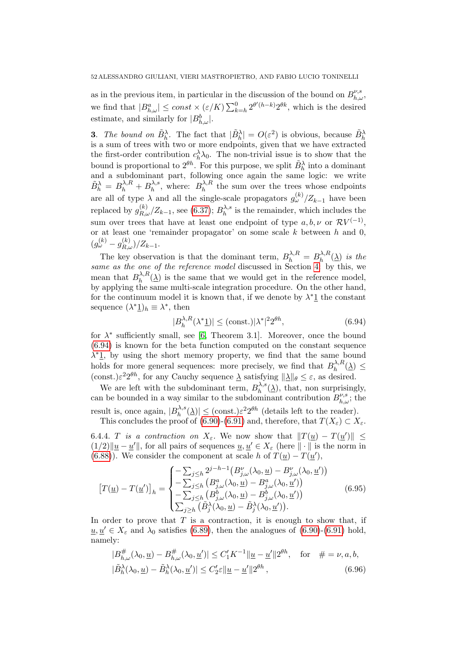as in the previous item, in particular in the discussion of the bound on  $B^{\nu,s}_{h,\omega}$ , we find that  $|B_{h,\omega}^a| \leq const \times (\varepsilon/K) \sum_{k=h}^0 2^{\theta'(h-k)} 2^{\theta k}$ , which is the desired estimate, and similarly for  $|B_{h,\omega}^b|$ .

**3.** The bound on  $\tilde{B}_h^{\lambda}$ . The fact that  $|\tilde{B}_h^{\lambda}| = O(\varepsilon^2)$  is obvious, because  $\tilde{B}_h^{\lambda}$  is a sum of trees with two or more endpoints, given that we have extracted the first-order contribution  $c_h^{\lambda} \lambda_0$ . The non-trivial issue is to show that the bound is proportional to  $2^{\theta h}$ . For this purpose, we split  $\tilde{B}_h^{\lambda}$  into a dominant and a subdominant part, following once again the same logic: we write  $\tilde{B}_{h}^{\lambda} = B_{h}^{\lambda,R} + B_{h}^{\lambda,s}$  $h^{\lambda,s}$ , where:  $B_h^{\lambda,R}$  $\lambda_h^{\lambda,R}$  the sum over the trees whose endpoints are all of type  $\lambda$  and all the single-scale propagators  $g_{\omega}^{(k)}/Z_{k-1}$  have been replaced by  $g_{R,\omega}^{(k)}/Z_{k-1}$ , see [\(6.37\)](#page-38-3);  $B_h^{\lambda,s}$  $\lambda_h^{A,s}$  is the remainder, which includes the sum over trees that have at least one endpoint of type  $a, b, \nu$  or  $\mathcal{R}V^{(-1)}$ , or at least one 'remainder propagator' on some scale  $k$  between  $h$  and  $0$ ,  $(g_{\omega}^{(k)}-g_{R,\omega}^{(k)})/Z_{k-1}.$ 

The key observation is that the dominant term,  $B_h^{\lambda,R} = B_h^{\lambda,R}$  $\int_{h}^{\lambda,R}(\underline{\lambda})$  is the same as the one of the reference model discussed in Section [4:](#page-21-0) by this, we mean that  $B_{h}^{\lambda,R}$  $\lambda_h^{\Lambda,\kappa}(\underline{\lambda})$  is the same that we would get in the reference model, by applying the same multi-scale integration procedure. On the other hand, for the continuum model it is known that, if we denote by  $\lambda^* \mathbf{1}$  the constant sequence  $(\lambda^* \underline{1})_h \equiv \lambda^*$ , then

<span id="page-51-1"></span>
$$
|B_h^{\lambda,R}(\lambda^*\underline{1})| \le (\text{const.})|\lambda^*|^2 2^{\theta h},\tag{6.94}
$$

for  $\lambda^*$  sufficiently small, see [\[6,](#page-70-1) Theorem 3.1]. Moreover, once the bound [\(6.94\)](#page-51-1) is known for the beta function computed on the constant sequence  $\lambda^*$ 1, by using the short memory property, we find that the same bound holds for more general sequences: more precisely, we find that  $B_h^{\lambda,R}$  $\gamma_h^{\lambda,R}(\underline{\lambda}) \leq$  $(\text{const.})\varepsilon^2 2^{\theta h}$ , for any Cauchy sequence  $\underline{\lambda}$  satisfying  $\|\underline{\lambda}\|_{\theta} \leq \varepsilon$ , as desired.

We are left with the subdominant term,  $B_h^{\lambda,s}$  $\Lambda_h^{\lambda,s}(\underline{\lambda})$ , that, non surprisingly, can be bounded in a way similar to the subdominant contribution  $B_{h,\omega}^{\nu,s}$ ; the result is, once again,  $|B_{h}^{\lambda,s}|$  $\vert h_h^{\lambda,s}(\underline{\lambda}) \vert \leq \text{(const.)} \varepsilon^2 2^{\theta h}$  (details left to the reader).

This concludes the proof of [\(6.90\)](#page-49-0)-[\(6.91\)](#page-49-0) and, therefore, that  $T(X_{\varepsilon}) \subset X_{\varepsilon}$ .

6.4.4. T is a contraction on  $X_{\varepsilon}$ . We now show that  $||T(\underline{u}) - T(\underline{u}')|| \le$  $(1/2)\|\underline{u}-\underline{u}'\|$ , for all pairs of sequences  $\underline{u}, \underline{u}' \in X_{\varepsilon}$  (here  $\|\cdot\|$  is the norm in [\(6.88\)](#page-49-3)). We consider the component at scale h of  $T(\underline{u}) - T(\underline{u}')$ ,

$$
\left[T(\underline{u}) - T(\underline{u}')\right]_h = \begin{cases} -\sum_{j \leq h} 2^{j-h-1} \left(B_{j,\omega}^{\nu}(\lambda_0, \underline{u}) - B_{j,\omega}^{\nu}(\lambda_0, \underline{u}')\right) \\ -\sum_{j \leq h} \left(B_{j,\omega}^a(\lambda_0, \underline{u}) - B_{j,\omega}^a(\lambda_0, \underline{u}')\right) \\ -\sum_{j \leq h} \left(B_{j,\omega}^b(\lambda_0, \underline{u}) - B_{j,\omega}^b(\lambda_0, \underline{u}')\right) \\ \sum_{j \geq h} \left(\tilde{B}_j^{\lambda}(\lambda_0, \underline{u}) - \tilde{B}_j^{\lambda}(\lambda_0, \underline{u}')\right). \end{cases} \tag{6.95}
$$

In order to prove that  $T$  is a contraction, it is enough to show that, if  $u, u' \in X_{\varepsilon}$  and  $\lambda_0$  satisfies [\(6.89\)](#page-49-2), then the analogues of [\(6.90\)](#page-49-0)-[\(6.91\)](#page-49-0) hold, namely:

<span id="page-51-0"></span>
$$
|B^{\#}_{h,\omega}(\lambda_0,\underline{u}) - B^{\#}_{h,\omega}(\lambda_0,\underline{u}')| \le C_1' K^{-1} \|\underline{u} - \underline{u}'\| 2^{\theta h}, \quad \text{for} \quad \#\ = \nu, a, b,
$$
  

$$
|\tilde{B}_h^{\lambda}(\lambda_0,\underline{u}) - \tilde{B}_h^{\lambda}(\lambda_0,\underline{u}')| \le C_2' \varepsilon \|\underline{u} - \underline{u}'\| 2^{\theta h}, \qquad (6.96)
$$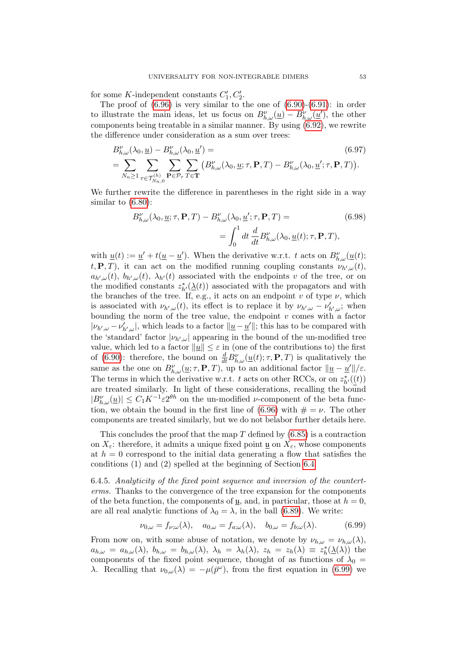for some K-independent constants  $C_1, C_2'$ .

The proof of  $(6.96)$  is very similar to the one of  $(6.90)-(6.91)$  $(6.90)-(6.91)$ : in order to illustrate the main ideas, let us focus on  $B^{\nu}_{h,\omega}(\underline{u}) - B^{\nu}_{h,\omega}(\underline{u}')$ , the other components being treatable in a similar manner. By using [\(6.92\)](#page-49-4), we rewrite the difference under consideration as a sum over trees:

$$
B_{h,\omega}^{\nu}(\lambda_0, \underline{u}) - B_{h,\omega}^{\nu}(\lambda_0, \underline{u}') =
$$
\n
$$
= \sum_{N_n \ge 1} \sum_{\tau \in \mathcal{T}_{N_n,0}^{(h)}} \sum_{\mathbf{P} \in \mathcal{P}_{\tau}} \sum_{T \in \mathbf{T}} \sum_{\tau \in \mathcal{T}_{n}^{(h)}} \left( B_{h,\omega}^{\nu}(\lambda_0, \underline{u}; \tau, \mathbf{P}, T) - B_{h,\omega}^{\nu}(\lambda_0, \underline{u}'; \tau, \mathbf{P}, T) \right).
$$
\n(6.97)

We further rewrite the difference in parentheses in the right side in a way similar to [\(6.80\)](#page-47-2):

$$
B_{h,\omega}^{\nu}(\lambda_0, \underline{u}; \tau, \mathbf{P}, T) - B_{h,\omega}^{\nu}(\lambda_0, \underline{u}'; \tau, \mathbf{P}, T) =
$$
\n
$$
= \int_0^1 dt \frac{d}{dt} B_{h,\omega}^{\nu}(\lambda_0, \underline{u}(t); \tau, \mathbf{P}, T),
$$
\n(6.98)

with  $\underline{u}(t) := \underline{u}' + t(\underline{u} - \underline{u}')$ . When the derivative w.r.t. t acts on  $B_{h,\omega}^{\nu}(\underline{u}(t))$ ;  $(t, \mathbf{P}, T)$ , it can act on the modified running coupling constants  $\nu_{h',\omega}(t)$ ,  $a_{h',\omega}(t)$ ,  $b_{h',\omega}(t)$ ,  $\lambda_{h'}(t)$  associated with the endpoints v of the tree, or on the modified constants  $z^*_{h'}(\underline{\lambda}(t))$  associated with the propagators and with the branches of the tree. If, e.g., it acts on an endpoint v of type  $\nu$ , which is associated with  $\nu_{h',\omega}(t)$ , its effect is to replace it by  $\nu_{h',\omega} - \nu'_{h',\omega}$ ; when bounding the norm of the tree value, the endpoint  $v$  comes with a factor  $|\nu_{h',\omega} - \nu'_{h',\omega}|$ , which leads to a factor  $\|\underline{u} - \underline{u'}\|$ ; this has to be compared with the 'standard' factor  $|\nu_{h',\omega}|$  appearing in the bound of the un-modified tree value, which led to a factor  $\|\underline{u}\| \leq \varepsilon$  in (one of the contributions to) the first of [\(6.90\)](#page-49-0): therefore, the bound on  $\frac{d}{dt}B_{h,\omega}^{\nu}(\underline{u}(t);\tau,\mathbf{P},T)$  is qualitatively the same as the one on  $B_{h,\omega}^{\nu}(\underline{u};\tau,\mathbf{P},T)$ , up to an additional factor  $\|\underline{u}-\underline{u}'\|/\varepsilon$ . The terms in which the derivative w.r.t. t acts on other RCCs, or on  $z^*_{h'}(\underline{(t)})$ are treated similarly. In light of these considerations, recalling the bound  $|B_{h,\omega}^{\nu}(\underline{u})| \leq C_1 K^{-1} \varepsilon 2^{\theta h}$  on the un-modified *v*-component of the beta func-tion, we obtain the bound in the first line of [\(6.96\)](#page-51-0) with  $\# = \nu$ . The other components are treated similarly, but we do not belabor further details here.

This concludes the proof that the map  $T$  defined by  $(6.85)$  is a contraction on  $X_{\varepsilon}$ : therefore, it admits a unique fixed point <u>u</u> on  $X_{\varepsilon}$ , whose components at  $h = 0$  correspond to the initial data generating a flow that satisfies the conditions (1) and (2) spelled at the beginning of Section [6.4.](#page-45-0)

6.4.5. Analyticity of the fixed point sequence and inversion of the counterterms. Thanks to the convergence of the tree expansion for the components of the beta function, the components of  $\mu$ , and, in particular, those at  $h = 0$ , are all real analytic functions of  $\lambda_0 = \lambda$ , in the ball [\(6.89\)](#page-49-2). We write:

<span id="page-52-0"></span>
$$
\nu_{0,\omega} = f_{\nu;\omega}(\lambda), \quad a_{0,\omega} = f_{a;\omega}(\lambda), \quad b_{0,\omega} = f_{b;\omega}(\lambda). \tag{6.99}
$$

From now on, with some abuse of notation, we denote by  $\nu_{h,\omega} = \nu_{h,\omega}(\lambda)$ ,  $a_{h,\omega} = a_{h,\omega}(\lambda)$ ,  $b_{h,\omega} = b_{h,\omega}(\lambda)$ ,  $\lambda_h = \lambda_h(\lambda)$ ,  $z_h = z_h(\lambda) \equiv z_h^*(\underline{\lambda}(\lambda))$  the components of the fixed point sequence, thought of as functions of  $\lambda_0$  = λ. Recalling that  $\nu_{0,\omega}(\lambda) = -\mu(\bar{p}^{\omega})$ , from the first equation in [\(6.99\)](#page-52-0) we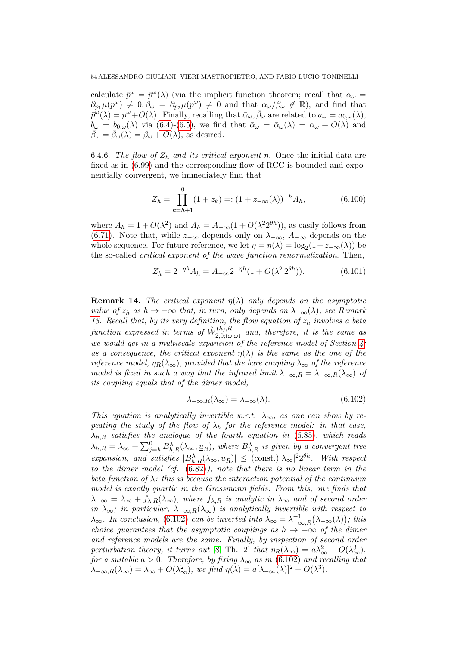calculate  $\bar{p}^{\omega} = \bar{p}^{\omega}(\lambda)$  (via the implicit function theorem; recall that  $\alpha_{\omega} =$  $\partial_{p_1} \mu(p^\omega) \neq 0, \beta_\omega = \partial_{p_2} \mu(p^\omega) \neq 0$  and that  $\alpha_\omega/\beta_\omega \notin \mathbb{R}$ ), and find that  $\bar{p}^{\omega}(\lambda) = p^{\omega} + O(\lambda)$ . Finally, recalling that  $\bar{\alpha}_{\omega}, \bar{\beta}_{\omega}$  are related to  $a_{\omega} = a_{0,\omega}(\lambda)$ ,  $b_{\omega} = b_{0,\omega}(\lambda)$  via [\(6.4\)](#page-30-0)-[\(6.5\)](#page-30-0), we find that  $\bar{\alpha}_{\omega} = \bar{\alpha}_{\omega}(\lambda) = \alpha_{\omega} + O(\lambda)$  and  $\bar{\beta}_{\omega} = \bar{\beta}_{\omega}(\lambda) = \beta_{\omega} + O(\lambda)$ , as desired.

6.4.6. The flow of  $Z_h$  and its critical exponent  $\eta$ . Once the initial data are fixed as in [\(6.99\)](#page-52-0) and the corresponding flow of RCC is bounded and exponentially convergent, we immediately find that

$$
Z_h = \prod_{k=h+1}^0 (1 + z_k) =: (1 + z_{-\infty}(\lambda))^{-h} A_h,
$$
\n(6.100)

where  $A_h = 1 + O(\lambda^2)$  and  $A_h = A_{-\infty}(1 + O(\lambda^2 2^{\theta h}))$ , as easily follows from [\(6.71\)](#page-46-1). Note that, while  $z_{-\infty}$  depends only on  $\lambda_{-\infty}$ ,  $A_{-\infty}$  depends on the whole sequence. For future reference, we let  $\eta = \eta(\lambda) = \log_2(1 + z_{-\infty}(\lambda))$  be the so-called critical exponent of the wave function renormalization. Then,

<span id="page-53-2"></span>
$$
Z_h = 2^{-\eta h} A_h = A_{-\infty} 2^{-\eta h} (1 + O(\lambda^2 2^{\theta h})).
$$
\n(6.101)

<span id="page-53-1"></span>**Remark 14.** The critical exponent  $\eta(\lambda)$  only depends on the asymptotic value of  $z_h$  as  $h \to -\infty$  that, in turn, only depends on  $\lambda_{-\infty}(\lambda)$ , see Remark [13.](#page-48-3) Recall that, by its very definition, the flow equation of  $z<sub>h</sub>$  involves a beta function expressed in terms of  $\hat{W}_{2,0}^{(h),R}$  $\sum_{(l,n),(w,\omega)}^{(n),n}$  and, therefore, it is the same as we would get in a multiscale expansion of the reference model of Section [4:](#page-21-0) as a consequence, the critical exponent  $\eta(\lambda)$  is the same as the one of the reference model,  $\eta_R(\lambda_\infty)$ , provided that the bare coupling  $\lambda_\infty$  of the reference model is fixed in such a way that the infrared limit  $\lambda_{-\infty,R} = \lambda_{-\infty,R}(\lambda_{\infty})$  of its coupling equals that of the dimer model,

<span id="page-53-0"></span>
$$
\lambda_{-\infty,R}(\lambda_{\infty}) = \lambda_{-\infty}(\lambda). \tag{6.102}
$$

This equation is analytically invertible w.r.t.  $\lambda_{\infty}$ , as one can show by repeating the study of the flow of  $\lambda_h$  for the reference model: in that case,  $\lambda_{h,R}$  satisfies the analogue of the fourth equation in [\(6.85\)](#page-48-1), which reads  $\lambda_{h,R} = \lambda_\infty + \sum_{j=h}^0 B_{h,R}^{\lambda}(\lambda_\infty, \underline{u}_R)$ , where  $B_{h,R}^{\lambda}$  is given by a convergent tree expansion, and satisfies  $|B_{h,R}^{\lambda}(\lambda_{\infty}, \underline{u}_R)| \leq (\text{const.})|\lambda_{\infty}|^2 2^{\theta h}$ . With respect to the dimer model (cf. [\(6.82\)](#page-48-4)), note that there is no linear term in the beta function of  $\lambda$ : this is because the interaction potential of the continuum model is exactly quartic in the Grassmann fields. From this, one finds that  $\lambda_{-\infty} = \lambda_{\infty} + f_{\lambda,R}(\lambda_{\infty}),$  where  $f_{\lambda,R}$  is analytic in  $\lambda_{\infty}$  and of second order in  $\lambda_{\infty}$ ; in particular,  $\lambda_{-\infty,R}(\lambda_{\infty})$  is analytically invertible with respect to  $\lambda_{\infty}$ . In conclusion, [\(6.102\)](#page-53-0) can be inverted into  $\lambda_{\infty} = \lambda_{-\infty,R}^{-1}(\lambda_{-\infty}(\lambda))$ ; this choice guarantees that the asymptotic couplings as  $h \to -\infty$  of the dimer and reference models are the same. Finally, by inspection of second order perturbation theory, it turns out [\[8,](#page-70-2) Th. 2] that  $\eta_R(\lambda_\infty) = a\lambda_\infty^2 + O(\lambda_\infty^3)$ , for a suitable  $a > 0$ . Therefore, by fixing  $\lambda_{\infty}$  as in [\(6.102\)](#page-53-0) and recalling that  $\lambda_{-\infty,R}(\lambda_{\infty}) = \lambda_{\infty} + O(\lambda_{\infty}^2)$ , we find  $\eta(\lambda) = a[\lambda_{-\infty}(\lambda)]^2 + O(\lambda^3)$ .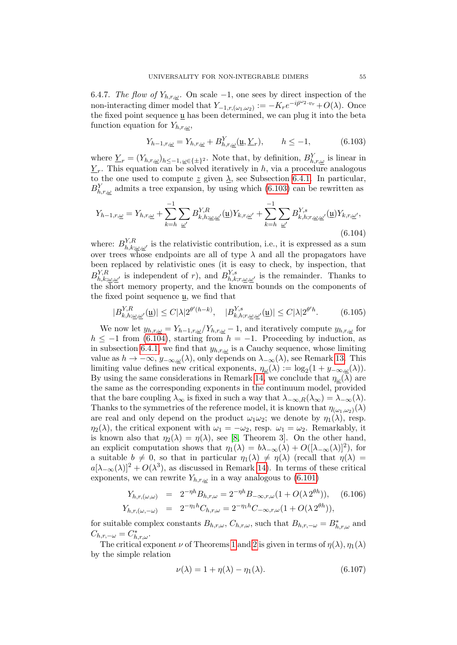6.4.7. The flow of  $Y_{h,r,\omega}$ . On scale -1, one sees by direct inspection of the non-interacting dimer model that  $Y_{-1,r,(\omega_1,\omega_2)} := -K_r e^{-i\bar{p}^{\omega_2} \cdot v_r} + O(\lambda)$ . Once the fixed point sequence  $\mu$  has been determined, we can plug it into the beta function equation for  $Y_{h,r,\omega}$ ,

<span id="page-54-0"></span>
$$
Y_{h-1,r,\underline{\omega}} = Y_{h,r,\underline{\omega}} + B_{h,r,\underline{\omega}}^Y(\underline{\mathfrak{u}}, \underline{Y}_r), \qquad h \le -1,\tag{6.103}
$$

where  $\underline{Y}_r = (Y_{h,r,\underline{\omega}})_{h \le -1,\,\underline{\omega} \in \{\pm\}^2}$ . Note that, by definition,  $B_{h,r,\underline{\omega}}^Y$  is linear in  $\underline{Y}_r$ . This equation can be solved iteratively in h, via a procedure analogous to the one used to compute  $\underline{z}$  given  $\underline{\lambda}$ , see Subsection [6.4.1.](#page-46-6) In particular,  $B_{h,r,\underline{\omega}}^{Y}$  admits a tree expansion, by using which [\(6.103\)](#page-54-0) can be rewritten as

<span id="page-54-1"></span>
$$
Y_{h-1,r,\underline{\omega}} = Y_{h,r,\underline{\omega}} + \sum_{k=h}^{-1} \sum_{\underline{\omega}'} B_{k,h;\underline{\omega},\underline{\omega}'}^{Y,R}(\underline{\mathbf{u}}) Y_{k,r,\underline{\omega}'} + \sum_{k=h}^{-1} \sum_{\underline{\omega}'} B_{k,h;r,\underline{\omega},\underline{\omega}'}^{Y,s}(\underline{\mathbf{u}}) Y_{k,r,\underline{\omega}'},
$$
\n(6.104)

where:  $B_{h,k;\underline{\omega},\underline{\omega}'}^{Y,R}$  is the relativistic contribution, i.e., it is expressed as a sum over trees whose endpoints are all of type  $\lambda$  and all the propagators have been replaced by relativistic ones (it is easy to check, by inspection, that  $B_{h,k;\omega,\omega'}^{Y,R}$  is independent of r), and  $B_{h,k;r,\omega,\omega'}^{Y,s}$  is the remainder. Thanks to the short memory property, and the known bounds on the components of the fixed point sequence  $\mu$ , we find that

$$
|B_{k,h;\underline{\omega},\underline{\omega}'}^{Y,R}(\underline{\mathbf{u}})| \le C|\lambda|2^{\theta'(h-k)}, \quad |B_{k,h;r,\underline{\omega},\underline{\omega}'}^{Y,s}(\underline{\mathbf{u}})| \le C|\lambda|2^{\theta'h}.\tag{6.105}
$$

We now let  $y_{h,r,\underline{\omega}} = Y_{h-1,r,\underline{\omega}}/Y_{h,r,\underline{\omega}} - 1$ , and iteratively compute  $y_{h,r,\underline{\omega}}$  for  $h \le -1$  from [\(6.104\)](#page-54-1), starting from  $h = -1$ . Proceeding by induction, as in subsection [6.4.1,](#page-46-6) we find that  $y_{h,r,\omega}$  is a Cauchy sequence, whose limiting value as  $h \to -\infty$ ,  $y_{-\infty,\underline{\omega}}(\lambda)$ , only depends on  $\lambda_{-\infty}(\lambda)$ , see Remark [13.](#page-48-3) This limiting value defines new critical exponents,  $\eta_{\underline{\omega}}(\lambda) := \log_2(1 + y_{-\infty,\underline{\omega}}(\lambda)).$ By using the same considerations in Remark [14,](#page-53-1) we conclude that  $\eta_{\omega}(\lambda)$  are the same as the corresponding exponents in the continuum model, provided that the bare coupling  $\lambda_{\infty}$  is fixed in such a way that  $\lambda_{-\infty,R}(\lambda_{\infty}) = \lambda_{-\infty}(\lambda)$ . Thanks to the symmetries of the reference model, it is known that  $\eta_{(\omega_1,\omega_2)}(\lambda)$ are real and only depend on the product  $\omega_1\omega_2$ ; we denote by  $\eta_1(\lambda)$ , resp.  $\eta_2(\lambda)$ , the critical exponent with  $\omega_1 = -\omega_2$ , resp.  $\omega_1 = \omega_2$ . Remarkably, it is known also that  $\eta_2(\lambda) = \eta(\lambda)$ , see [\[8,](#page-70-2) Theorem 3]. On the other hand, an explicit computation shows that  $\eta_1(\lambda) = b\lambda_{-\infty}(\lambda) + O((\lambda_{-\infty}(\lambda))^2)$ , for a suitable  $b \neq 0$ , so that in particular  $\eta_1(\lambda) \neq \eta(\lambda)$  (recall that  $\eta(\lambda) =$  $a[\lambda_{-\infty}(\lambda)]^2 + O(\lambda^3)$ , as discussed in Remark [14\)](#page-53-1). In terms of these critical exponents, we can rewrite  $Y_{h,r,\omega}$  in a way analogous to [\(6.101\)](#page-53-2)

<span id="page-54-2"></span>
$$
Y_{h,r,(\omega,\omega)} = 2^{-\eta h} B_{h,r,\omega} = 2^{-\eta h} B_{-\infty,r,\omega} (1 + O(\lambda 2^{\theta h})), \quad (6.106)
$$
  
\n
$$
Y_{h,r,(\omega,-\omega)} = 2^{-\eta_1 h} C_{h,r,\omega} = 2^{-\eta_1 h} C_{-\infty,r,\omega} (1 + O(\lambda 2^{\theta h})),
$$

for suitable complex constants  $B_{h,r,\omega}$ ,  $C_{h,r,\omega}$ , such that  $B_{h,r,-\omega} = B_{h,r,\omega}^*$  and  $C_{h,r,-\omega} = C_{h,r,\omega}^*$ .

The critical exponent  $\nu$  of Theorems [1](#page-12-0) and [2](#page-13-0) is given in terms of  $\eta(\lambda), \eta_1(\lambda)$ by the simple relation

$$
\nu(\lambda) = 1 + \eta(\lambda) - \eta_1(\lambda). \tag{6.107}
$$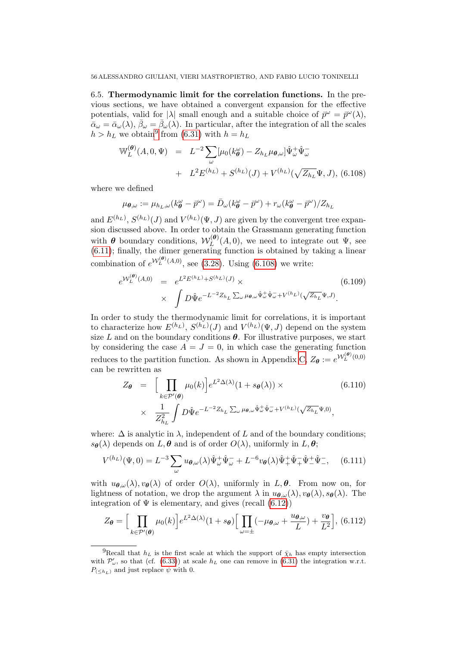6.5. Thermodynamic limit for the correlation functions. In the previous sections, we have obtained a convergent expansion for the effective potentials, valid for  $|\lambda|$  small enough and a suitable choice of  $\bar{p}^{\omega} = \bar{p}^{\omega}(\lambda)$ ,  $\bar{\alpha}_{\omega} = \bar{\alpha}_{\omega}(\lambda), \bar{\beta}_{\omega} = \bar{\beta}_{\omega}(\lambda)$ . In particular, after the integration of all the scales  $h > h_L$  we obtain<sup>[9](#page-0-0)</sup> from [\(6.31\)](#page-35-0) with  $h = h_L$ 

<span id="page-55-0"></span>
$$
\mathbb{W}_{L}^{(\theta)}(A,0,\Psi) = L^{-2} \sum_{\omega} [\mu_{0}(k_{\theta}^{\omega}) - Z_{h_{L}} \mu_{\theta,\omega}] \hat{\Psi}_{\omega}^{+} \hat{\Psi}_{\omega}^{-} \n+ L^{2} E^{(h_{L})} + S^{(h_{L})}(J) + V^{(h_{L})}(\sqrt{Z_{h_{L}}} \Psi, J), (6.108)
$$

where we defined

$$
\mu_{\theta,\omega} := \mu_{h_L,\omega}(k_{\theta}^{\omega} - \bar{p}^{\omega}) = \bar{D}_{\omega}(k_{\theta}^{\omega} - \bar{p}^{\omega}) + r_{\omega}(k_{\theta}^{\omega} - \bar{p}^{\omega})/Z_{h_L}
$$

and  $E^{(h_L)}$ ,  $S^{(h_L)}(J)$  and  $V^{(h_L)}(\Psi, J)$  are given by the convergent tree expansion discussed above. In order to obtain the Grassmann generating function with  $\boldsymbol{\theta}$  boundary conditions,  $\mathcal{W}_L^{(\boldsymbol{\theta})}$  $L^{(\mathbf{v})}(A,0)$ , we need to integrate out  $\Psi$ , see [\(6.11\)](#page-31-0); finally, the dimer generating function is obtained by taking a linear combination of  $e^{\mathcal{W}_L^{(\theta)}(A,0)}$ , see [\(3.28\)](#page-19-0). Using [\(6.108\)](#page-55-0) we write:

$$
e^{\mathcal{W}_L^{(\theta)}(A,0)} = e^{L^2 E^{(h_L)} + S^{(h_L)}(J)} \times \times \int D\hat{\Psi} e^{-L^{-2}Z_{h_L} \sum_{\omega} \mu_{\theta,\omega} \hat{\Psi}_{\omega}^+ \hat{\Psi}_{\omega}^- + V^{(h_L)}(\sqrt{Z_{h_L}} \Psi, J)}.
$$
\n(6.109)

In order to study the thermodynamic limit for correlations, it is important to characterize how  $E^{(h_L)}$ ,  $S^{(h_L)}(J)$  and  $V^{(h_L)}(\Psi, J)$  depend on the system size L and on the boundary conditions  $\theta$ . For illustrative purposes, we start by considering the case  $A = J = 0$ , in which case the generating function reduces to the partition function. As shown in Appendix [C,](#page-65-0)  $Z_{\theta} := e^{W_L^{(\theta)}(0,0)}$ can be rewritten as

<span id="page-55-2"></span>
$$
Z_{\theta} = \left[ \prod_{k \in \mathcal{P}'(\theta)} \mu_0(k) \right] e^{L^2 \Delta(\lambda)} (1 + s_{\theta}(\lambda)) \times \qquad (6.110)
$$
  
 
$$
\times \frac{1}{Z_{h_L}^2} \int D\hat{\Psi} e^{-L^{-2} Z_{h_L} \sum_{\omega} \mu_{\theta,\omega} \hat{\Psi}_{\omega}^+ \hat{\Psi}_{\omega}^- + V^{(h_L)}(\sqrt{Z_{h_L}} \Psi, 0)},
$$

where:  $\Delta$  is analytic in  $\lambda$ , independent of L and of the boundary conditions;  $s_{\theta}(\lambda)$  depends on  $L, \theta$  and is of order  $O(\lambda)$ , uniformly in  $L, \theta$ ;

<span id="page-55-3"></span>
$$
V^{(h_L)}(\Psi,0) = L^{-3} \sum_{\omega} u_{\theta,\omega}(\lambda) \hat{\Psi}^+_{\omega} \hat{\Psi}^-_{\omega} + L^{-6} v_{\theta}(\lambda) \hat{\Psi}^+_{+} \hat{\Psi}^-_{+} \hat{\Psi}^+_{-}, \quad (6.111)
$$

with  $u_{\theta,\omega}(\lambda), v_{\theta}(\lambda)$  of order  $O(\lambda)$ , uniformly in  $L, \theta$ . From now on, for lightness of notation, we drop the argument  $\lambda$  in  $u_{\theta,\omega}(\lambda), v_{\theta}(\lambda), s_{\theta}(\lambda)$ . The integration of  $\Psi$  is elementary, and gives (recall  $(6.12)$ )

<span id="page-55-1"></span>
$$
Z_{\theta} = \Big[\prod_{k \in \mathcal{P}'(\theta)} \mu_0(k)\Big] e^{L^2 \Delta(\lambda)} (1 + s_{\theta}) \Big[\prod_{\omega = \pm} (-\mu_{\theta,\omega} + \frac{u_{\theta,\omega}}{L}) + \frac{v_{\theta}}{L^2}\Big], (6.112)
$$

<sup>&</sup>lt;sup>9</sup>Recall that  $h_L$  is the first scale at which the support of  $\bar{\chi}_h$  has empty intersection with  $\mathcal{P}'_{\omega}$ , so that (cf. [\(6.33\)](#page-36-0)) at scale  $h_L$  one can remove in [\(6.31\)](#page-35-0) the integration w.r.t.  $P_{( and just replace  $\psi$  with 0.$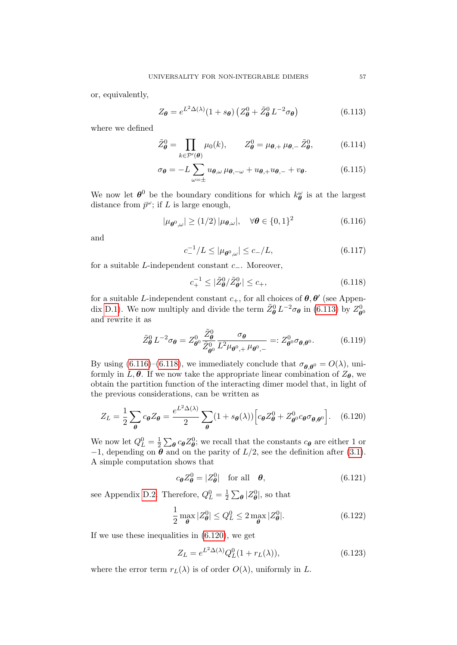or, equivalently,

<span id="page-56-0"></span>
$$
Z_{\theta} = e^{L^2 \Delta(\lambda)} (1 + s_{\theta}) \left( Z_{\theta}^0 + \tilde{Z}_{\theta}^0 L^{-2} \sigma_{\theta} \right)
$$
(6.113)

where we defined

<span id="page-56-4"></span>
$$
\tilde{Z}_{\theta}^{0} = \prod_{k \in \mathcal{P}'(\theta)} \mu_{0}(k), \qquad Z_{\theta}^{0} = \mu_{\theta,+} \mu_{\theta,-} \tilde{Z}_{\theta}^{0}, \tag{6.114}
$$

$$
\sigma_{\theta} = -L \sum_{\omega = \pm} u_{\theta,\omega} \mu_{\theta,-\omega} + u_{\theta,+} u_{\theta,-} + v_{\theta}.
$$
 (6.115)

We now let  $\boldsymbol{\theta}^0$  be the boundary conditions for which  $k_{\boldsymbol{\theta}}^{\omega}$  is at the largest distance from  $\bar{p}^{\omega}$ ; if L is large enough,

<span id="page-56-1"></span>
$$
|\mu_{\boldsymbol{\theta}^0,\omega}| \ge (1/2) |\mu_{\boldsymbol{\theta},\omega}|, \quad \forall \boldsymbol{\theta} \in \{0,1\}^2
$$
 (6.116)

and

$$
c_{-}^{-1}/L \le |\mu_{\theta^0,\omega}| \le c_{-}/L,\tag{6.117}
$$

for a suitable L-independent constant  $c_$ . Moreover,

c

<span id="page-56-2"></span>
$$
c_{+}^{-1} \le |\tilde{Z}_{\theta}^{0}/\tilde{Z}_{\theta'}^{0}| \le c_{+},\tag{6.118}
$$

for a suitable L-independent constant  $c_{+}$ , for all choices of  $\theta$ ,  $\theta'$  (see Appen-dix [D.1\)](#page-68-0). We now multiply and divide the term  $\tilde{Z}_{\theta}^{0} L^{-2} \sigma_{\theta}$  in [\(6.113\)](#page-56-0) by  $Z_{\theta}^{0}$  $\boldsymbol{\theta}^0$ and rewrite it as

$$
\tilde{Z}_{\theta}^{0} L^{-2} \sigma_{\theta} = Z_{\theta^0}^{0} \frac{\tilde{Z}_{\theta}^{0}}{\tilde{Z}_{\theta^0}^{0}} \frac{\sigma_{\theta}}{L^2 \mu_{\theta^0,+} \mu_{\theta^0,-}} =: Z_{\theta^0}^{0} \sigma_{\theta,\theta^0}. \tag{6.119}
$$

By using [\(6.116\)](#page-56-1)–[\(6.118\)](#page-56-2), we immediately conclude that  $\sigma_{\theta,\theta^0} = O(\lambda)$ , uniformly in L,  $\theta$ . If we now take the appropriate linear combination of  $Z_{\theta}$ , we obtain the partition function of the interacting dimer model that, in light of the previous considerations, can be written as

<span id="page-56-3"></span>
$$
Z_L = \frac{1}{2} \sum_{\theta} c_{\theta} Z_{\theta} = \frac{e^{L^2 \Delta(\lambda)}}{2} \sum_{\theta} (1 + s_{\theta}(\lambda)) \Big[ c_{\theta} Z_{\theta}^0 + Z_{\theta^0}^0 c_{\theta} \sigma_{\theta, \theta^0} \Big].
$$
 (6.120)

We now let  $Q_L^0 = \frac{1}{2}$  $\frac{1}{2} \sum_{\theta} c_{\theta} Z_{\theta}^{0}$ ; we recall that the constants  $c_{\theta}$  are either 1 or  $-1$ , depending on  $\theta$  and on the parity of  $L/2$ , see the definition after [\(3.1\)](#page-15-0). A simple computation shows that

<span id="page-56-6"></span>
$$
c_{\theta}Z_{\theta}^{0} = |Z_{\theta}^{0}| \quad \text{for all} \quad \theta,
$$
\n(6.121)

see Appendix [D.2.](#page-69-0) Therefore,  $Q_L^0 = \frac{1}{2}$  $\frac{1}{2}\sum_{\theta} |Z_{\theta}^{0}|$ , so that

$$
\frac{1}{2} \max_{\theta} |Z_{\theta}^0| \le Q_L^0 \le 2 \max_{\theta} |Z_{\theta}^0|. \tag{6.122}
$$

If we use these inequalities in [\(6.120\)](#page-56-3), we get

<span id="page-56-5"></span>
$$
Z_L = e^{L^2 \Delta(\lambda)} Q_L^0 (1 + r_L(\lambda)), \qquad (6.123)
$$

where the error term  $r_L(\lambda)$  is of order  $O(\lambda)$ , uniformly in L.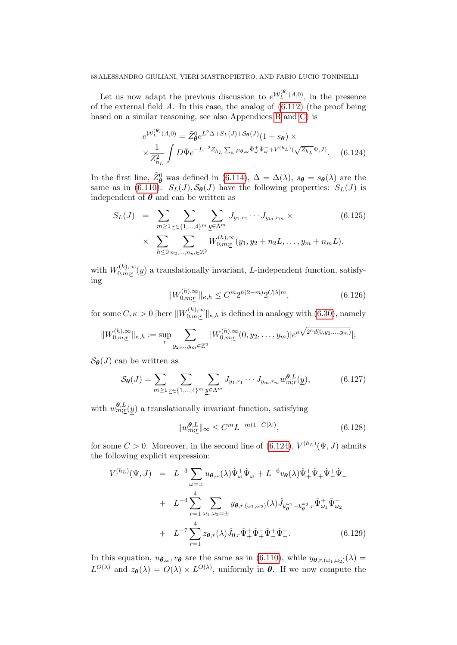Let us now adapt the previous discussion to  $e^{\mathcal{W}_L^{(\theta)}(A,0)}$ , in the presence of the external field A. In this case, the analog of  $(6.112)$  (the proof being based on a similar reasoning, see also Appendices [B](#page-62-0) and [C\)](#page-65-0) is

<span id="page-57-0"></span>
$$
e^{\mathcal{W}_L^{(\theta)}(A,0)} = \tilde{Z}_{\theta}^0 e^{L^2 \Delta + S_L(J) + \mathcal{S}_{\theta}(J)} (1 + s_{\theta}) \times
$$
  
 
$$
\times \frac{1}{Z_{h_L}^2} \int D\hat{\Psi} e^{-L^{-2}Z_{h_L} \sum_{\omega} \mu_{\theta,\omega} \hat{\Psi}_{\omega}^+ \hat{\Psi}_{\omega}^- + V^{(h_L)}(\sqrt{Z_{h_L}} \Psi, J)}.
$$
 (6.124)

In the first line,  $\tilde{Z}_{\theta}^0$  was defined in [\(6.114\)](#page-56-4),  $\Delta = \Delta(\lambda)$ ,  $s_{\theta} = s_{\theta}(\lambda)$  are the same as in [\(6.110\)](#page-55-2).  $S_L(J)$ ,  $S_{\theta}(J)$  have the following properties:  $S_L(J)$  is independent of  $\theta$  and can be written as

$$
S_L(J) = \sum_{m \ge 1} \sum_{\underline{r} \in \{1, \dots, 4\}^m} \sum_{\underline{y} \in \Lambda^m} J_{y_1, r_1} \cdots J_{y_m, r_m} \times
$$
\n
$$
\times \sum_{h \le 0} \sum_{n_2, \dots, n_m \in \mathbb{Z}^2} W_{0, m; \underline{r}}^{(h), \infty} (y_1, y_2 + n_2 L, \dots, y_m + n_m L),
$$
\n(6.125)

with  $W_{0,m:r}^{(h),\infty}$  $\mathcal{L}_{0,m;\underline{r}}^{(n),\infty}(\underline{y})$  a translationally invariant, *L*-independent function, satisfying

$$
||W_{0,m;\underline{r}}^{(h),\infty}||_{\kappa,h} \leq C^m 2^{h(2-m)} 2^{C|\lambda|m}, \tag{6.126}
$$

for some  $C, \kappa > 0$  [here  $||W_{0,m:r}^{(h),\infty}||$  $\mathcal{L}_{0,m;\underline{r}}^{(n),\infty}$  || $\kappa,h$  is defined in analogy with  $(6.30)$ , namely

$$
||W_{0,m;\underline{r}}^{(h),\infty}||_{\kappa,h} := \sup_{\underline{r}} \sum_{y_2,\ldots,y_m \in \mathbb{Z}^2} |W_{0,m;\underline{r}}^{(h),\infty}(0,y_2,\ldots,y_m)| e^{\kappa \sqrt{2^h d(0,y_2,\ldots,y_m)}}];
$$

 $\mathcal{S}_{\theta}(J)$  can be written as

<span id="page-57-1"></span>
$$
\mathcal{S}_{\theta}(J) = \sum_{m \ge 1} \sum_{\underline{r} \in \{1, \dots, 4\}^m} \sum_{\underline{y} \in \Lambda^m} J_{y_1, r_1} \cdots J_{y_m, r_m} w_{m; \underline{r}}^{\theta, L}(\underline{y}), \tag{6.127}
$$

with  $w_{m;\underline{r}}^{\theta,L}(y)$  a translationally invariant function, satisfying

<span id="page-57-2"></span>
$$
||w_{m;\underline{r}}^{\theta,L}||_{\infty} \leq C^m L^{-m(1-C|\lambda|)},\tag{6.128}
$$

for some  $C > 0$ . Moreover, in the second line of  $(6.124)$ ,  $V^{(h_L)}(\Psi, J)$  admits the following explicit expression:

$$
V^{(h_L)}(\Psi, J) = L^{-3} \sum_{\omega = \pm} u_{\theta, \omega}(\lambda) \hat{\Psi}_{\omega}^+ \hat{\Psi}_{\omega}^- + L^{-6} v_{\theta}(\lambda) \hat{\Psi}_{+}^+ \hat{\Psi}_{+}^- \hat{\Psi}_{-}^+ \hat{\Psi}_{-}^-
$$
  
+ 
$$
L^{-4} \sum_{r=1}^{4} \sum_{\omega_1, \omega_2 = \pm} y_{\theta, r, (\omega_1, \omega_2)}(\lambda) \hat{J}_{k_{\theta}^{\omega_1} - k_{\theta}^{\omega_2}, r} \hat{\Psi}_{\omega_1}^+ \hat{\Psi}_{\omega_2}^-
$$
  
+ 
$$
L^{-7} \sum_{r=1}^{4} z_{\theta, r}(\lambda) \hat{J}_{0, r} \hat{\Psi}_{+}^+ \hat{\Psi}_{+}^- \hat{\Psi}_{-}^+ \hat{\Psi}_{-}^-.
$$
 (6.129)

In this equation,  $u_{\theta,\omega}, v_{\theta}$  are the same as in [\(6.110\)](#page-55-2), while  $y_{\theta,r,(\omega_1,\omega_2)}(\lambda) =$  $L^{O(\lambda)}$  and  $z_{\theta}(\lambda) = O(\lambda) \times L^{O(\lambda)}$ , uniformly in  $\theta$ . If we now compute the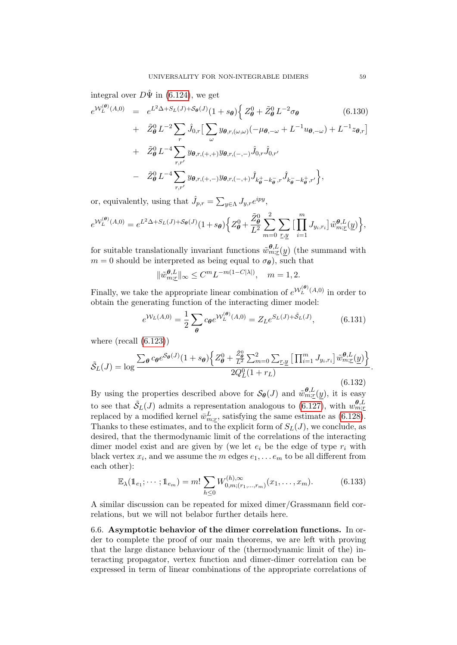integral over  $D\hat{\Psi}$  in [\(6.124\)](#page-57-0), we get

$$
e^{W_L^{(\theta)}(A,0)} = e^{L^2 \Delta + S_L(J) + S_{\theta}(J)} (1 + s_{\theta}) \Big\{ Z_{\theta}^0 + \tilde{Z}_{\theta}^0 L^{-2} \sigma_{\theta} \qquad (6.130)
$$
  
+  $\tilde{Z}_{\theta}^0 L^{-2} \sum_{r} \hat{J}_{0,r} \Big[ \sum_{\omega} y_{\theta,r,(\omega,\omega)} (-\mu_{\theta,-\omega} + L^{-1} u_{\theta,-\omega}) + L^{-1} z_{\theta,r} \Big]$   
+  $\tilde{Z}_{\theta}^0 L^{-4} \sum_{r,r'} y_{\theta,r,(+,+)} y_{\theta,r,(-,-)} \hat{J}_{0,r} \hat{J}_{0,r'} - \tilde{Z}_{\theta}^0 L^{-4} \sum_{r,r'} y_{\theta,r,(+,-)} y_{\theta,r,(-,+)} \hat{J}_{k_{\theta}^+ - k_{\theta}^-,r} \hat{J}_{k_{\theta}^- - k_{\theta}^+,r'} \Big\},$ 

or, equivalently, using that  $\hat{J}_{p,r} = \sum_{y \in \Lambda} J_{y,r} e^{ipy}$ ,

$$
e^{\mathcal{W}_L^{(\theta)}(A,0)} = e^{L^2\Delta + S_L(J) + \mathcal{S}_{\theta}(J)}(1+s_{\theta}) \Big\{ Z_{\theta}^0 + \frac{\tilde{Z}_{\theta}^0}{L^2} \sum_{m=0}^2 \sum_{\underline{r},\underline{y}} \Big[ \prod_{i=1}^m J_{y_i,r_i} \Big] \tilde{w}_{m;\underline{r}}^{\theta,L}(\underline{y}) \Big\},
$$

for suitable translationally invariant functions  $\tilde{w}^{\theta, L}_{m; \underline{r}}(y)$  (the summand with  $m = 0$  should be interpreted as being equal to  $\sigma_{\theta}$ ), such that

$$
\|\tilde{w}^{\theta,L}_{m;\underline{r}}\|_\infty \leq C^m L^{-m(1-C|\lambda|)}, \quad m=1,2.
$$

Finally, we take the appropriate linear combination of  $e^{\mathcal{W}_L^{(\theta)}(A,0)}$  in order to obtain the generating function of the interacting dimer model:

$$
e^{\mathcal{W}_L(A,0)} = \frac{1}{2} \sum_{\theta} c_{\theta} e^{\mathcal{W}_L^{(\theta)}(A,0)} = Z_L e^{S_L(J) + \tilde{S}_L(J)}, \tag{6.131}
$$

where  $(\text{recall } (6.123))$  $(\text{recall } (6.123))$  $(\text{recall } (6.123))$ 

$$
\tilde{S}_L(J) = \log \frac{\sum_{\theta} c_{\theta} e^{S_{\theta}(J)} (1 + s_{\theta}) \left\{ Z_{\theta}^0 + \frac{\tilde{Z}_{\theta}^0}{L^2} \sum_{m=0}^2 \sum_{r, y} \left[ \prod_{i=1}^m J_{y_i, r_i} \right] \tilde{w}_{m; \underline{r}}^{\theta, L}(\underline{y}) \right\}}{2Q_L^0 (1 + r_L)}
$$
(6.132)

By using the properties described above for  $\mathcal{S}_{\theta}(J)$  and  $\tilde{w}_{m;\underline{r}}^{\theta,L}(y)$ , it is easy to see that  $\tilde{S}_L(J)$  admits a representation analogous to [\(6.127\)](#page-57-1), with  $w_{m;\underline{r}}^{\theta,L}$ replaced by a modified kernel  $\bar{w}^L_{m;r}$ , satisfying the same estimate as [\(6.128\)](#page-57-2). Thanks to these estimates, and to the explicit form of  $S_L(J)$ , we conclude, as desired, that the thermodynamic limit of the correlations of the interacting dimer model exist and are given by (we let  $e_i$  be the edge of type  $r_i$  with black vertex  $x_i$ , and we assume the m edges  $e_1, \ldots e_m$  to be all different from each other):

<span id="page-58-0"></span>
$$
\mathbb{E}_{\lambda}(\mathbb{1}_{e_1};\cdots;\mathbb{1}_{e_m})=m!\sum_{h\leq 0}W_{0,m;(r_1,\ldots,r_m)}^{(h),\infty}(x_1,\ldots,x_m). \hspace{1cm} (6.133)
$$

A similar discussion can be repeated for mixed dimer/Grassmann field correlations, but we will not belabor further details here.

6.6. Asymptotic behavior of the dimer correlation functions. In order to complete the proof of our main theorems, we are left with proving that the large distance behaviour of the (thermodynamic limit of the) interacting propagator, vertex function and dimer-dimer correlation can be expressed in term of linear combinations of the appropriate correlations of

.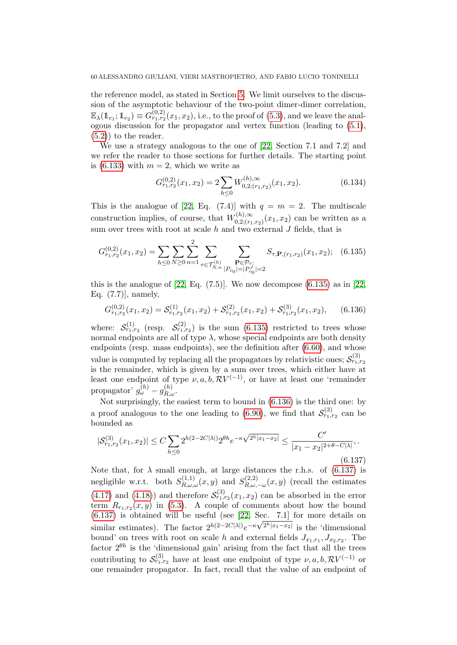the reference model, as stated in Section [5.](#page-25-0) We limit ourselves to the discussion of the asymptotic behaviour of the two-point dimer-dimer correlation,  $\mathbb{E}_{\lambda}(\mathbb{1}_{e_1}; \mathbb{1}_{e_2}) \equiv G_{r_1, r_2}^{(0, 2)}(x_1, x_2)$ , i.e., to the proof of [\(5.3\)](#page-26-0), and we leave the analogous discussion for the propagator and vertex function (leading to [\(5.1\)](#page-26-1),  $(5.2)$  to the reader.

We use a strategy analogous to the one of [\[22,](#page-71-0) Section 7.1 and 7.2] and we refer the reader to those sections for further details. The starting point is [\(6.133\)](#page-58-0) with  $m = 2$ , which we write as

$$
G_{r_1,r_2}^{(0,2)}(x_1,x_2) = 2 \sum_{h \le 0} W_{0,2;(r_1,r_2)}^{(h),\infty}(x_1,x_2). \tag{6.134}
$$

This is the analogue of [\[22,](#page-71-0) Eq. (7.4)] with  $q = m = 2$ . The multiscale construction implies, of course, that  $W^{(h),\infty}_{0,2,(r,\cdot)}$  $C_{0,2;(r_1,r_2)}^{(n),\infty}(x_1,x_2)$  can be written as a sum over trees with root at scale  $h$  and two external  $J$  fields, that is

<span id="page-59-0"></span>
$$
G_{r_1,r_2}^{(0,2)}(x_1,x_2) = \sum_{h \le 0} \sum_{N \ge 0} \sum_{n=1}^2 \sum_{\tau \in \mathcal{T}_{N,n}^{(h)}} \sum_{\substack{\mathbf{P} \in \mathcal{P}_{\tau}:\\|P_{v_0}| = |P_{v_0}^J| = 2}} S_{\tau,\mathbf{P},(r_1,r_2)}(x_1,x_2); \quad (6.135)
$$

this is the analogue of  $[22, Eq. (7.5)]$ . We now decompose  $(6.135)$  as in  $[22,$ Eq. (7.7)], namely,

<span id="page-59-1"></span>
$$
G_{r_1,r_2}^{(0,2)}(x_1,x_2) = \mathcal{S}_{r_1,r_2}^{(1)}(x_1,x_2) + \mathcal{S}_{r_1,r_2}^{(2)}(x_1,x_2) + \mathcal{S}_{r_1,r_2}^{(3)}(x_1,x_2),
$$
 (6.136)

where:  $S_{r_1,r_2}^{(1)}$  (resp.  $S_{r_1,r_2}^{(2)}$ ) is the sum [\(6.135\)](#page-59-0) restricted to trees whose normal endpoints are all of type  $\lambda$ , whose special endpoints are both density endpoints (resp. mass endpoints), see the definition after  $(6.60)$ , and whose value is computed by replacing all the propagators by relativistic ones;  $\mathcal{S}_{r_1,r_2}^{(3)}$ is the remainder, which is given by a sum over trees, which either have at least one endpoint of type  $\nu, a, b, \mathcal{R}V^{(-1)}$ , or have at least one 'remainder propagator'  $g_{\omega}^{(h)}-g_{R,\omega}^{(h)}$ .

Not surprisingly, the easiest term to bound in [\(6.136\)](#page-59-1) is the third one: by a proof analogous to the one leading to [\(6.90\)](#page-49-0), we find that  $S_{r_1,r_2}^{(3)}$  can be bounded as

<span id="page-59-2"></span>
$$
|\mathcal{S}_{r_1,r_2}^{(3)}(x_1,x_2)| \le C \sum_{h \le 0} 2^{h(2-2C|\lambda|)} 2^{\theta h} e^{-\kappa \sqrt{2^h |x_1 - x_2|}} \le \frac{C'}{|x_1 - x_2|^{2 + \theta - C|\lambda|}},
$$
\n(6.137)

Note that, for  $\lambda$  small enough, at large distances the r.h.s. of [\(6.137\)](#page-59-2) is negligible w.r.t. both  $S_{R,\omega,\omega}^{(1,1)}(x,y)$  and  $S_{R,\omega,\omega}^{(2,2)}$  $R_{R,\omega,-\omega}^{(2,2)}(x,y)$  (recall the estimates [\(4.17\)](#page-24-0) and [\(4.18\)](#page-24-1)) and therefore  $S_{r_1,r_2}^{(3)}(x_1,x_2)$  can be absorbed in the error term  $R_{r_1,r_2}(x,y)$  in [\(5.3\)](#page-26-0). A couple of comments about how the bound  $(6.137)$  is obtained will be useful (see [\[22,](#page-71-0) Sec. 7.1] for more details on similar estimates). The factor  $2^{h(2-2C|\lambda|)}e^{-\kappa\sqrt{2^h|x_1-x_2|}}$  is the 'dimensional bound' on trees with root on scale h and external fields  $J_{x_1,r_1}, J_{x_2,r_2}$ . The factor  $2^{\theta h}$  is the 'dimensional gain' arising from the fact that all the trees contributing to  $\mathcal{S}_{r_1,r_2}^{(3)}$  have at least one endpoint of type  $\nu, a, b, \mathcal{R}V^{(-1)}$  or one remainder propagator. In fact, recall that the value of an endpoint of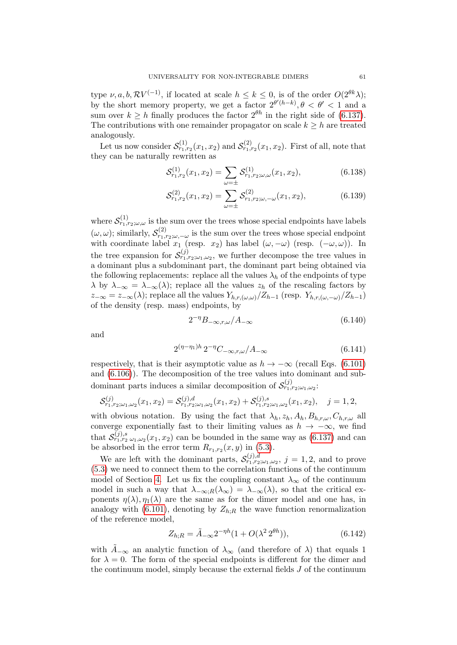type  $\nu, a, b, \mathcal{R}V^{(-1)}$ , if located at scale  $h \leq k \leq 0$ , is of the order  $O(2^{\theta k}\lambda)$ ; by the short memory property, we get a factor  $2^{\theta'(h-k)}, \theta < \theta' < 1$  and a sum over  $k \geq h$  finally produces the factor  $2^{\theta h}$  in the right side of [\(6.137\)](#page-59-2). The contributions with one remainder propagator on scale  $k \geq h$  are treated analogously.

Let us now consider  $\mathcal{S}_{r_1,r_2}^{(1)}(x_1,x_2)$  and  $\mathcal{S}_{r_1,r_2}^{(2)}(x_1,x_2)$ . First of all, note that they can be naturally rewritten as

$$
\mathcal{S}_{r_1,r_2}^{(1)}(x_1,x_2) = \sum_{\omega=\pm} \mathcal{S}_{r_1,r_2;\omega,\omega}^{(1)}(x_1,x_2),\tag{6.138}
$$

$$
S_{r_1,r_2}^{(2)}(x_1,x_2) = \sum_{\omega=\pm} S_{r_1,r_2;\omega,-\omega}^{(2)}(x_1,x_2),\tag{6.139}
$$

where  $\mathcal{S}_{r_1,r_2;\omega,\omega}^{(1)}$  is the sum over the trees whose special endpoints have labels  $(\omega, \omega)$ ; similarly,  $\mathcal{S}_{r_{1},\omega}^{(2)}$  $r_{1,r_{2};\omega,-\omega}$  is the sum over the trees whose special endpoint with coordinate label  $x_1$  (resp.  $x_2$ ) has label  $(\omega, -\omega)$  (resp.  $(-\omega, \omega)$ ). In the tree expansion for  $\mathcal{S}_{r_1,r_2;\omega_1,\omega_2}^{(j)}$ , we further decompose the tree values in a dominant plus a subdominant part, the dominant part being obtained via the following replacements: replace all the values  $\lambda_h$  of the endpoints of type  $\lambda$  by  $\lambda_{-\infty} = \lambda_{-\infty}(\lambda)$ ; replace all the values  $z_h$  of the rescaling factors by  $z_{-\infty} = z_{-\infty}(\lambda)$ ; replace all the values  $Y_{h,r,(\omega,\omega)}/Z_{h-1}$  (resp.  $Y_{h,r,(\omega,-\omega)}/Z_{h-1}$ ) of the density (resp. mass) endpoints, by

<span id="page-60-0"></span>
$$
2^{-\eta}B_{-\infty,r,\omega}/A_{-\infty} \tag{6.140}
$$

and

<span id="page-60-1"></span>
$$
2^{(\eta - \eta_1)h} 2^{-\eta} C_{-\infty, r, \omega} / A_{-\infty}
$$
 (6.141)

respectively, that is their asymptotic value as  $h \to -\infty$  (recall Eqs. [\(6.101\)](#page-53-2) and [\(6.106\)](#page-54-2)). The decomposition of the tree values into dominant and subdominant parts induces a similar decomposition of  $\mathcal{S}^{(j)}_{r_1,r_2;\omega_1,\omega_2}$ :

$$
\mathcal{S}_{r_1,r_2;\omega_1,\omega_2}^{(j)}(x_1,x_2) = \mathcal{S}_{r_1,r_2;\omega_1,\omega_2}^{(j),d}(x_1,x_2) + \mathcal{S}_{r_1,r_2;\omega_1,\omega_2}^{(j),s}(x_1,x_2), \quad j = 1,2,
$$

with obvious notation. By using the fact that  $\lambda_h$ ,  $z_h$ ,  $A_h$ ,  $B_{h,r,\omega}$ ,  $C_{h,r,\omega}$  all converge exponentially fast to their limiting values as  $h \to -\infty$ , we find that  $S_{r_1,r_2,\omega_1,\omega_2}^{(j),s}(x_1,x_2)$  can be bounded in the same way as [\(6.137\)](#page-59-2) and can be absorbed in the error term  $R_{r_1,r_2}(x, y)$  in [\(5.3\)](#page-26-0).

We are left with the dominant parts,  $S_{r_1,r_2;\omega_1,\omega_2}^{(j),d}$ ,  $j=1,2$ , and to prove [\(5.3\)](#page-26-0) we need to connect them to the correlation functions of the continuum model of Section [4.](#page-21-0) Let us fix the coupling constant  $\lambda_{\infty}$  of the continuum model in such a way that  $\lambda_{-\infty;R}(\lambda_{\infty}) = \lambda_{-\infty}(\lambda)$ , so that the critical exponents  $\eta(\lambda), \eta_1(\lambda)$  are the same as for the dimer model and one has, in analogy with [\(6.101\)](#page-53-2), denoting by  $Z_{h:B}$  the wave function renormalization of the reference model,

$$
Z_{h;R} = \tilde{A}_{-\infty} 2^{-\eta h} (1 + O(\lambda^2 2^{\theta h})),
$$
\n(6.142)

with  $\tilde{A}_{-\infty}$  an analytic function of  $\lambda_{\infty}$  (and therefore of  $\lambda$ ) that equals 1 for  $\lambda = 0$ . The form of the special endpoints is different for the dimer and the continuum model, simply because the external fields J of the continuum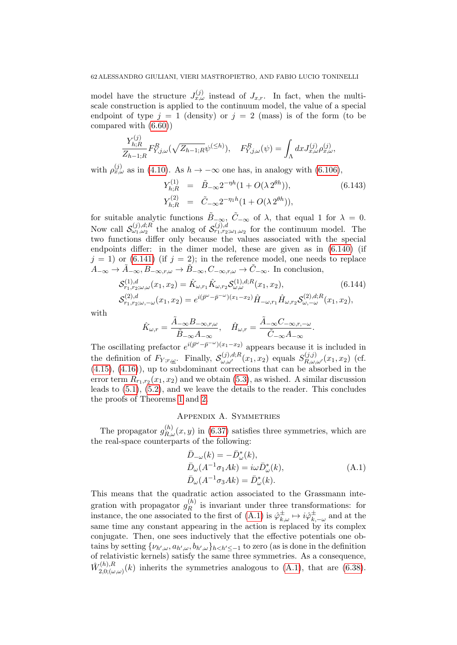model have the structure  $J_{x,\omega}^{(j)}$  instead of  $J_{x,r}$ . In fact, when the multiscale construction is applied to the continuum model, the value of a special endpoint of type  $j = 1$  (density) or  $j = 2$  (mass) is of the form (to be compared with [\(6.60\)](#page-43-1))

$$
\frac{Y_{h;R}^{(j)}}{Z_{h-1;R}} F_{Y,j,\omega}^R(\sqrt{Z_{h-1;R}} \psi^{(\leq h)}), \quad F_{Y,j,\omega}^R(\psi) = \int_{\Lambda} dx J_{x,\omega}^{(j)} \rho_{x,\omega}^{(j)},
$$

with  $\rho_{x,\omega}^{(j)}$  as in [\(4.10\)](#page-22-0). As  $h \to -\infty$  one has, in analogy with [\(6.106\)](#page-54-2),

$$
Y_{h;R}^{(1)} = \tilde{B}_{-\infty} 2^{-\eta h} (1 + O(\lambda 2^{\theta h})),
$$
\n
$$
Y_{h;R}^{(2)} = \tilde{C}_{-\infty} 2^{-\eta_1 h} (1 + O(\lambda 2^{\theta h})),
$$
\n(6.143)

for suitable analytic functions  $\tilde{B}_{-\infty}$ ,  $\tilde{C}_{-\infty}$  of  $\lambda$ , that equal 1 for  $\lambda = 0$ . Now call  $\mathcal{S}^{(j),d;R}_{\omega_1,\omega_2}$  the analog of  $\mathcal{S}^{(j),d}_{r_1,r_2;\omega_1,\omega_2}$  for the continuum model. The two functions differ only because the values associated with the special endpoints differ: in the dimer model, these are given as in [\(6.140\)](#page-60-0) (if  $j = 1$ ) or [\(6.141\)](#page-60-1) (if  $j = 2$ ); in the reference model, one needs to replace  $A_{-\infty} \to \tilde{A}_{-\infty}, B_{-\infty,r,\omega} \to \tilde{B}_{-\infty}, C_{-\infty,r,\omega} \to \tilde{C}_{-\infty}.$  In conclusion,

$$
\mathcal{S}_{r_1, r_2; \omega, \omega}^{(1), d}(x_1, x_2) = \hat{K}_{\omega, r_1} \hat{K}_{\omega, r_2} \mathcal{S}_{\omega, \omega}^{(1), d, R}(x_1, x_2),
$$
\n(6.144)\n
$$
\mathcal{S}_{r_1, r_2; \omega, -\omega}^{(2), d}(x_1, x_2) = e^{i(\bar{p}^{\omega} - \bar{p}^{-\omega})(x_1 - x_2)} \hat{H}_{-\omega, r_1} \hat{H}_{\omega, r_2} \mathcal{S}_{\omega, -\omega}^{(2), d, R}(x_1, x_2),
$$

with

$$
\hat{K}_{\omega,r} = \frac{\tilde{A}_{-\infty}B_{-\infty,r,\omega}}{\tilde{B}_{-\infty}A_{-\infty}}, \quad \hat{H}_{\omega,r} = \frac{\tilde{A}_{-\infty}C_{-\infty,r,-\omega}}{\tilde{C}_{-\infty}A_{-\infty}}.
$$

The oscillating prefactor  $e^{i(\bar{p}^{\omega}-\bar{p}^{-\omega})(x_1-x_2)}$  appears because it is included in the definition of  $F_{Y;r,\underline{\omega}}$ . Finally,  $\mathcal{S}^{(j),d,R}_{\omega,\omega'}(x_1,x_2)$  equals  $S^{(j,j)}_{R,\omega,\omega'}(x_1,x_2)$  (cf. [\(4.15\)](#page-24-2), [\(4.16\)](#page-24-3)), up to subdominant corrections that can be absorbed in the error term  $R_{r_1,r_2}(x_1,x_2)$  and we obtain [\(5.3\)](#page-26-0), as wished. A similar discussion leads to [\(5.1\)](#page-26-1), [\(5.2\)](#page-26-2), and we leave the details to the reader. This concludes the proofs of Theorems [1](#page-12-0) and [2.](#page-13-0)

### Appendix A. Symmetries

<span id="page-61-0"></span>The propagator  $g_{R,\omega}^{(h)}(x,y)$  in [\(6.37\)](#page-38-3) satisfies three symmetries, which are the real-space counterparts of the following:

<span id="page-61-1"></span>
$$
\begin{aligned}\n\bar{D}_{-\omega}(k) &= -\bar{D}_{\omega}^*(k), \\
\bar{D}_{\omega}(A^{-1}\sigma_1 Ak) &= i\omega \bar{D}_{\omega}^*(k), \\
\bar{D}_{\omega}(A^{-1}\sigma_3 Ak) &= \bar{D}_{\omega}^*(k).\n\end{aligned} \tag{A.1}
$$

This means that the quadratic action associated to the Grassmann integration with propagator  $g_R^{(h)}$  $\mathbb{R}^{(h)}$  is invariant under three transformations: for instance, the one associated to the first of  $(A.1)$  is  $\hat{\varphi}_{k,\omega}^{\pm} \mapsto i\hat{\varphi}_{k,\omega}^{\pm}$  $\bar{t}_{k,-\omega}^{\pm}$  and at the same time any constant appearing in the action is replaced by its complex conjugate. Then, one sees inductively that the effective potentials one obtains by setting  $\{\nu_{h',\omega}, a_{h',\omega}, b_{h',\omega}\}_{h to zero (as is done in the definition$ of relativistic kernels) satisfy the same three symmetries. As a consequence,  $\hat{W}_{2,0}^{(h),R}$  $(2,0;(\omega,\omega))$  inherits the symmetries analogous to  $(A.1)$ , that are  $(6.38)$ .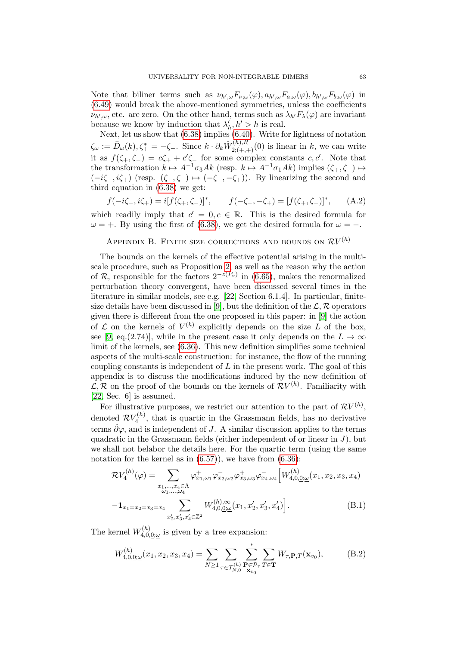Note that biliner terms such as  $\nu_{h',\omega} F_{\nu;\omega}(\varphi), a_{h',\omega} F_{a;\omega}(\varphi), b_{h',\omega} F_{b;\omega}(\varphi)$  in [\(6.49\)](#page-39-0) would break the above-mentioned symmetries, unless the coefficients  $\nu_{h',\omega}$ , etc. are zero. On the other hand, terms such as  $\lambda_{h'} F_{\lambda}(\varphi)$  are invariant because we know by induction that  $\lambda'_h, h' > h$  is real.

Next, let us show that [\(6.38\)](#page-38-0) implies [\(6.40\)](#page-38-4). Write for lightness of notation  $\zeta_\omega := \bar{D}_\omega(k), \zeta_+^* = -\zeta_-.$  Since  $k \cdot \partial_k \hat{W}_{2;(+,+)}^{(h),R}(0)$  is linear in k, we can write it as  $f(\zeta_+,\zeta_-) = c\zeta_+ + c'\zeta_-$  for some complex constants  $c, c'$ . Note that the transformation  $k \mapsto A^{-1}\sigma_3Ak$  (resp.  $k \mapsto A^{-1}\sigma_1Ak$ ) implies  $(\zeta_+, \zeta_-) \mapsto$  $(-i\zeta_-, i\zeta_+)$  (resp.  $(\zeta_+, \zeta_-) \mapsto (-\zeta_-, -\zeta_+)$ ). By linearizing the second and third equation in [\(6.38\)](#page-38-0) we get:

 $f(-i\zeta_-, i\zeta_+) = i[f(\zeta_+, \zeta_-)]^*,$  $f(-\zeta_{-}, -\zeta_{+}) = [f(\zeta_{+}, \zeta_{-})]^*,$  $(A.2)$ which readily imply that  $c' = 0, c \in \mathbb{R}$ . This is the desired formula for  $\omega = +$ . By using the first of [\(6.38\)](#page-38-0), we get the desired formula for  $\omega = -$ .

# <span id="page-62-0"></span>APPENDIX B. FINITE SIZE CORRECTIONS AND BOUNDS ON  $\mathcal{R}V^{(h)}$

The bounds on the kernels of the effective potential arising in the multiscale procedure, such as Proposition [2,](#page-44-3) as well as the reason why the action of R, responsible for the factors  $2^{-z(P_v)}$  in [\(6.65\)](#page-44-1), makes the renormalized perturbation theory convergent, have been discussed several times in the literature in similar models, see e.g. [\[22,](#page-71-0) Section 6.1.4]. In particular, finite-size details have been discussed in [\[9\]](#page-70-0), but the definition of the  $\mathcal{L}, \mathcal{R}$  operators given there is different from the one proposed in this paper: in [\[9\]](#page-70-0) the action of  $\mathcal L$  on the kernels of  $V^{(h)}$  explicitly depends on the size L of the box, see [\[9,](#page-70-0) eq.(2.74)], while in the present case it only depends on the  $L \to \infty$ limit of the kernels, see [\(6.36\)](#page-37-0). This new definition simplifies some technical aspects of the multi-scale construction: for instance, the flow of the running coupling constants is independent of  $L$  in the present work. The goal of this appendix is to discuss the modifications induced by the new definition of  $\mathcal{L}, \mathcal{R}$  on the proof of the bounds on the kernels of  $\mathcal{R}V^{(h)}$ . Familiarity with [\[22,](#page-71-0) Sec. 6] is assumed.

For illustrative purposes, we restrict our attention to the part of  $\mathcal{R}V^{(h)}$ , denoted  $\mathcal{R} V_4^{(h)}$  $\zeta_4^{(h)}$ , that is quartic in the Grassmann fields, has no derivative terms  $\hat{\partial}\varphi$ , and is independent of J. A similar discussion applies to the terms quadratic in the Grassmann fields (either independent of or linear in  $J$ ), but we shall not belabor the details here. For the quartic term (using the same notation for the kernel as in  $(6.57)$ , we have from  $(6.36)$ :

$$
\mathcal{R}V_4^{(h)}(\varphi) = \sum_{\substack{x_1,\ldots,x_4 \in \Lambda \\ \omega_1,\ldots,\omega_4}} \varphi_{x_1,\omega_1}^+ \varphi_{x_2,\omega_2}^- \varphi_{x_3,\omega_3}^+ \varphi_{x_4,\omega_4}^- \Big[ W_{4,0,0;\omega}^{(h)}(x_1,x_2,x_3,x_4) - \mathbf{1}_{x_1 = x_2 = x_3 = x_4} \sum_{x_2',x_3',x_4' \in \mathbb{Z}^2} W_{4,0,0;\omega}^{(h),\infty}(x_1,x_2',x_3',x_4') \Big].
$$
\n(B.1)

The kernel  $W_{4,0}^{(h)}$  $\chi^{(n)}_{4,0,\underline{0};\underline{\omega}}$  is given by a tree expansion:

<span id="page-62-1"></span>
$$
W_{4,0,\underline{0};\underline{\omega}}^{(h)}(x_1, x_2, x_3, x_4) = \sum_{N \ge 1} \sum_{\tau \in \mathcal{T}_{N,0}^{(h)}} \sum_{\substack{\mathbf{P} \in \mathcal{P}_{\tau} \\ \mathbf{x}_{v_0}}}^* \sum_{T \in \mathbf{T}} W_{\tau,\mathbf{P},T}(\mathbf{x}_{v_0}), \tag{B.2}
$$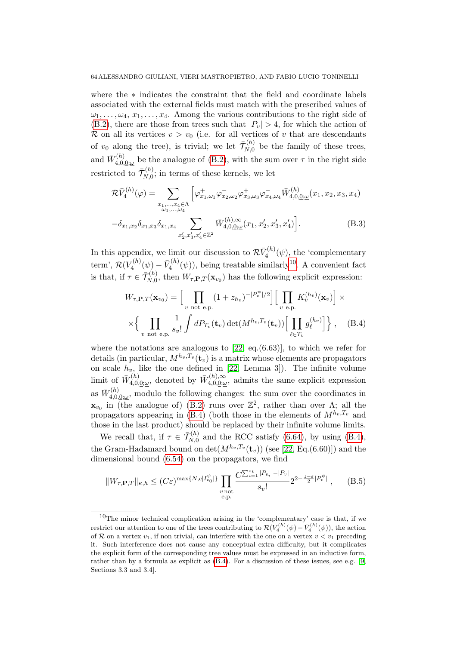where the ∗ indicates the constraint that the field and coordinate labels associated with the external fields must match with the prescribed values of  $\omega_1, \ldots, \omega_4, x_1, \ldots, x_4$ . Among the various contributions to the right side of  $(B.2)$ , there are those from trees such that  $|P_v| > 4$ , for which the action of R on all its vertices  $v > v_0$  (i.e. for all vertices of v that are descendants of  $v_0$  along the tree), is trivial; we let  $\bar{\mathcal{T}}_{N,0}^{(h)}$  $\zeta_{N,0}^{(n)}$  be the family of these trees, and  $\bar{W}^{(h)}_{4.0.}$  $\mathcal{A}_{4,0,\underline{0};\underline{\omega}}^{(h)}$  be the analogue of [\(B.2\)](#page-62-1), with the sum over  $\tau$  in the right side restricted to  $\bar{\mathcal{T}}_{N,0}^{(h)}$  $\zeta_{N,0}^{(n)}$ ; in terms of these kernels, we let

<span id="page-63-1"></span>
$$
\mathcal{R}\bar{V}_{4}^{(h)}(\varphi) = \sum_{\substack{x_1,\ldots,x_4 \in \Lambda \\ \omega_1,\ldots,\omega_4}} \left[ \varphi_{x_1,\omega_1}^+ \varphi_{x_2,\omega_2}^- \varphi_{x_3,\omega_3}^+ \varphi_{x_4,\omega_4}^- \bar{W}_{4,0,\underline{0};\underline{\omega}}^{(h)}(x_1, x_2, x_3, x_4) - \delta_{x_1,x_2} \delta_{x_1,x_3} \delta_{x_1,x_4} \sum_{x_2',x_3',x_4' \in \mathbb{Z}^2} \bar{W}_{4,0,\underline{0};\underline{\omega}}^{(h),\infty}(x_1, x_2', x_3', x_4') \right].
$$
\n(B.3)

In this appendix, we limit our discussion to  $\mathcal{R}\bar{V}_4^{(h)}$  $\zeta_4^{(h)}(\psi)$ , the 'complementary'  $\mathrm{term}^{\cdot}, \, \mathcal{R}(V^{(h)}_4)$  $V^{(h)}_4(\psi)-\bar V^{(h)}_4$  $\tilde{A}_4^{(h)}(\psi)$ , being treatable similarly<sup>[10](#page-0-0)</sup>. A convenient fact is that, if  $\tau \in \bar{\mathcal{T}}_{N,0}^{(h)}$  $N_{N,0}^{(n)}$ , then  $W_{\tau,\mathbf{P},T}(\mathbf{x}_{v_0})$  has the following explicit expression:

<span id="page-63-0"></span>
$$
W_{\tau,\mathbf{P},T}(\mathbf{x}_{v_0}) = \left[\prod_{v \text{ not } e.p.} (1+z_{h_v})^{-|P_v^{\psi}|/2}\right] \left[\prod_{v \text{ e.p.}} K_v^{(h_v)}(\mathbf{x}_v)\right] \times \times \left\{\prod_{v \text{ not } e.p.} \frac{1}{s_v!} \int dP_{T_v}(\mathbf{t}_v) \det(M^{h_v,T_v}(\mathbf{t}_v)) \left[\prod_{\ell \in T_v} g_\ell^{(h_v)}\right]\right\}, \quad (B.4)
$$

where the notations are analogous to  $[22, \text{ eq.}(6.63)]$ , to which we refer for details (in particular,  $M^{h_v, T_v}(\mathbf{t}_v)$  is a matrix whose elements are propagators on scale  $h_v$ , like the one defined in [\[22,](#page-71-0) Lemma 3]). The infinite volume limit of  $\bar{W}^{(h)}_{4.0}$  $\bar{W}^{(h)}_{4,0,\underline{0};\underline{\omega}},$  denoted by  $\bar{W}^{(h),\infty}_{4,0,\underline{0};\underline{\omega}}$  $\mathcal{A}_{4,0,\underline{0};\underline{\omega}}$ , admits the same explicit expression as  $\bar{W}^{(h)}_{4.0.}$  $\mathcal{L}_{4,0,\underline{0};\underline{\omega}}^{(h)}$ , modulo the following changes: the sum over the coordinates in  $\mathbf{x}_{v_0}$  in (the analogue of) [\(B.2\)](#page-62-1) runs over  $\mathbb{Z}^2$ , rather than over  $\Lambda$ ; all the propagators appearing in [\(B.4\)](#page-63-0) (both those in the elements of  $M^{h_v,T_v}$  and those in the last product) should be replaced by their infinite volume limits.

We recall that, if  $\tau \in \bar{\mathcal{T}}_{N,0}^{(h)}$  $\zeta_{N,0}^{(h)}$  and the RCC satisfy [\(6.64\)](#page-44-2), by using [\(B.4\)](#page-63-0), the Gram-Hadamard bound on  $\det(M^{h_v,T_v}(\mathbf{t}_v))$  (see [\[22,](#page-71-0) Eq.(6.60)]) and the dimensional bound [\(6.54\)](#page-40-1) on the propagators, we find

<span id="page-63-2"></span>
$$
||W_{\tau,\mathbf{P},T}||_{\kappa,h} \le (C\varepsilon)^{\max\{N,c|I_{v_0}^{\psi}|\}} \prod_{\substack{v \text{ not} \\ e,\mathbf{p}.}} \frac{C^{\sum_{i=1}^{s_v} |P_{v_i}| - |P_v|}}{s_v!} 2^{2 - \frac{1-\varepsilon}{2}|P_v^{\psi}|}, \quad (B.5)
$$

 $10$ The minor technical complication arising in the 'complementary' case is that, if we restrict our attention to one of the trees contributing to  $\mathcal{R}(V_4^{(h)}(\psi) - \bar{V}_4^{(h)}(\psi))$ , the action of R on a vertex  $v_1$ , if non trivial, can interfere with the one on a vertex  $v < v_1$  preceding it. Such interference does not cause any conceptual extra difficulty, but it complicates the explicit form of the corresponding tree values must be expressed in an inductive form, rather than by a formula as explicit as [\(B.4\)](#page-63-0). For a discussion of these issues, see e.g. [\[9,](#page-70-0) Sections 3.3 and 3.4].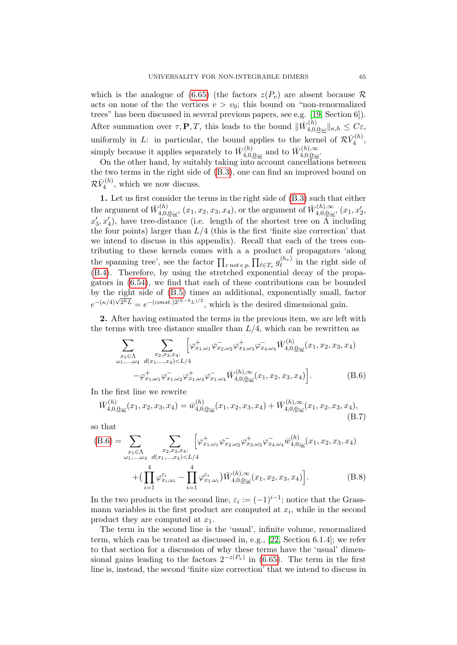which is the analogue of [\(6.65\)](#page-44-1) (the factors  $z(P_v)$  are absent because R acts on none of the the vertices  $v > v_0$ ; this bound on "non-renormalized" trees" has been discussed in several previous papers, see e.g. [\[19,](#page-71-1) Section 6]). After summation over  $\tau, \mathbf{P}, T$ , this leads to the bound  $\|\bar{W}_{40}^{(h)}\|$  $C^{(h)}_{4,0,\underline{0};\underline{\omega}}\|_{\kappa,h}\leq C\varepsilon,$ uniformly in L: in particular, the bound applies to the kernel of  $\mathcal{R}\bar{V}_4^{(h)}$  $\frac{r(n)}{4}$ simply because it applies separately to  $\bar{W}^{(h)}_{4,0}$  $\bar{W}^{(h)}_{4,0,\underline{0};\underline{\omega}}$  and to  $\bar{W}^{(h),\infty}_{4,0,\underline{0};\underline{\omega}}$  $_{4,0,\underline{0};\underline{\omega}}^{(\mu),\infty}$ 

On the other hand, by suitably taking into account cancellations between the two terms in the right side of [\(B.3\)](#page-63-1), one can find an improved bound on  $\mathcal{R}\bar{V}_4^{(h)}$  $\zeta_4^{(h)}$ , which we now discuss.

1. Let us first consider the terms in the right side of [\(B.3\)](#page-63-1) such that either the argument of  $\bar{W}^{(h)}_{4,0}$  $\bar{W}_{4,0,\underline{0};\omega}^{(h)}$ ,  $(x_1, x_2, x_3, x_4)$ , or the argument of  $\bar{W}_{4,0,\underline{0};\omega}^{(h),\infty}$  $x_{4,0,\underline{0};\underline{\omega}}^{(h),\infty}$ ,  $(x_1, x_2',$  $x'_3, x'_4$ ), have tree-distance (i.e. length of the shortest tree on  $\Lambda$  including the four points) larger than  $L/4$  (this is the first 'finite size correction' that we intend to discuss in this appendix). Recall that each of the trees contributing to these kernels comes with a a product of propagators 'along the spanning tree', see the factor  $\prod_{v \, not \, e.p.} \prod_{\ell \in T_v} g_{\ell}^{(h_v)}$  $\chi_{\ell}^{(hv)}$  in the right side of [\(B.4\)](#page-63-0). Therefore, by using the stretched exponential decay of the propagators in [\(6.54\)](#page-40-1), we find that each of these contributions can be bounded by the right side of [\(B.5\)](#page-63-2) times an additional, exponentially small, factor by the right side of  $(D, b)$  times an additional, exponentially small, i.e.

2. After having estimated the terms in the previous item, we are left with the terms with tree distance smaller than  $L/4$ , which can be rewritten as

<span id="page-64-0"></span>
$$
\sum_{\substack{x_1 \in \Lambda \\ \omega_1, \dots, \omega_4}} \sum_{\substack{x_2, x_3, x_4:\\ \omega_1, \dots, \omega_4}} \left[ \varphi_{x_1, \omega_1}^+ \varphi_{x_2, \omega_2}^- \varphi_{x_3, \omega_3}^+ \varphi_{x_4, \omega_4}^- \bar{W}_{4, 0, 0; \underline{\omega}}^{(h)}(x_1, x_2, x_3, x_4) - \varphi_{x_1, \omega_1}^+ \varphi_{x_1, \omega_2}^- \varphi_{x_1, \omega_3}^+ \varphi_{x_1, \omega_4}^- \bar{W}_{4, 0, 0; \underline{\omega}}^{(h), \infty}(x_1, x_2, x_3, x_4) \right].
$$
\n(B.6)

In the first line we rewrite

$$
\bar{W}_{4,0,\underline{0};\underline{\omega}}^{(h)}(x_1, x_2, x_3, x_4) = \bar{w}_{4,0,\underline{0};\underline{\omega}}^{(h)}(x_1, x_2, x_3, x_4) + \bar{W}_{4,0,\underline{0};\underline{\omega}}^{(h),\infty}(x_1, x_2, x_3, x_4),
$$
\n(B.7)

so that

<span id="page-64-1"></span>
$$
(B.6) = \sum_{\substack{x_1 \in \Lambda \\ \omega_1, \dots, \omega_4}} \sum_{\substack{x_2, x_3, x_4:\\ \omega_1, \dots, \omega_4}} \left[ \varphi_{x_1, \omega_1}^+ \varphi_{x_2, \omega_2}^- \varphi_{x_3, \omega_3}^+ \varphi_{x_4, \omega_4}^- \bar{w}_{4, 0; \underline{\omega}}^{(h)}(x_1, x_2, x_3, x_4) \right. \\
\left. + \left( \prod_{i=1}^4 \varphi_{x_i, \omega_i}^{\varepsilon_i} - \prod_{i=1}^4 \varphi_{x_1, \omega_i}^{\varepsilon_i} \right) \bar{W}_{4, 0, \underline{0; \underline{\omega}}^{(h)}(x_1, x_2, x_3, x_4) \right].
$$
\n(B.8)

In the two products in the second line,  $\varepsilon_i := (-1)^{i-1}$ ; notice that the Grassmann variables in the first product are computed at  $x_i$ , while in the second product they are computed at  $x_1$ .

The term in the second line is the 'usual', infinite volume, renormalized term, which can be treated as discussed in, e.g., [\[22,](#page-71-0) Section 6.1.4]; we refer to that section for a discussion of why these terms have the 'usual' dimensional gains leading to the factors  $2^{-z(P_v)}$  in [\(6.65\)](#page-44-1). The term in the first line is, instead, the second 'finite size correction' that we intend to discuss in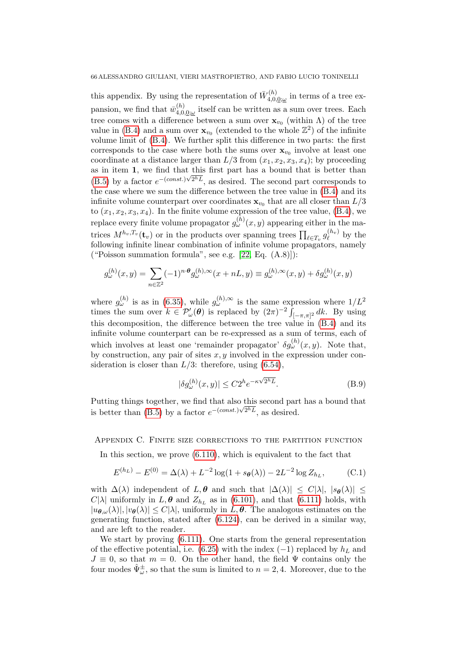this appendix. By using the representation of  $\bar{W}^{(h)}_{4,0}$  $t_{4,0,\underline{0};\underline{\omega}}^{(n)}$  in terms of a tree expansion, we find that  $\bar{w}_{4,0}^{(h)}$  $\chi_{4,0,\underline{0};\underline{\omega}}^{(h)}$  itself can be written as a sum over trees. Each tree comes with a difference between a sum over  $\mathbf{x}_{v_0}$  (within  $\Lambda$ ) of the tree value in [\(B.4\)](#page-63-0) and a sum over  $\mathbf{x}_{v_0}$  (extended to the whole  $\mathbb{Z}^2$ ) of the infinite volume limit of [\(B.4\)](#page-63-0). We further split this difference in two parts: the first corresponds to the case where both the sums over  $\mathbf{x}_{v_0}$  involve at least one coordinate at a distance larger than  $L/3$  from  $(x_1, x_2, x_3, x_4)$ ; by proceeding as in item 1, we find that this first part has a bound that is better than  $(B.5)$  by a factor  $e^{-(const.)\sqrt{2^h}L}$ , as desired. The second part corresponds to the case where we sum the difference between the tree value in [\(B.4\)](#page-63-0) and its infinite volume counterpart over coordinates  $\mathbf{x}_{v_0}$  that are all closer than  $L/3$ to  $(x_1, x_2, x_3, x_4)$ . In the finite volume expression of the tree value,  $(B.4)$ , we replace every finite volume propagator  $g_{\omega}^{(h)}(x,y)$  appearing either in the matrices  $M^{h_v, T_v}(\mathbf{t}_v)$  or in the products over spanning trees  $\prod_{\ell \in T_v} g_\ell^{(h_v)}$  $\psi_{\ell}^{(n_v)}$  by the following infinite linear combination of infinite volume propagators, namely ("Poisson summation formula", see e.g.  $[22, Eq. (A.8)]$ ):

$$
g_{\omega}^{(h)}(x,y) = \sum_{n \in \mathbb{Z}^2} (-1)^{n \cdot \theta} g_{\omega}^{(h),\infty}(x+nL,y) \equiv g_{\omega}^{(h),\infty}(x,y) + \delta g_{\omega}^{(h)}(x,y)
$$

where  $g_{\omega}^{(h)}$  is as in [\(6.35\)](#page-36-4), while  $g_{\omega}^{(h),\infty}$  is the same expression where  $1/L^2$ times the sum over  $k \in \mathcal{P}'_{\omega}(\boldsymbol{\theta})$  is replaced by  $(2\pi)^{-2} \int_{[-\pi,\pi]^2} dk$ . By using this decomposition, the difference between the tree value in [\(B.4\)](#page-63-0) and its infinite volume counterpart can be re-expressed as a sum of terms, each of which involves at least one 'remainder propagator'  $\delta g_{\omega}^{(h)}(x,y)$ . Note that, by construction, any pair of sites  $x, y$  involved in the expression under consideration is closer than  $L/3$ : therefore, using  $(6.54)$ ,

$$
|\delta g_{\omega}^{(h)}(x,y)| \leq C2^{h} e^{-\kappa \sqrt{2^{h}L}}.
$$
 (B.9)

Putting things together, we find that also this second part has a bound that is better than [\(B.5\)](#page-63-2) by a factor  $e^{-(const.)\sqrt{2}hL}$ , as desired.

### <span id="page-65-0"></span>Appendix C. Finite size corrections to the partition function

In this section, we prove [\(6.110\)](#page-55-2), which is equivalent to the fact that

<span id="page-65-1"></span>
$$
E^{(h_L)} - E^{(0)} = \Delta(\lambda) + L^{-2} \log(1 + s_\theta(\lambda)) - 2L^{-2} \log Z_{h_L},
$$
 (C.1)

with  $\Delta(\lambda)$  independent of  $L, \theta$  and such that  $|\Delta(\lambda)| \leq C |\lambda|, |s_{\theta}(\lambda)| \leq$  $C[\lambda]$  uniformly in  $L, \theta$  and  $Z_{h_L}$  as in [\(6.101\)](#page-53-2), and that [\(6.111\)](#page-55-3) holds, with  $|u_{\theta,\omega}(\lambda)|, |v_{\theta}(\lambda)| \leq C|\lambda|$ , uniformly in  $L, \theta$ . The analogous estimates on the generating function, stated after [\(6.124\)](#page-57-0), can be derived in a similar way, and are left to the reader.

We start by proving [\(6.111\)](#page-55-3). One starts from the general representation of the effective potential, i.e. [\(6.25\)](#page-34-0) with the index (−1) replaced by  $h<sub>L</sub>$  and  $J \equiv 0$ , so that  $m = 0$ . On the other hand, the field  $\Psi$  contains only the four modes  $\hat{\Psi}^{\pm}_{\omega}$ , so that the sum is limited to  $n = 2, 4$ . Moreover, due to the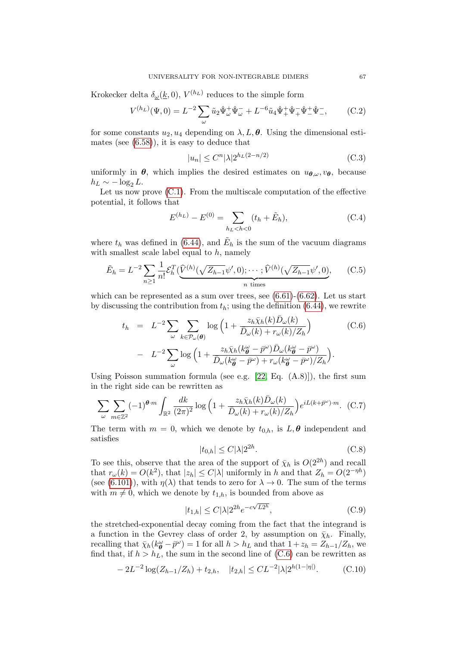Krokecker delta  $\delta_{\underline{\omega}}(\underline{k},0)$ ,  $V^{(h_L)}$  reduces to the simple form

$$
V^{(h_L)}(\Psi,0) = L^{-2} \sum_{\omega} \tilde{u}_2 \hat{\Psi}_{\omega}^+ \hat{\Psi}_{\omega}^- + L^{-6} \tilde{u}_4 \hat{\Psi}_+^+ \hat{\Psi}_-^- \hat{\Psi}_-^+ \hat{\Psi}_-^-, \qquad (C.2)
$$

for some constants  $u_2, u_4$  depending on  $\lambda, L, \theta$ . Using the dimensional estimates (see [\(6.58\)](#page-42-0)), it is easy to deduce that

$$
|u_n| \le C^n |\lambda| 2^{h_L(2-n/2)} \tag{C.3}
$$

uniformly in  $\theta$ , which implies the desired estimates on  $u_{\theta,\omega}, v_{\theta}$ , because  $h_L \sim -\log_2 L$ .

Let us now prove  $(C.1)$ . From the multiscale computation of the effective potential, it follows that

<span id="page-66-3"></span>
$$
E^{(h_L)} - E^{(0)} = \sum_{h_L < h < 0} (t_h + \tilde{E}_h), \tag{C.4}
$$

where  $t_h$  was defined in [\(6.44\)](#page-39-5), and  $\tilde{E}_h$  is the sum of the vacuum diagrams with smallest scale label equal to  $h$ , namely

<span id="page-66-4"></span>
$$
\tilde{E}_h = L^{-2} \sum_{n \ge 1} \frac{1}{n!} \mathcal{E}_h^T \left( \underbrace{\hat{V}^{(h)}(\sqrt{Z_{h-1}} \psi', 0); \cdots; \hat{V}^{(h)}(\sqrt{Z_{h-1}} \psi', 0)}_{n \text{ times}}, \right) \tag{C.5}
$$

which can be represented as a sum over trees, see  $(6.61)-(6.62)$  $(6.61)-(6.62)$ . Let us start by discussing the contribution from  $t<sub>h</sub>$ ; using the definition [\(6.44\)](#page-39-5), we rewrite

<span id="page-66-0"></span>
$$
t_h = L^{-2} \sum_{\omega} \sum_{k \in \mathcal{P}_{\omega}(\theta)} \log \left( 1 + \frac{z_h \bar{\chi}_h(k) \bar{D}_{\omega}(k)}{\bar{D}_{\omega}(k) + r_{\omega}(k)/Z_h} \right) \tag{C.6}
$$

$$
- L^{-2} \sum_{\omega} \log \left( 1 + \frac{z_h \bar{\chi}_h(k_{\theta}^{\omega} - \bar{p}^{\omega}) \bar{D}_{\omega}(k_{\theta}^{\omega} - \bar{p}^{\omega})}{\bar{D}_{\omega}(k_{\theta}^{\omega} - \bar{p}^{\omega}) + r_{\omega}(k_{\theta}^{\omega} - \bar{p}^{\omega})/Z_h} \right).
$$

Using Poisson summation formula (see e.g.  $[22, Eq. (A.8)]$ ), the first sum in the right side can be rewritten as

$$
\sum_{\omega} \sum_{m \in \mathbb{Z}^2} (-1)^{\theta \cdot m} \int_{\mathbb{R}^2} \frac{dk}{(2\pi)^2} \log \left( 1 + \frac{z_h \bar{\chi}_h(k) \bar{D}_{\omega}(k)}{\bar{D}_{\omega}(k) + r_{\omega}(k)/Z_h} \right) e^{iL(k + \bar{p}^{\omega}) \cdot m} .
$$
 (C.7)

The term with  $m = 0$ , which we denote by  $t_{0,h}$ , is  $L, \theta$  independent and satisfies

<span id="page-66-1"></span>
$$
|t_{0,h}| \le C|\lambda|2^{2h}.\tag{C.8}
$$

To see this, observe that the area of the support of  $\bar{\chi}_h$  is  $O(2^{2h})$  and recall that  $r_{\omega}(k) = O(k^2)$ , that  $|z_h| \le C|\lambda|$  uniformly in h and that  $Z_h = O(2^{-\eta h})$ (see [\(6.101\)](#page-53-2)), with  $\eta(\lambda)$  that tends to zero for  $\lambda \to 0$ . The sum of the terms with  $m \neq 0$ , which we denote by  $t_{1,h}$ , is bounded from above as

$$
|t_{1,h}| \le C|\lambda|2^{2h}e^{-c\sqrt{L2^h}},\tag{C.9}
$$

the stretched-exponential decay coming from the fact that the integrand is a function in the Gevrey class of order 2, by assumption on  $\bar{\chi}_h$ . Finally, recalling that  $\bar{\chi}_h(k_{\theta}^{\omega} - \bar{p}^{\omega}) = 1$  for all  $h > h_L$  and that  $1 + z_h = Z_{h-1}/Z_h$ , we find that, if  $h > h_L$ , the sum in the second line of [\(C.6\)](#page-66-0) can be rewritten as

<span id="page-66-2"></span>
$$
-2L^{-2}\log(Z_{h-1}/Z_h) + t_{2,h}, \quad |t_{2,h}| \leq CL^{-2}|\lambda|2^{h(1-|\eta|)}.
$$
 (C.10)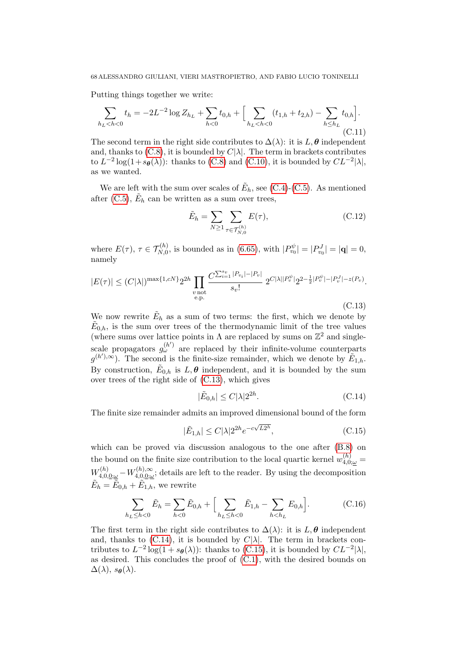Putting things together we write:

$$
\sum_{h_L < h < 0} t_h = -2L^{-2} \log Z_{h_L} + \sum_{h < 0} t_{0,h} + \Big[ \sum_{h_L < h < 0} (t_{1,h} + t_{2,h}) - \sum_{h \le h_L} t_{0,h} \Big]. \tag{C.11}
$$

The second term in the right side contributes to  $\Delta(\lambda)$ : it is L,  $\theta$  independent and, thanks to  $(C.8)$ , it is bounded by  $C|\lambda|$ . The term in brackets contributes to  $L^{-2} \log(1 + s_{\theta}(\lambda))$ : thanks to [\(C.8\)](#page-66-1) and [\(C.10\)](#page-66-2), it is bounded by  $CL^{-2} |\lambda|$ , as we wanted.

We are left with the sum over scales of  $\tilde{E}_h$ , see [\(C.4\)](#page-66-3)-[\(C.5\)](#page-66-4). As mentioned after [\(C.5\)](#page-66-4),  $\tilde{E}_h$  can be written as a sum over trees,

$$
\tilde{E}_h = \sum_{N \ge 1} \sum_{\tau \in \mathcal{T}_{N,0}^{(h)}} E(\tau),\tag{C.12}
$$

where  $E(\tau)$ ,  $\tau \in \mathcal{T}_{N,0}^{(h)}$ , is bounded as in [\(6.65\)](#page-44-1), with  $|P_{v_0}^{\psi}| = |P_{v_0}^J| = |\mathbf{q}| = 0$ , namely

<span id="page-67-0"></span>
$$
|E(\tau)| \le (C|\lambda|)^{\max\{1,cN\}} 2^{2h} \prod_{\substack{v \text{ not} \\ e, p.}} \frac{C^{\sum_{i=1}^{s_v} |P_{v_i}| - |P_v|}}{s_v!} 2^{C|\lambda||P_v^{\psi}|} 2^{2 - \frac{1}{2}|P_v^{\psi}| - |P_v^J| - z(P_v)}.
$$
\n(C.13)

We now rewrite  $\tilde{E}_h$  as a sum of two terms: the first, which we denote by  $\tilde{E}_{0,h}$ , is the sum over trees of the thermodynamic limit of the tree values (where sums over lattice points in  $\Lambda$  are replaced by sums on  $\mathbb{Z}^2$  and singlescale propagators  $g_{\omega}^{(h')}$  are replaced by their infinite-volume counterparts  $g^{(h'),\infty}$ ). The second is the finite-size remainder, which we denote by  $\tilde{E}_{1,h}$ . By construction,  $\tilde{E}_{0,h}$  is  $L, \theta$  independent, and it is bounded by the sum over trees of the right side of [\(C.13\)](#page-67-0), which gives

<span id="page-67-1"></span>
$$
|\tilde{E}_{0,h}| \le C|\lambda|2^{2h}.\tag{C.14}
$$

The finite size remainder admits an improved dimensional bound of the form

<span id="page-67-2"></span>
$$
|\tilde{E}_{1,h}| \le C|\lambda|2^{2h}e^{-c\sqrt{L2^h}},\tag{C.15}
$$

which can be proved via discussion analogous to the one after [\(B.8\)](#page-64-1) on the bound on the finite size contribution to the local quartic kernel  $w_{4,0;\omega}^{(h)} =$  $W^{(h)}_{4,0,\underline{0};\underline{\omega}}-W^{(h),\infty}_{4,0,\underline{0};\underline{\omega}}$  $A_{4,0,\underline{0};\underline{\omega}}^{(n),\infty}$ ; details are left to the reader. By using the decomposition  $\tilde{E}_h = \tilde{E}_{0,h} + \tilde{E}_{1,h}$ , we rewrite

$$
\sum_{h_L \le h < 0} \tilde{E}_h = \sum_{h < 0} \tilde{E}_{0,h} + \Big[ \sum_{h_L \le h < 0} \tilde{E}_{1,h} - \sum_{h < h_L} E_{0,h} \Big]. \tag{C.16}
$$

The first term in the right side contributes to  $\Delta(\lambda)$ : it is L,  $\theta$  independent and, thanks to [\(C.14\)](#page-67-1), it is bounded by  $C|\lambda|$ . The term in brackets contributes to  $L^{-2} \log(1 + s_{\theta}(\lambda))$ : thanks to [\(C.15\)](#page-67-2), it is bounded by  $CL^{-2} |\lambda|$ , as desired. This concludes the proof of  $(C.1)$ , with the desired bounds on  $\Delta(\lambda)$ ,  $s_{\theta}(\lambda)$ .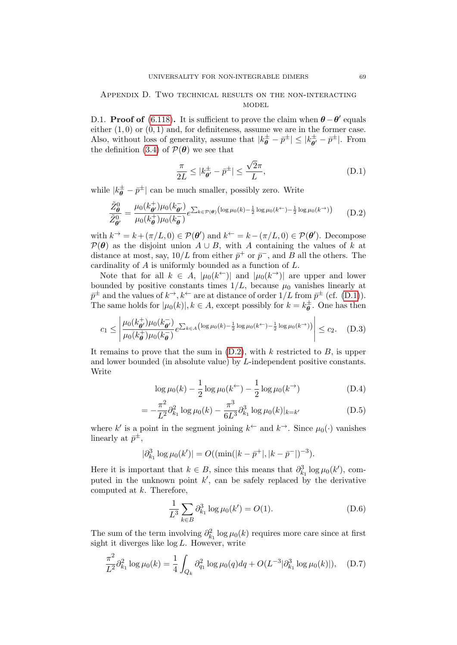## Appendix D. Two technical results on the non-interacting **MODEL**

<span id="page-68-0"></span>D.1. **Proof of** [\(6.118\)](#page-56-2). It is sufficient to prove the claim when  $\theta - \theta'$  equals either  $(1,0)$  or  $(0,1)$  and, for definiteness, assume we are in the former case. Also, without loss of generality, assume that  $|k_{\theta}^{\pm} - \bar{p}^{\pm}| \leq |k_{\theta}^{\pm}|$  $\bar{\bar{\theta}}^{\pm} - \bar{p}^{\pm}$ . From the definition [\(3.4\)](#page-15-1) of  $\mathcal{P}(\theta)$  we see that

<span id="page-68-1"></span>
$$
\frac{\pi}{2L} \le |k_{\theta'}^{\pm} - \bar{p}^{\pm}| \le \frac{\sqrt{2}\pi}{L},\tag{D.1}
$$

while  $|k_{\theta}^{\pm} - \bar{p}^{\pm}|$  can be much smaller, possibly zero. Write

<span id="page-68-2"></span>
$$
\frac{\tilde{Z}_{\theta}^{0}}{\tilde{Z}_{\theta'}^{0}} = \frac{\mu_{0}(k_{\theta'}^{+})\mu_{0}(k_{\theta'}^{-})}{\mu_{0}(k_{\theta}^{+})\mu_{0}(k_{\theta}^{-})}e^{\sum_{k \in \mathcal{P}(\theta)}\left(\log \mu_{0}(k) - \frac{1}{2}\log \mu_{0}(k^{+}) - \frac{1}{2}\log \mu_{0}(k^{+})\right)} \tag{D.2}
$$

with  $k^{\rightarrow} = k + (\pi/L, 0) \in \mathcal{P}(\theta')$  and  $k^{\leftarrow} = k - (\pi/L, 0) \in \mathcal{P}(\theta')$ . Decompose  $\mathcal{P}(\theta)$  as the disjoint union  $A \cup B$ , with A containing the values of k at distance at most, say,  $10/L$  from either  $\bar{p}^+$  or  $\bar{p}^-$ , and B all the others. The cardinality of A is uniformly bounded as a function of L.

Note that for all  $k \in A$ ,  $|\mu_0(k^{\leftarrow})|$  and  $|\mu_0(k^{\rightarrow})|$  are upper and lower bounded by positive constants times  $1/L$ , because  $\mu_0$  vanishes linearly at  $\bar{p}^{\pm}$  and the values of  $k^{\rightarrow}$ ,  $k^{\leftarrow}$  are at distance of order  $1/L$  from  $\bar{p}^{\pm}$  (cf. [\(D.1\)](#page-68-1)). The same holds for  $|\mu_0(k)|, k \in A$ , except possibly for  $k = k_{\theta}^{\pm}$  $\sigma_{\theta}^{\pm}$ . One has then

$$
c_1 \leq \left| \frac{\mu_0(k_{\theta'}^+) \mu_0(k_{\theta'}^-)}{\mu_0(k_{\theta}^+) \mu_0(k_{\theta}^-)} e^{\sum_{k \in A} \left( \log \mu_0(k) - \frac{1}{2} \log \mu_0(k^{\leftarrow}) - \frac{1}{2} \log \mu_0(k^{\rightarrow}) \right)} \right| \leq c_2. \quad (D.3)
$$

It remains to prove that the sum in  $(D.2)$ , with k restricted to B, is upper and lower bounded (in absolute value) by L-independent positive constants. Write

$$
\log \mu_0(k) - \frac{1}{2} \log \mu_0(k^{\leftarrow}) - \frac{1}{2} \log \mu_0(k^{\rightarrow})
$$
 (D.4)

$$
= -\frac{\pi^2}{L^2} \partial_{k_1}^2 \log \mu_0(k) - \frac{\pi^3}{6L^3} \partial_{k_1}^3 \log \mu_0(k)|_{k=k'}
$$
 (D.5)

where k' is a point in the segment joining  $k^{\leftarrow}$  and  $k^{\rightarrow}$ . Since  $\mu_0(\cdot)$  vanishes linearly at  $\bar{p}^{\pm}$ ,

$$
|\partial_{k_1}^3 \log \mu_0(k')| = O((\min(|k - \bar{p}^+|, |k - \bar{p}^-|)^{-3}).
$$

Here it is important that  $k \in B$ , since this means that  $\partial_{k_1}^3 \log \mu_0(k')$ , computed in the unknown point  $k'$ , can be safely replaced by the derivative computed at  $k$ . Therefore,

$$
\frac{1}{L^3} \sum_{k \in B} \partial_{k_1}^3 \log \mu_0(k') = O(1). \tag{D.6}
$$

The sum of the term involving  $\partial_{k_1}^2 \log \mu_0(k)$  requires more care since at first sight it diverges like log L. However, write

$$
\frac{\pi^2}{L^2} \partial_{k_1}^2 \log \mu_0(k) = \frac{1}{4} \int_{Q_k} \partial_{q_1}^2 \log \mu_0(q) dq + O(L^{-3} |\partial_{k_1}^3 \log \mu_0(k)|), \quad (D.7)
$$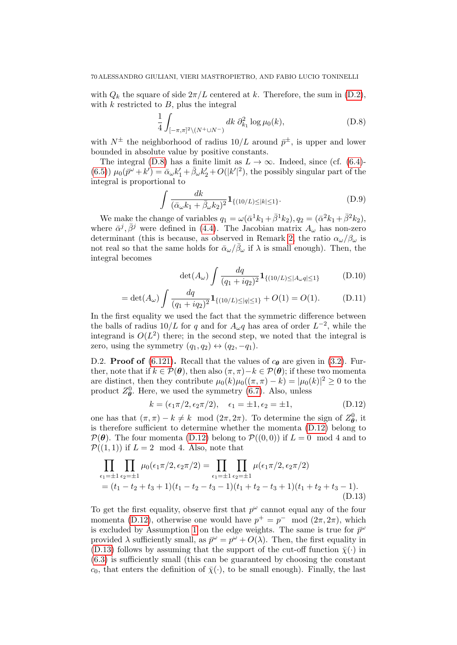with  $Q_k$  the square of side  $2\pi/L$  centered at k. Therefore, the sum in [\(D.2\)](#page-68-2), with  $k$  restricted to  $B$ , plus the integral

<span id="page-69-1"></span>
$$
\frac{1}{4} \int_{[-\pi,\pi]^2 \setminus (N^+ \cup N^-)} dk \; \partial_{k_1}^2 \log \mu_0(k), \tag{D.8}
$$

with  $N^{\pm}$  the neighborhood of radius  $10/L$  around  $\bar{p}^{\pm}$ , is upper and lower bounded in absolute value by positive constants.

The integral [\(D.8\)](#page-69-1) has a finite limit as  $L \to \infty$ . Indeed, since (cf. [\(6.4\)](#page-30-0)-[\(6.5\)](#page-30-0))  $\mu_0(\bar{p}^{\omega}+k') = \bar{\alpha}_{\omega}k'_1 + \bar{\beta}_{\omega}k'_2 + O(|k'|^2)$ , the possibly singular part of the integral is proportional to

$$
\int \frac{dk}{(\bar{\alpha}_{\omega}k_1 + \bar{\beta}_{\omega}k_2)^2} \mathbf{1}_{\{(10/L) \le |k| \le 1\}}.
$$
\n(D.9)

We make the change of variables  $q_1 = \omega(\bar{\alpha}^1 k_1 + \bar{\beta}^1 k_2), q_2 = (\bar{\alpha}^2 k_1 + \bar{\beta}^2 k_2),$ where  $\bar{\alpha}^j$ ,  $\bar{\beta}^j$  were defined in [\(4.4\)](#page-22-1). The Jacobian matrix  $A_\omega$  has non-zero determinant (this is because, as observed in Remark [2,](#page-10-0) the ratio  $\alpha_{\omega}/\beta_{\omega}$  is not real so that the same holds for  $\bar{\alpha}_{\omega}/\bar{\beta}_{\omega}$  if  $\lambda$  is small enough). Then, the integral becomes

$$
\det(A_{\omega}) \int \frac{dq}{(q_1 + iq_2)^2} \mathbf{1}_{\{(10/L) \le |A_{\omega}q| \le 1\}} \tag{D.10}
$$

$$
= \det(A_{\omega}) \int \frac{dq}{(q_1 + iq_2)^2} \mathbf{1}_{\{(10/L) \le |q| \le 1\}} + O(1) = O(1). \tag{D.11}
$$

In the first equality we used the fact that the symmetric difference between the balls of radius  $10/L$  for q and for  $A_{\omega}q$  has area of order  $L^{-2}$ , while the integrand is  $O(L^2)$  there; in the second step, we noted that the integral is zero, using the symmetry  $(q_1, q_2) \leftrightarrow (q_2, -q_1)$ .

<span id="page-69-0"></span>D.2. **Proof of** [\(6.121\)](#page-56-6). Recall that the values of  $c_{\theta}$  are given in [\(3.2\)](#page-15-2). Further, note that if  $k \in \mathcal{P}(\theta)$ , then also  $(\pi, \pi) - k \in \mathcal{P}(\theta)$ ; if these two momenta are distinct, then they contribute  $\mu_0(k)\mu_0((\pi,\pi)-k) = |\mu_0(k)|^2 \geq 0$  to the product  $Z_{\theta}^0$ . Here, we used the symmetry [\(6.7\)](#page-30-2). Also, unless

<span id="page-69-3"></span><span id="page-69-2"></span>
$$
k = (\epsilon_1 \pi/2, \epsilon_2 \pi/2), \quad \epsilon_1 = \pm 1, \epsilon_2 = \pm 1,
$$
 (D.12)

one has that  $(\pi, \pi) - k \neq k \mod (2\pi, 2\pi)$ . To determine the sign of  $Z_{\theta}^0$ , it is therefore sufficient to determine whether the momenta [\(D.12\)](#page-69-2) belong to  $\mathcal{P}(\theta)$ . The four momenta [\(D.12\)](#page-69-2) belong to  $\mathcal{P}((0,0))$  if  $L=0 \mod 4$  and to  $\mathcal{P}((1,1))$  if  $L=2 \mod 4$ . Also, note that

$$
\prod_{\epsilon_1=\pm 1}\prod_{\epsilon_2=\pm 1}\mu_0(\epsilon_1\pi/2, \epsilon_2\pi/2) = \prod_{\epsilon_1=\pm 1}\prod_{\epsilon_2=\pm 1}\mu(\epsilon_1\pi/2, \epsilon_2\pi/2)
$$
\n
$$
= (t_1 - t_2 + t_3 + 1)(t_1 - t_2 - t_3 - 1)(t_1 + t_2 - t_3 + 1)(t_1 + t_2 + t_3 - 1).
$$
\n(D.13)

To get the first equality, observe first that  $p^{\omega}$  cannot equal any of the four momenta [\(D.12\)](#page-69-2), otherwise one would have  $p^+ = p^- \mod (2\pi, 2\pi)$ , which is excluded by Assumption [1](#page-7-0) on the edge weights. The same is true for  $\bar{p}^{\omega}$ provided  $\lambda$  sufficiently small, as  $\bar{p}^{\omega} = p^{\omega} + O(\lambda)$ . Then, the first equality in [\(D.13\)](#page-69-3) follows by assuming that the support of the cut-off function  $\bar{\chi}(\cdot)$  in [\(6.3\)](#page-29-0) is sufficiently small (this can be guaranteed by choosing the constant  $c_0$ , that enters the definition of  $\bar{\chi}(\cdot)$ , to be small enough). Finally, the last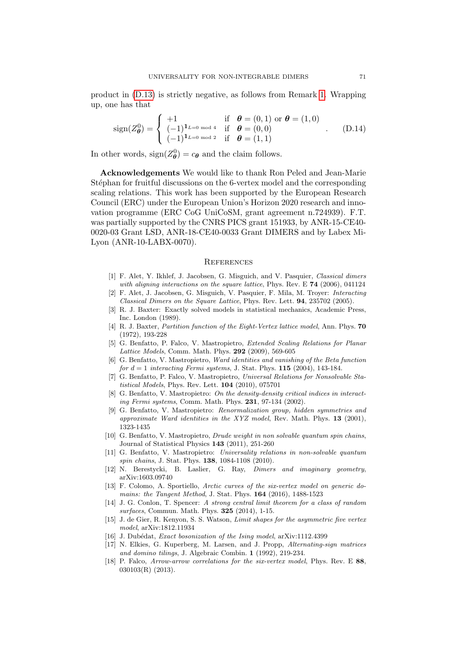product in [\(D.13\)](#page-69-3) is strictly negative, as follows from Remark [1.](#page-7-1) Wrapping up, one has that

$$
\text{sign}(Z_{\theta}^{0}) = \begin{cases} +1 & \text{if } \theta = (0,1) \text{ or } \theta = (1,0) \\ (-1)^{1_{L=0 \text{ mod } 4}} & \text{if } \theta = (0,0) \\ (-1)^{1_{L=0 \text{ mod } 2}} & \text{if } \theta = (1,1) \end{cases}
$$
 (D.14)

In other words,  $sign(Z^0_{\theta}) = c_{\theta}$  and the claim follows.

Acknowledgements We would like to thank Ron Peled and Jean-Marie Stéphan for fruitful discussions on the 6-vertex model and the corresponding scaling relations. This work has been supported by the European Research Council (ERC) under the European Union's Horizon 2020 research and innovation programme (ERC CoG UniCoSM, grant agreement n.724939). F.T. was partially supported by the CNRS PICS grant 151933, by ANR-15-CE40- 0020-03 Grant LSD, ANR-18-CE40-0033 Grant DIMERS and by Labex Mi-Lyon (ANR-10-LABX-0070).

#### **REFERENCES**

- [1] F. Alet, Y. Ikhlef, J. Jacobsen, G. Misguich, and V. Pasquier, Classical dimers with aligning interactions on the square lattice, Phys. Rev. E  $74$  (2006), 041124
- [2] F. Alet, J. Jacobsen, G. Misguich, V. Pasquier, F. Mila, M. Troyer: Interacting Classical Dimers on the Square Lattice, Phys. Rev. Lett. 94, 235702 (2005).
- [3] R. J. Baxter: Exactly solved models in statistical mechanics, Academic Press, Inc. London (1989).
- [4] R. J. Baxter, Partition function of the Eight-Vertex lattice model, Ann. Phys. 70 (1972), 193-228
- [5] G. Benfatto, P. Falco, V. Mastropietro, Extended Scaling Relations for Planar Lattice Models, Comm. Math. Phys. 292 (2009), 569-605
- <span id="page-70-1"></span>[6] G. Benfatto, V. Mastropietro, Ward identities and vanishing of the Beta function for  $d = 1$  interacting Fermi systems, J. Stat. Phys. 115 (2004), 143-184.
- [7] G. Benfatto, P. Falco, V. Mastropietro, Universal Relations for Nonsolvable Statistical Models, Phys. Rev. Lett. 104 (2010), 075701
- <span id="page-70-2"></span>[8] G. Benfatto, V. Mastropietro: On the density-density critical indices in interacting Fermi systems, Comm. Math. Phys. 231, 97-134 (2002).
- <span id="page-70-0"></span>[9] G. Benfatto, V. Mastropietro: Renormalization group, hidden symmetries and approximate Ward identities in the XYZ model, Rev. Math. Phys. 13 (2001), 1323-1435
- [10] G. Benfatto, V. Mastropietro, Drude weight in non solvable quantum spin chains, Journal of Statistical Physics 143 (2011), 251-260
- [11] G. Benfatto, V. Mastropietro: Universality relations in non-solvable quantum spin chains, J. Stat. Phys. **138**, 1084-1108 (2010).
- [12] N. Berestycki, B. Laslier, G. Ray, *Dimers and imaginary geometry*, arXiv:1603.09740
- [13] F. Colomo, A. Sportiello, Arctic curves of the six-vertex model on generic domains: the Tangent Method, J. Stat. Phys. 164 (2016), 1488-1523
- [14] J. G. Conlon, T. Spencer: A strong central limit theorem for a class of random surfaces, Commun. Math. Phys. 325 (2014), 1-15.
- [15] J. de Gier, R. Kenyon, S. S. Watson, Limit shapes for the asymmetric five vertex model, arXiv:1812.11934
- [16] J. Dubédat, *Exact bosonization of the Ising model*, arXiv:1112.4399
- [17] N. Elkies, G. Kuperberg, M. Larsen, and J. Propp, Alternating-sign matrices and domino tilings, J. Algebraic Combin. 1 (1992), 219-234.
- [18] P. Falco, *Arrow-arrow correlations for the six-vertex model*, Phys. Rev. E 88. 030103(R) (2013).